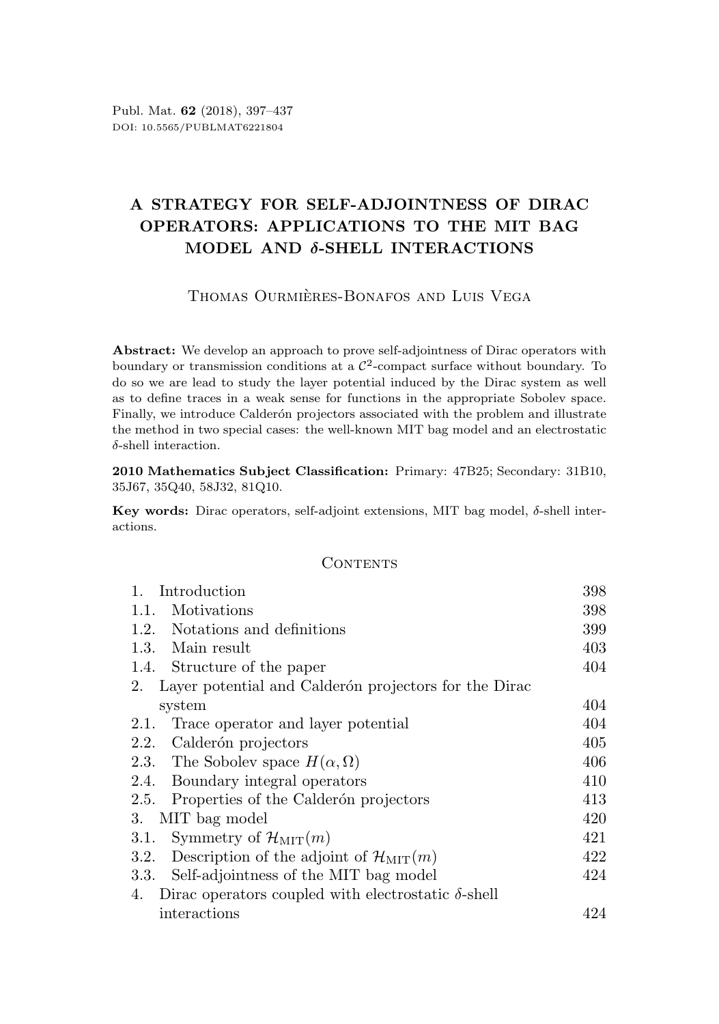# A STRATEGY FOR SELF-ADJOINTNESS OF DIRAC OPERATORS: APPLICATIONS TO THE MIT BAG MODEL AND δ-SHELL INTERACTIONS

## THOMAS OURMIÈRES-BONAFOS AND LUIS VEGA

Abstract: We develop an approach to prove self-adjointness of Dirac operators with boundary or transmission conditions at a  $\mathcal{C}^2$ -compact surface without boundary. To do so we are lead to study the layer potential induced by the Dirac system as well as to define traces in a weak sense for functions in the appropriate Sobolev space. Finally, we introduce Calderón projectors associated with the problem and illustrate the method in two special cases: the well-known MIT bag model and an electrostatic δ-shell interaction.

2010 Mathematics Subject Classification: Primary: 47B25; Secondary: 31B10, 35J67, 35Q40, 58J32, 81Q10.

Key words: Dirac operators, self-adjoint extensions, MIT bag model,  $\delta$ -shell interactions.

### **CONTENTS**

| $\mathbf{1}$ .<br>Introduction                                      | 398 |
|---------------------------------------------------------------------|-----|
| Motivations<br>1.1.                                                 | 398 |
| 1.2.<br>Notations and definitions                                   | 399 |
| 1.3. Main result                                                    | 403 |
| 1.4. Structure of the paper                                         | 404 |
| Layer potential and Calderón projectors for the Dirac<br>2.         |     |
| system                                                              | 404 |
| Trace operator and layer potential<br>2.1.                          | 404 |
| Calderón projectors<br>2.2.                                         | 405 |
| 2.3. The Sobolev space $H(\alpha,\Omega)$                           | 406 |
| 2.4. Boundary integral operators                                    | 410 |
| Properties of the Calderón projectors<br>2.5.                       | 413 |
| MIT bag model<br>3.                                                 | 420 |
| Symmetry of $\mathcal{H}_{\text{MIT}}(m)$<br>3.1.                   | 421 |
| 3.2.<br>Description of the adjoint of $\mathcal{H}_{\text{MIT}}(m)$ | 422 |
| Self-adjointness of the MIT bag model<br>3.3.                       | 424 |
| Dirac operators coupled with electrostatic $\delta$ -shell<br>4.    |     |
| interactions                                                        | 424 |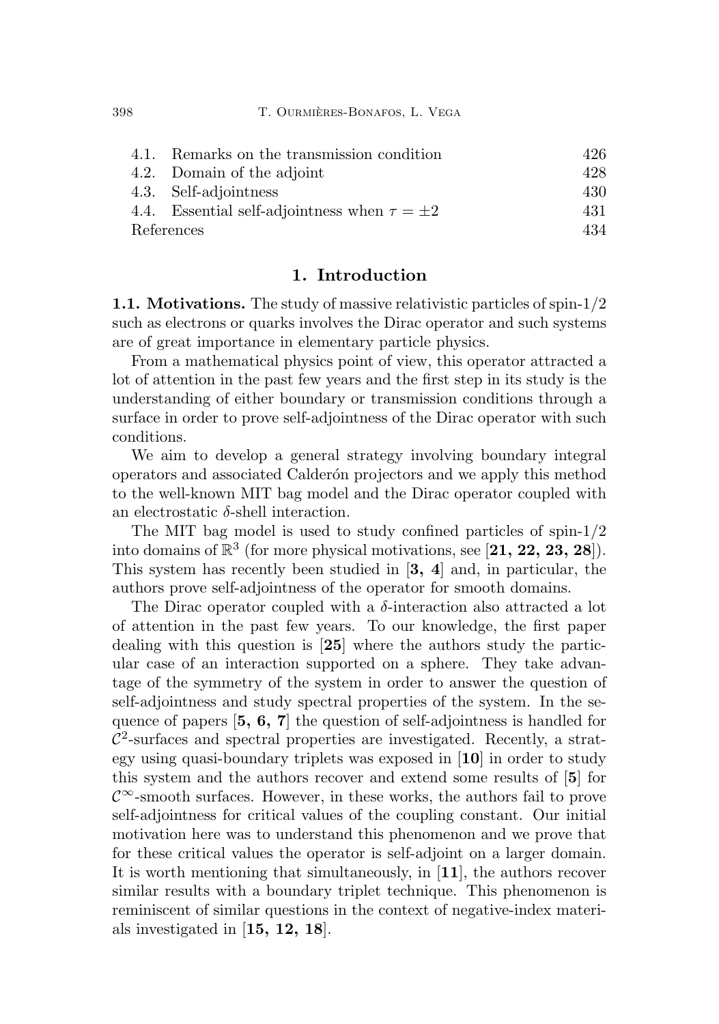|            | 4.1. Remarks on the transmission condition          | 426 |
|------------|-----------------------------------------------------|-----|
|            | 4.2. Domain of the adjoint                          | 428 |
|            | 4.3. Self-adjointness                               | 430 |
|            | 4.4. Essential self-adjointness when $\tau = \pm 2$ | 431 |
| References |                                                     | 434 |

### 1. Introduction

<span id="page-1-1"></span><span id="page-1-0"></span>1.1. Motivations. The study of massive relativistic particles of spin-1/2 such as electrons or quarks involves the Dirac operator and such systems are of great importance in elementary particle physics.

From a mathematical physics point of view, this operator attracted a lot of attention in the past few years and the first step in its study is the understanding of either boundary or transmission conditions through a surface in order to prove self-adjointness of the Dirac operator with such conditions.

We aim to develop a general strategy involving boundary integral operators and associated Calder´on projectors and we apply this method to the well-known MIT bag model and the Dirac operator coupled with an electrostatic δ-shell interaction.

The MIT bag model is used to study confined particles of spin-1/2 into domains of  $\mathbb{R}^3$  (for more physical motivations, see [[21,](#page-39-0) [22,](#page-39-1) [23,](#page-39-2) [28](#page-39-3)]). This system has recently been studied in [[3,](#page-37-1) [4](#page-37-2)] and, in particular, the authors prove self-adjointness of the operator for smooth domains.

The Dirac operator coupled with a  $\delta$ -interaction also attracted a lot of attention in the past few years. To our knowledge, the first paper dealing with this question is [[25](#page-39-4)] where the authors study the particular case of an interaction supported on a sphere. They take advantage of the symmetry of the system in order to answer the question of self-adjointness and study spectral properties of the system. In the sequence of papers [[5,](#page-37-3) [6,](#page-37-4) [7](#page-38-0)] the question of self-adjointness is handled for  $\mathcal{C}^2$ -surfaces and spectral properties are investigated. Recently, a strategy using quasi-boundary triplets was exposed in [[10](#page-38-1)] in order to study this system and the authors recover and extend some results of [[5](#page-37-3)] for  $\mathcal{C}^{\infty}$ -smooth surfaces. However, in these works, the authors fail to prove self-adjointness for critical values of the coupling constant. Our initial motivation here was to understand this phenomenon and we prove that for these critical values the operator is self-adjoint on a larger domain. It is worth mentioning that simultaneously, in [[11](#page-38-2)], the authors recover similar results with a boundary triplet technique. This phenomenon is reminiscent of similar questions in the context of negative-index materials investigated in  $[15, 12, 18]$  $[15, 12, 18]$  $[15, 12, 18]$  $[15, 12, 18]$  $[15, 12, 18]$  $[15, 12, 18]$  $[15, 12, 18]$ .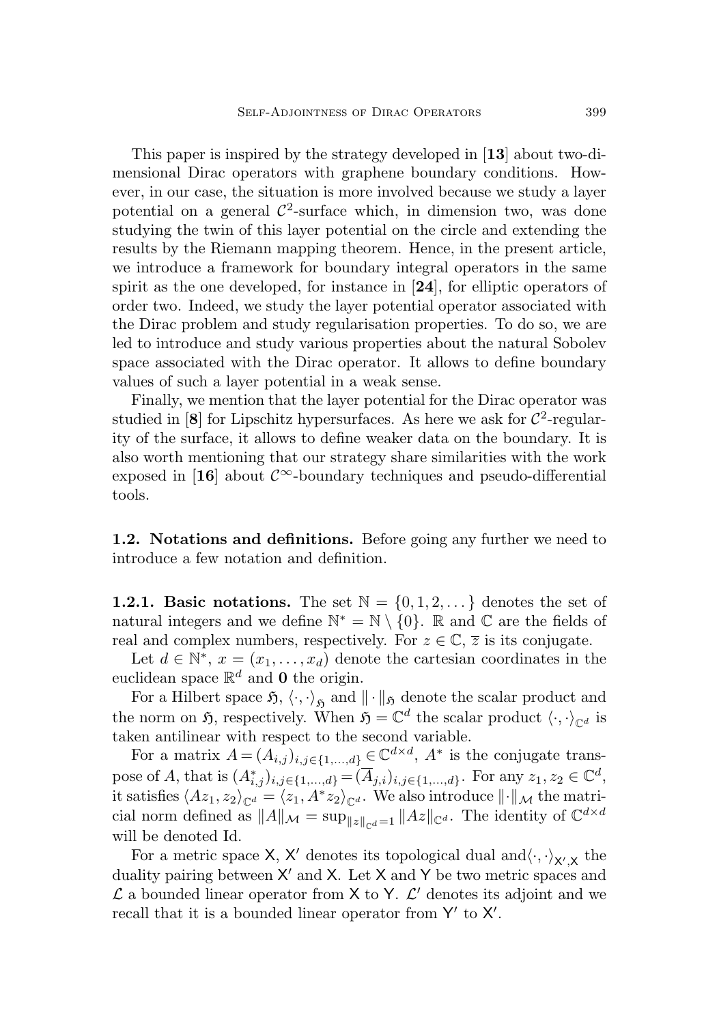This paper is inspired by the strategy developed in [[13](#page-38-5)] about two-dimensional Dirac operators with graphene boundary conditions. However, in our case, the situation is more involved because we study a layer potential on a general  $\mathcal{C}^2$ -surface which, in dimension two, was done studying the twin of this layer potential on the circle and extending the results by the Riemann mapping theorem. Hence, in the present article, we introduce a framework for boundary integral operators in the same spirit as the one developed, for instance in [[24](#page-39-6)], for elliptic operators of order two. Indeed, we study the layer potential operator associated with the Dirac problem and study regularisation properties. To do so, we are led to introduce and study various properties about the natural Sobolev space associated with the Dirac operator. It allows to define boundary values of such a layer potential in a weak sense.

Finally, we mention that the layer potential for the Dirac operator was studied in [[8](#page-38-6)] for Lipschitz hypersurfaces. As here we ask for  $\mathcal{C}^2$ -regularity of the surface, it allows to define weaker data on the boundary. It is also worth mentioning that our strategy share similarities with the work exposed in [[16](#page-38-7)] about  $\mathcal{C}^{\infty}$ -boundary techniques and pseudo-differential tools.

<span id="page-2-0"></span>1.2. Notations and definitions. Before going any further we need to introduce a few notation and definition.

**1.2.1. Basic notations.** The set  $\mathbb{N} = \{0, 1, 2, \ldots\}$  denotes the set of natural integers and we define  $\mathbb{N}^* = \mathbb{N} \setminus \{0\}$ . R and C are the fields of real and complex numbers, respectively. For  $z \in \mathbb{C}$ ,  $\overline{z}$  is its conjugate.

Let  $d \in \mathbb{N}^*, x = (x_1, \ldots, x_d)$  denote the cartesian coordinates in the euclidean space  $\mathbb{R}^d$  and 0 the origin.

For a Hilbert space  $\mathfrak{H}, \langle \cdot, \cdot \rangle_{\mathfrak{H}}$  and  $\|\cdot\|_{\mathfrak{H}}$  denote the scalar product and the norm on  $\mathfrak{H}$ , respectively. When  $\mathfrak{H} = \mathbb{C}^d$  the scalar product  $\langle \cdot, \cdot \rangle_{\mathbb{C}^d}$  is taken antilinear with respect to the second variable.

For a matrix  $A = (A_{i,j})_{i,j \in \{1,\dots,d\}} \in \mathbb{C}^{d \times d}$ ,  $A^*$  is the conjugate transpose of A, that is  $(A^*_{i,j})_{i,j \in \{1,\dots,d\}} = (\overline{A}_{j,i})_{i,j \in \{1,\dots,d\}}$ . For any  $z_1, z_2 \in \mathbb{C}^d$ , it satisfies  $\langle Az_1, z_2\rangle_{\mathbb{C}^d} = \langle z_1, A^*z_2\rangle_{\mathbb{C}^d}$ . We also introduce  $\|\cdot\|_{\mathcal{M}}$  the matricial norm defined as  $||A||_{\mathcal{M}} = \sup_{||z||_{\mathbb{C}^{d}}=1} ||Az||_{\mathbb{C}^{d}}$ . The identity of  $\mathbb{C}^{d \times d}$ will be denoted Id.

For a metric space X, X' denotes its topological dual and  $\langle \cdot, \cdot \rangle_{X',X}$  the duality pairing between  $X'$  and  $X$ . Let  $X$  and  $Y$  be two metric spaces and  $\mathcal L$  a bounded linear operator from  $X$  to Y.  $\mathcal L'$  denotes its adjoint and we recall that it is a bounded linear operator from Y' to X'.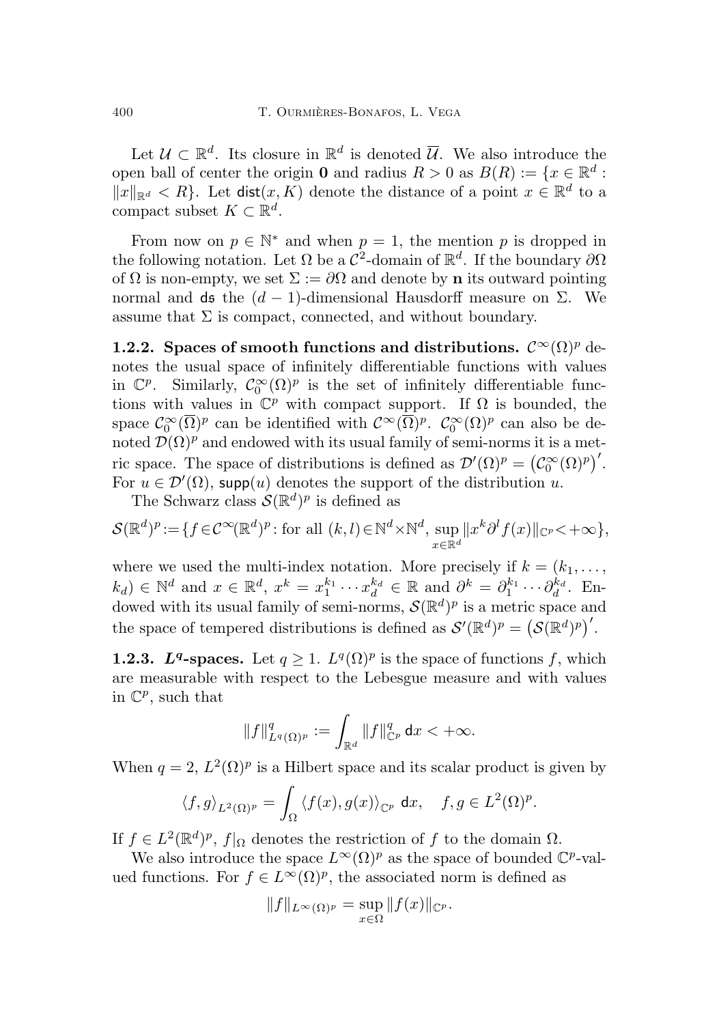Let  $\mathcal{U} \subset \mathbb{R}^d$ . Its closure in  $\mathbb{R}^d$  is denoted  $\overline{\mathcal{U}}$ . We also introduce the open ball of center the origin **0** and radius  $R > 0$  as  $B(R) := \{x \in \mathbb{R}^d :$  $||x||_{\mathbb{R}^d} < R$ . Let dist $(x, K)$  denote the distance of a point  $x \in \mathbb{R}^d$  to a compact subset  $K \subset \mathbb{R}^d$ .

From now on  $p \in \mathbb{N}^*$  and when  $p = 1$ , the mention p is dropped in the following notation. Let  $\Omega$  be a  $\mathcal{C}^2$ -domain of  $\mathbb{R}^d$ . If the boundary  $\partial\Omega$ of  $\Omega$  is non-empty, we set  $\Sigma := \partial \Omega$  and denote by **n** its outward pointing normal and ds the  $(d-1)$ -dimensional Hausdorff measure on Σ. We assume that  $\Sigma$  is compact, connected, and without boundary.

1.2.2. Spaces of smooth functions and distributions.  $\mathcal{C}^{\infty}(\Omega)^p$  denotes the usual space of infinitely differentiable functions with values in  $\mathbb{C}^p$ . Similarly,  $\mathcal{C}_0^{\infty}(\Omega)^p$  is the set of infinitely differentiable functions with values in  $\mathbb{C}^p$  with compact support. If  $\Omega$  is bounded, the space  $C_0^{\infty}(\overline{\Omega})^p$  can be identified with  $C^{\infty}(\overline{\Omega})^p$ .  $C_0^{\infty}(\Omega)^p$  can also be denoted  $\mathcal{D}(\Omega)^p$  and endowed with its usual family of semi-norms it is a metric space. The space of distributions is defined as  $\mathcal{D}'(\Omega)^p = (\mathcal{C}_0^{\infty}(\Omega)^p)'$ . For  $u \in \mathcal{D}'(\Omega)$ , supp $(u)$  denotes the support of the distribution u.

The Schwarz class  $\mathcal{S}(\mathbb{R}^d)^p$  is defined as

$$
\mathcal{S}(\mathbb{R}^d)^p := \{ f \in \mathcal{C}^{\infty}(\mathbb{R}^d)^p : \text{for all } (k,l) \in \mathbb{N}^d \times \mathbb{N}^d, \sup_{x \in \mathbb{R}^d} ||x^k \partial^l f(x)||_{\mathbb{C}^p} < +\infty \},
$$

where we used the multi-index notation. More precisely if  $k = (k_1, \ldots,$  $(k_d) \in \mathbb{N}^d$  and  $x \in \mathbb{R}^d$ ,  $x^k = x_1^{k_1} \cdots x_d^{k_d} \in \mathbb{R}$  and  $\partial^k = \partial_1^{k_1} \cdots \partial_d^{k_d}$ . Endowed with its usual family of semi-norms,  $\mathcal{S}(\mathbb{R}^d)^p$  is a metric space and the space of tempered distributions is defined as  $\mathcal{S}'(\mathbb{R}^d)^p = (\mathcal{S}(\mathbb{R}^d)^p)'$ .

**1.2.3.** L<sup>q</sup>-spaces. Let  $q \geq 1$ .  $L^q(\Omega)^p$  is the space of functions f, which are measurable with respect to the Lebesgue measure and with values in  $\mathbb{C}^p$ , such that

$$
\|f\|_{L^q(\Omega)^p}^q:=\int_{\mathbb{R}^d}\|f\|_{\mathbb{C}^p}^q\,\mathrm{d} x<+\infty.
$$

When  $q = 2$ ,  $L^2(\Omega)^p$  is a Hilbert space and its scalar product is given by

$$
\langle f, g \rangle_{L^2(\Omega)^p} = \int_{\Omega} \langle f(x), g(x) \rangle_{\mathbb{C}^p} \, \mathrm{d}x, \quad f, g \in L^2(\Omega)^p.
$$

If  $f \in L^2(\mathbb{R}^d)^p$ ,  $f|_{\Omega}$  denotes the restriction of f to the domain  $\Omega$ .

We also introduce the space  $L^{\infty}(\Omega)^p$  as the space of bounded  $\mathbb{C}^p$ -valued functions. For  $f \in L^{\infty}(\Omega)^p$ , the associated norm is defined as

$$
||f||_{L^{\infty}(\Omega)^p} = \sup_{x \in \Omega} ||f(x)||_{\mathbb{C}^p}.
$$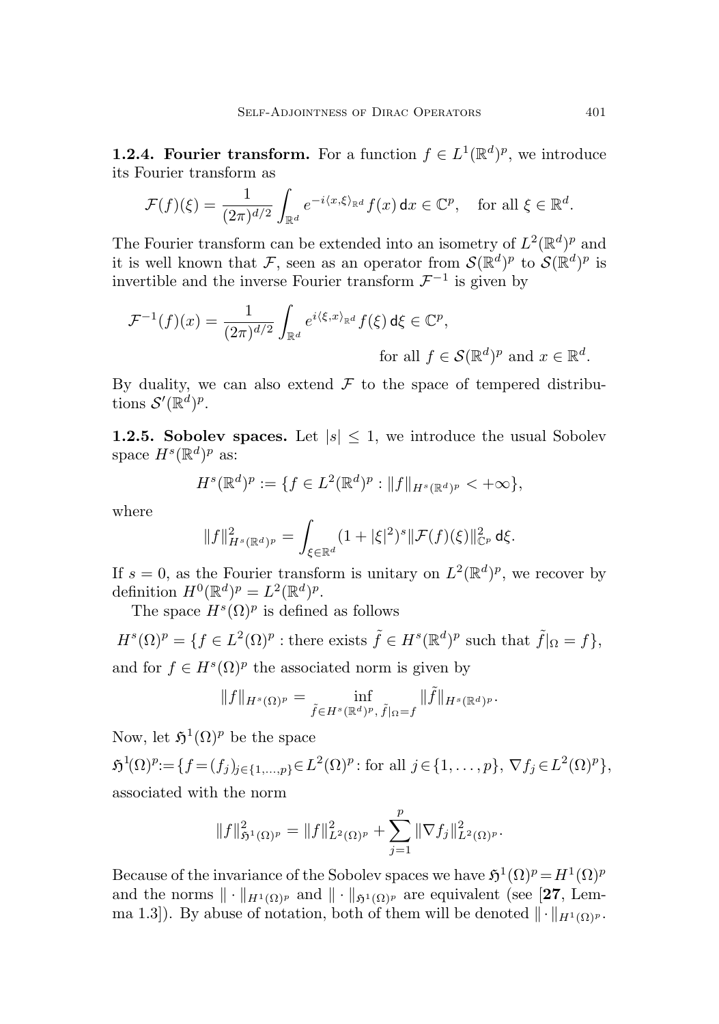**1.2.4. Fourier transform.** For a function  $f \in L^1(\mathbb{R}^d)^p$ , we introduce its Fourier transform as

$$
\mathcal{F}(f)(\xi) = \frac{1}{(2\pi)^{d/2}} \int_{\mathbb{R}^d} e^{-i\langle x,\xi\rangle_{\mathbb{R}^d}} f(x) \, \mathrm{d}x \in \mathbb{C}^p, \quad \text{for all } \xi \in \mathbb{R}^d.
$$

The Fourier transform can be extended into an isometry of  $L^2(\mathbb{R}^d)^p$  and it is well known that F, seen as an operator from  $\mathcal{S}(\mathbb{R}^d)^p$  to  $\mathcal{S}(\mathbb{R}^d)^p$  is invertible and the inverse Fourier transform  $\mathcal{F}^{-1}$  is given by

$$
\mathcal{F}^{-1}(f)(x) = \frac{1}{(2\pi)^{d/2}} \int_{\mathbb{R}^d} e^{i\langle \xi, x \rangle_{\mathbb{R}^d}} f(\xi) d\xi \in \mathbb{C}^p,
$$
  
for all  $f \in \mathcal{S}(\mathbb{R}^d)^p$  and  $x \in \mathbb{R}^d$ .

By duality, we can also extend  $\mathcal F$  to the space of tempered distributions  $\mathcal{S}'(\mathbb{R}^d)^p$ .

**1.2.5. Sobolev spaces.** Let  $|s| \leq 1$ , we introduce the usual Sobolev space  $H^s(\mathbb{R}^d)^p$  as:

$$
H^{s}(\mathbb{R}^{d})^{p} := \{ f \in L^{2}(\mathbb{R}^{d})^{p} : ||f||_{H^{s}(\mathbb{R}^{d})^{p}} < +\infty \},
$$

where

$$
||f||_{H^s(\mathbb{R}^d)^p}^2 = \int_{\xi \in \mathbb{R}^d} (1 + |\xi|^2)^s ||\mathcal{F}(f)(\xi)||_{\mathbb{C}^p}^2 d\xi.
$$

If  $s = 0$ , as the Fourier transform is unitary on  $L^2(\mathbb{R}^d)^p$ , we recover by definition  $H^0(\mathbb{R}^d)^p = L^2(\mathbb{R}^d)^p$ .

The space  $H^s(\Omega)$ <sup>p</sup> is defined as follows

 $H^{s}(\Omega)^{p} = \{f \in L^{2}(\Omega)^{p} : \text{there exists } \tilde{f} \in H^{s}(\mathbb{R}^{d})^{p} \text{ such that } \tilde{f}|_{\Omega} = f\},\$ and for  $f \in H^s(\Omega)$ <sup>*p*</sup> the associated norm is given by

$$
||f||_{H^s(\Omega)^p} = \inf_{\tilde{f} \in H^s(\mathbb{R}^d)^p, \, \tilde{f}|_{\Omega} = f} ||\tilde{f}||_{H^s(\mathbb{R}^d)^p}.
$$

Now, let  $\mathfrak{H}^1(\Omega)^p$  be the space

 $\mathfrak{H}^1(\Omega)^p := \{ f = (f_j)_{j \in \{1, ..., p\}} \in L^2(\Omega)^p : \text{for all } j \in \{1, ..., p\}, \nabla f_j \in L^2(\Omega)^p \},$ associated with the norm

$$
||f||_{\mathfrak{H}^1(\Omega)^p}^2 = ||f||_{L^2(\Omega)^p}^2 + \sum_{j=1}^p ||\nabla f_j||_{L^2(\Omega)^p}^2.
$$

Because of the invariance of the Sobolev spaces we have  $\mathfrak{H}^1(\Omega)^p = H^1(\Omega)^p$ and the norms  $\|\cdot\|_{H^1(\Omega)p}$  and  $\|\cdot\|_{\mathfrak{h}^1(\Omega)p}$  are equivalent (see [[27](#page-39-7), Lemma 1.3]). By abuse of notation, both of them will be denoted  $\|\cdot\|_{H^1(\Omega)^p}$ .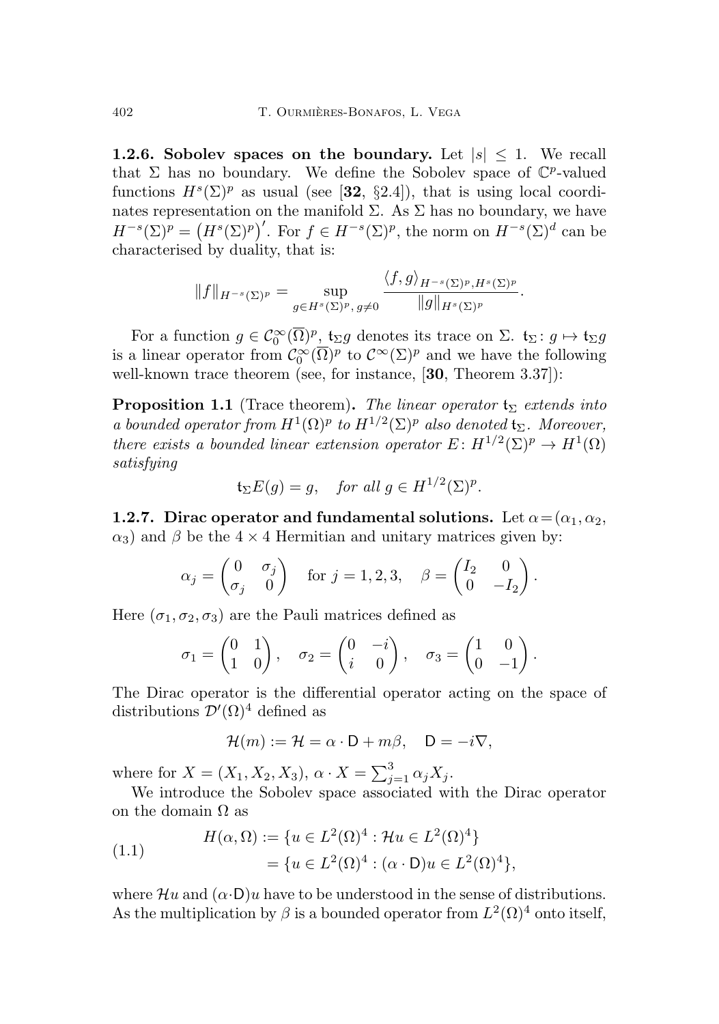**1.2.6.** Sobolev spaces on the boundary. Let  $|s| \leq 1$ . We recall that  $\Sigma$  has no boundary. We define the Sobolev space of  $\mathbb{C}^p$ -valued functions  $H^s(\Sigma)^p$  as usual (see [[32](#page-40-0), §2.4]), that is using local coordinates representation on the manifold  $\Sigma$ . As  $\Sigma$  has no boundary, we have  $H^{-s}(\Sigma)^p = (H^s(\Sigma)^p)'$ . For  $f \in H^{-s}(\Sigma)^p$ , the norm on  $H^{-s}(\Sigma)^d$  can be characterised by duality, that is:

$$
||f||_{H^{-s}(\Sigma)^p} = \sup_{g \in H^s(\Sigma)^p, g \neq 0} \frac{\langle f, g \rangle_{H^{-s}(\Sigma)^p, H^s(\Sigma)^p}}{||g||_{H^s(\Sigma)^p}}.
$$

For a function  $g \in C_0^{\infty}(\overline{\Omega})^p$ ,  $\mathfrak{t}_{\Sigma}g$  denotes its trace on  $\Sigma$ .  $\mathfrak{t}_{\Sigma}: g \mapsto \mathfrak{t}_{\Sigma}g$ is a linear operator from  $\mathcal{C}_0^{\infty}(\overline{\Omega})^p$  to  $\mathcal{C}^{\infty}(\Sigma)^p$  and we have the following well-known trace theorem (see, for instance, [[30](#page-39-8), Theorem 3.37]):

<span id="page-5-0"></span>**Proposition 1.1** (Trace theorem). The linear operator  $t_{\Sigma}$  extends into a bounded operator from  $H^1(\Omega)^p$  to  $H^{1/2}(\Sigma)^p$  also denoted  $\mathfrak{t}_{\Sigma}$ . Moreover, there exists a bounded linear extension operator  $E: H^{1/2}(\Sigma)^p \to H^1(\Omega)$ satisfying

$$
\mathfrak{t}_{\Sigma}E(g) = g, \quad \text{for all } g \in H^{1/2}(\Sigma)^p.
$$

1.2.7. Dirac operator and fundamental solutions. Let  $\alpha = (\alpha_1, \alpha_2, \alpha_3)$  $\alpha_3$ ) and  $\beta$  be the 4 × 4 Hermitian and unitary matrices given by:

$$
\alpha_j = \begin{pmatrix} 0 & \sigma_j \\ \sigma_j & 0 \end{pmatrix} \text{ for } j = 1, 2, 3, \quad \beta = \begin{pmatrix} I_2 & 0 \\ 0 & -I_2 \end{pmatrix}.
$$

Here  $(\sigma_1, \sigma_2, \sigma_3)$  are the Pauli matrices defined as

$$
\sigma_1 = \begin{pmatrix} 0 & 1 \\ 1 & 0 \end{pmatrix}, \quad \sigma_2 = \begin{pmatrix} 0 & -i \\ i & 0 \end{pmatrix}, \quad \sigma_3 = \begin{pmatrix} 1 & 0 \\ 0 & -1 \end{pmatrix}.
$$

The Dirac operator is the differential operator acting on the space of distributions  $\mathcal{D}'(\Omega)^4$  defined as

$$
\mathcal{H}(m) := \mathcal{H} = \alpha \cdot \mathsf{D} + m\beta, \quad \mathsf{D} = -i\nabla,
$$

where for  $X = (X_1, X_2, X_3), \alpha \cdot X = \sum_{j=1}^3 \alpha_j X_j.$ 

We introduce the Sobolev space associated with the Dirac operator on the domain  $\Omega$  as

(1.1) 
$$
H(\alpha, \Omega) := \{ u \in L^2(\Omega)^4 : \mathcal{H}u \in L^2(\Omega)^4 \} = \{ u \in L^2(\Omega)^4 : (\alpha \cdot \mathsf{D})u \in L^2(\Omega)^4 \},
$$

where  $\mathcal{H}u$  and  $(\alpha \cdot \mathsf{D})u$  have to be understood in the sense of distributions. As the multiplication by  $\beta$  is a bounded operator from  $L^2(\Omega)^4$  onto itself,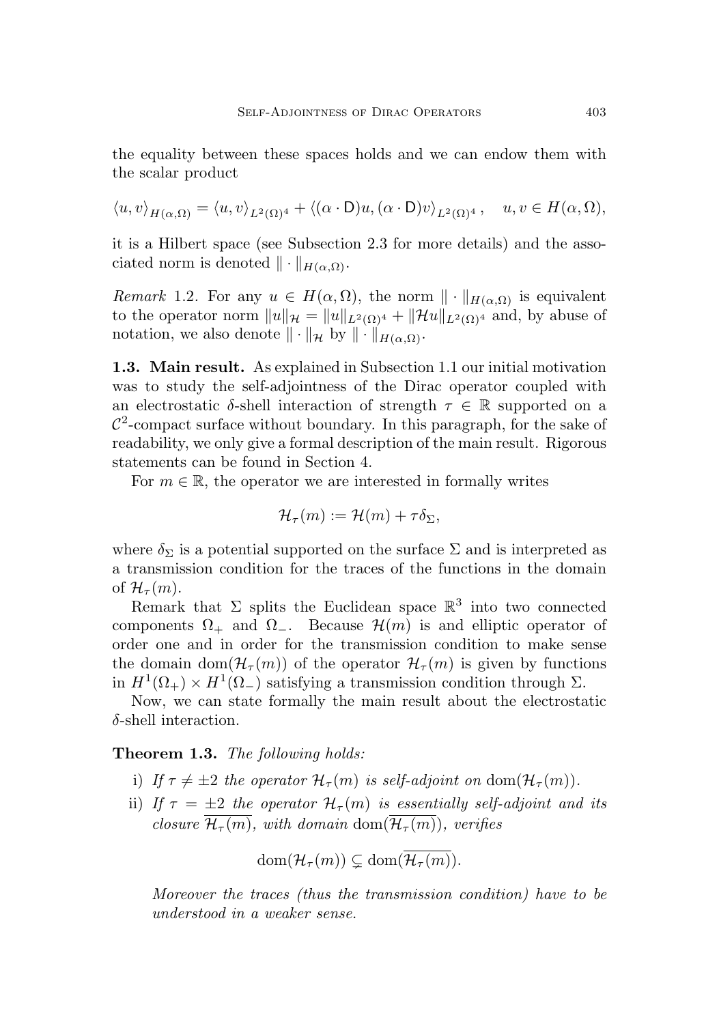the equality between these spaces holds and we can endow them with the scalar product

$$
\langle u, v \rangle_{H(\alpha,\Omega)} = \langle u, v \rangle_{L^2(\Omega)^4} + \langle (\alpha \cdot \mathsf{D})u, (\alpha \cdot \mathsf{D})v \rangle_{L^2(\Omega)^4}, \quad u, v \in H(\alpha, \Omega),
$$

it is a Hilbert space (see Subsection [2.3](#page-9-0) for more details) and the associated norm is denoted  $\|\cdot\|_{H(\alpha,\Omega)}$ .

<span id="page-6-1"></span>Remark 1.2. For any  $u \in H(\alpha, \Omega)$ , the norm  $\|\cdot\|_{H(\alpha,\Omega)}$  is equivalent to the operator norm  $||u||_{\mathcal{H}} = ||u||_{L^2(\Omega)^4} + ||\mathcal{H}u||_{L^2(\Omega)^4}$  and, by abuse of notation, we also denote  $\|\cdot\|_{\mathcal{H}}$  by  $\|\cdot\|_{H(\alpha,\Omega)}$ .

<span id="page-6-0"></span>1.3. Main result. As explained in Subsection [1.1](#page-1-1) our initial motivation was to study the self-adjointness of the Dirac operator coupled with an electrostatic  $\delta$ -shell interaction of strength  $\tau \in \mathbb{R}$  supported on a  $\mathcal{C}^2$ -compact surface without boundary. In this paragraph, for the sake of readability, we only give a formal description of the main result. Rigorous statements can be found in Section [4.](#page-27-1)

For  $m \in \mathbb{R}$ , the operator we are interested in formally writes

$$
\mathcal{H}_{\tau}(m) := \mathcal{H}(m) + \tau \delta_{\Sigma},
$$

where  $\delta_{\Sigma}$  is a potential supported on the surface  $\Sigma$  and is interpreted as a transmission condition for the traces of the functions in the domain of  $\mathcal{H}_{\tau}(m)$ .

Remark that  $\Sigma$  splits the Euclidean space  $\mathbb{R}^3$  into two connected components  $\Omega_+$  and  $\Omega_-$ . Because  $\mathcal{H}(m)$  is and elliptic operator of order one and in order for the transmission condition to make sense the domain dom $(\mathcal{H}_{\tau}(m))$  of the operator  $\mathcal{H}_{\tau}(m)$  is given by functions in  $H^1(\Omega_+) \times H^1(\Omega_-)$  satisfying a transmission condition through  $\Sigma$ .

Now, we can state formally the main result about the electrostatic  $\delta$ -shell interaction.

### Theorem 1.3. The following holds:

- i) If  $\tau \neq \pm 2$  the operator  $\mathcal{H}_{\tau}(m)$  is self-adjoint on dom $(\mathcal{H}_{\tau}(m))$ .
- ii) If  $\tau = \pm 2$  the operator  $\mathcal{H}_{\tau}(m)$  is essentially self-adjoint and its closure  $\overline{\mathcal{H}_{\tau}(m)}$ , with domain dom $(\overline{\mathcal{H}_{\tau}(m)})$ , verifies

$$
\text{dom}(\mathcal{H}_\tau(m)) \subsetneq \text{dom}(\overline{\mathcal{H}_\tau(m)}).
$$

Moreover the traces (thus the transmission condition) have to be understood in a weaker sense.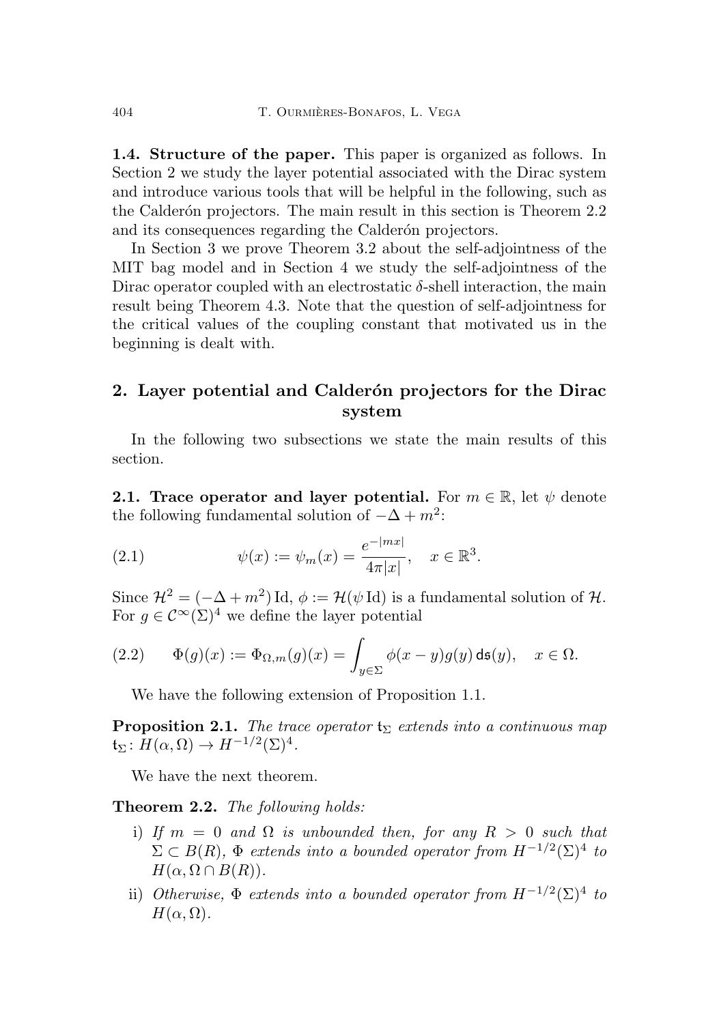<span id="page-7-0"></span>1.4. Structure of the paper. This paper is organized as follows. In Section [2](#page-7-1) we study the layer potential associated with the Dirac system and introduce various tools that will be helpful in the following, such as the Calder<sub>on</sub> projectors. The main result in this section is Theorem [2.2](#page-7-3) and its consequences regarding the Calderon projectors.

In Section [3](#page-23-0) we prove Theorem [3.2](#page-24-1) about the self-adjointness of the MIT bag model and in Section [4](#page-27-1) we study the self-adjointness of the Dirac operator coupled with an electrostatic  $\delta$ -shell interaction, the main result being Theorem [4.3.](#page-29-1) Note that the question of self-adjointness for the critical values of the coupling constant that motivated us in the beginning is dealt with.

# <span id="page-7-1"></span>2. Layer potential and Calderón projectors for the Dirac system

In the following two subsections we state the main results of this section.

<span id="page-7-2"></span>2.1. Trace operator and layer potential. For  $m \in \mathbb{R}$ , let  $\psi$  denote the following fundamental solution of  $-\Delta + m^2$ :

(2.1) 
$$
\psi(x) := \psi_m(x) = \frac{e^{-|mx|}}{4\pi|x|}, \quad x \in \mathbb{R}^3.
$$

Since  $\mathcal{H}^2 = (-\Delta + m^2) \mathrm{Id}, \phi := \mathcal{H}(\psi \mathrm{Id})$  is a fundamental solution of  $\mathcal{H}$ . For  $q \in C^{\infty}(\Sigma)^4$  we define the layer potential

<span id="page-7-5"></span>(2.2) 
$$
\Phi(g)(x) := \Phi_{\Omega,m}(g)(x) = \int_{y \in \Sigma} \phi(x - y)g(y) \, \text{d}\mathfrak{s}(y), \quad x \in \Omega.
$$

We have the following extension of Proposition [1.1.](#page-5-0)

<span id="page-7-4"></span>**Proposition 2.1.** The trace operator  $t_{\Sigma}$  extends into a continuous map  $\mathfrak{t}_{\Sigma} \colon H(\alpha, \Omega) \to H^{-1/2}(\Sigma)^4.$ 

We have the next theorem.

<span id="page-7-3"></span>**Theorem 2.2.** The following holds:

- i) If  $m = 0$  and  $\Omega$  is unbounded then, for any  $R > 0$  such that  $\Sigma \subset B(R)$ ,  $\Phi$  extends into a bounded operator from  $H^{-1/2}(\Sigma)^4$  to  $H(\alpha, \Omega \cap B(R)).$
- ii) Otherwise,  $\Phi$  extends into a bounded operator from  $H^{-1/2}(\Sigma)^4$  to  $H(\alpha,\Omega)$ .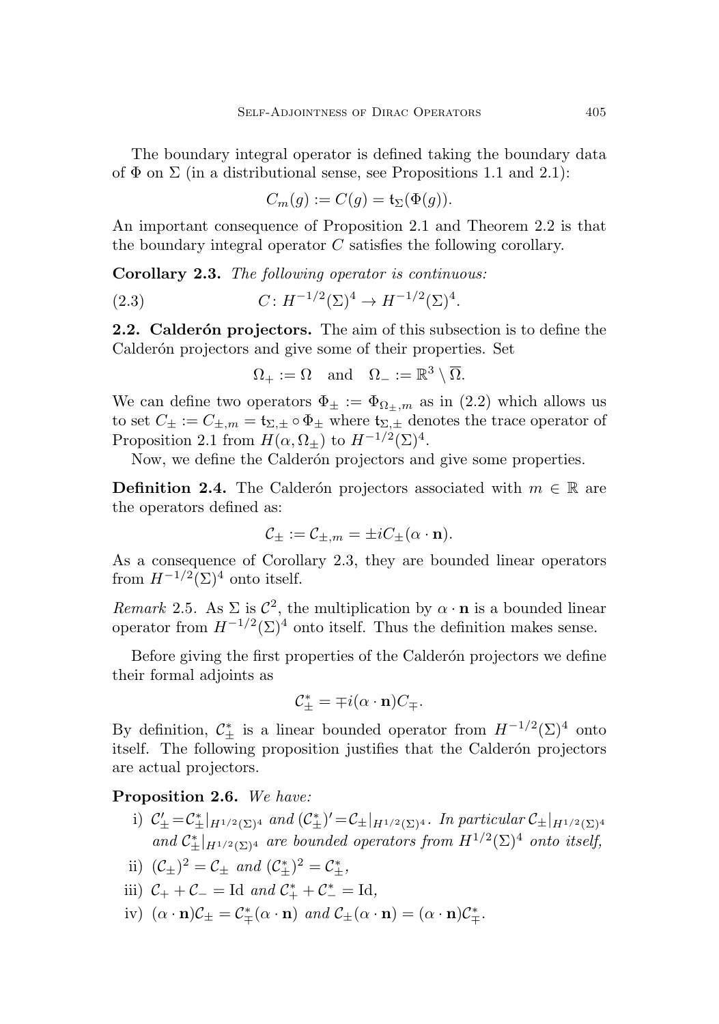The boundary integral operator is defined taking the boundary data of  $\Phi$  on  $\Sigma$  (in a distributional sense, see Propositions [1.1](#page-5-0) and [2.1\)](#page-7-4):

$$
C_m(g) := C(g) = \mathfrak{t}_\Sigma(\Phi(g)).
$$

An important consequence of Proposition [2.1](#page-7-4) and Theorem [2.2](#page-7-3) is that the boundary integral operator  $C$  satisfies the following corollary.

<span id="page-8-1"></span>Corollary 2.3. The following operator is continuous:

(2.3) 
$$
C: H^{-1/2}(\Sigma)^4 \to H^{-1/2}(\Sigma)^4.
$$

<span id="page-8-0"></span>2.2. Calderón projectors. The aim of this subsection is to define the Calderón projectors and give some of their properties. Set

$$
\Omega_+ := \Omega \quad \text{and} \quad \Omega_- := \mathbb{R}^3 \setminus \overline{\Omega}.
$$

We can define two operators  $\Phi_{\pm} := \Phi_{\Omega_{\pm},m}$  as in [\(2.2\)](#page-7-5) which allows us to set  $C_{\pm} := C_{\pm,m} = \mathfrak{t}_{\Sigma,\pm} \circ \Phi_{\pm}$  where  $\mathfrak{t}_{\Sigma,\pm}$  denotes the trace operator of Proposition [2.1](#page-7-4) from  $H(\alpha, \Omega_{\pm})$  to  $H^{-1/2}(\Sigma)^4$ .

Now, we define the Calderón projectors and give some properties.

<span id="page-8-3"></span>**Definition 2.4.** The Calderón projectors associated with  $m \in \mathbb{R}$  are the operators defined as:

$$
\mathcal{C}_{\pm} := \mathcal{C}_{\pm,m} = \pm i C_{\pm}(\alpha \cdot \mathbf{n}).
$$

As a consequence of Corollary [2.3,](#page-8-1) they are bounded linear operators from  $H^{-1/2}(\Sigma)^4$  onto itself.

Remark 2.5. As  $\Sigma$  is  $\mathcal{C}^2$ , the multiplication by  $\alpha \cdot \mathbf{n}$  is a bounded linear operator from  $H^{-1/2}(\Sigma)^4$  onto itself. Thus the definition makes sense.

Before giving the first properties of the Calderón projectors we define their formal adjoints as

$$
\mathcal{C}_{\pm}^* = \mp i(\alpha \cdot \mathbf{n})C_{\mp}.
$$

By definition,  $\mathcal{C}_{\pm}^{*}$  is a linear bounded operator from  $H^{-1/2}(\Sigma)^{4}$  onto itself. The following proposition justifies that the Calderón projectors are actual projectors.

<span id="page-8-2"></span>Proposition 2.6. We have:

- i)  $\mathcal{C}'_{\pm} = \mathcal{C}^*_{\pm}|_{H^{1/2}(\Sigma)^4}$  and  $(\mathcal{C}^*_{\pm})' = \mathcal{C}_{\pm}|_{H^{1/2}(\Sigma)^4}$ . In particular  $\mathcal{C}_{\pm}|_{H^{1/2}(\Sigma)^4}$ and  $\mathcal{C}_{\pm}^*|_{H^{1/2}(\Sigma)^4}$  are bounded operators from  $H^{1/2}(\Sigma)^4$  onto itself,
- ii)  $(C_{\pm})^2 = C_{\pm}$  and  $(C_{\pm}^*)^2 = C_{\pm}^*$ ,
- iii)  $C_+ + C_- = \text{Id}$  and  $C_+^* + C_-^* = \text{Id}$ ,
- iv)  $(\alpha \cdot n)\mathcal{C}_{\pm} = \mathcal{C}_{\mp}^*(\alpha \cdot n)$  and  $\mathcal{C}_{\pm}(\alpha \cdot n) = (\alpha \cdot n)\mathcal{C}_{\mp}^*$ .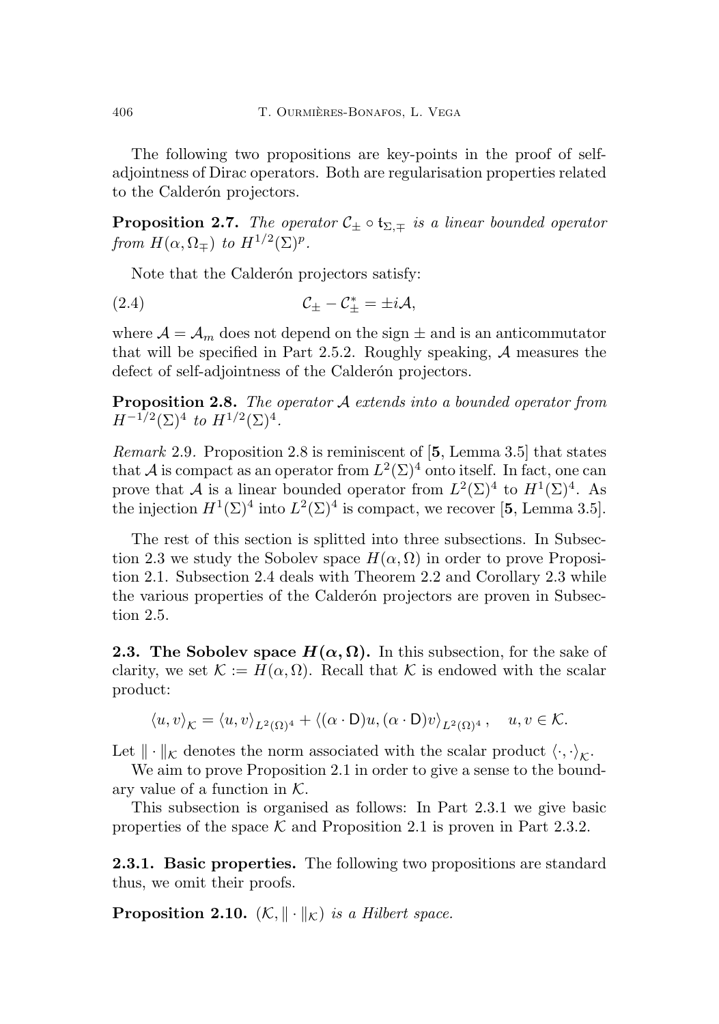The following two propositions are key-points in the proof of selfadjointness of Dirac operators. Both are regularisation properties related to the Calderón projectors.

<span id="page-9-3"></span>**Proposition 2.7.** The operator  $C_{\pm} \circ t_{\Sigma,\mp}$  is a linear bounded operator from  $H(\alpha,\Omega_{\mp})$  to  $H^{1/2}(\Sigma)^p$ .

<span id="page-9-4"></span>Note that the Calderón projectors satisfy:

$$
C_{\pm} - C_{\pm}^* = \pm i \mathcal{A},
$$

where  $\mathcal{A} = \mathcal{A}_m$  does not depend on the sign  $\pm$  and is an anticommutator that will be specified in Part [2.5.2.](#page-19-0) Roughly speaking,  $A$  measures the defect of self-adjointness of the Calderón projectors.

<span id="page-9-1"></span>Proposition 2.8. The operator A extends into a bounded operator from  $H^{-1/2}(\Sigma)^4$  to  $H^{1/2}(\Sigma)^4$ .

Remark 2.9. Proposition [2.8](#page-9-1) is reminiscent of [[5](#page-37-3), Lemma 3.5] that states that A is compact as an operator from  $L^2(\Sigma)^4$  onto itself. In fact, one can prove that A is a linear bounded operator from  $L^2(\Sigma)^4$  to  $H^1(\Sigma)^4$ . As the injection  $H^1(\Sigma)^4$  into  $L^2(\Sigma)^4$  is compact, we recover [[5](#page-37-3), Lemma 3.5].

The rest of this section is splitted into three subsections. In Subsec-tion [2.3](#page-9-0) we study the Sobolev space  $H(\alpha, \Omega)$  in order to prove Proposition [2.1.](#page-7-4) Subsection [2.4](#page-13-0) deals with Theorem [2.2](#page-7-3) and Corollary [2.3](#page-8-1) while the various properties of the Calderón projectors are proven in Subsection [2.5.](#page-16-0)

<span id="page-9-0"></span>**2.3.** The Sobolev space  $H(\alpha, \Omega)$ . In this subsection, for the sake of clarity, we set  $\mathcal{K} := H(\alpha, \Omega)$ . Recall that K is endowed with the scalar product:

$$
\langle u, v \rangle_{\mathcal{K}} = \langle u, v \rangle_{L^2(\Omega)^4} + \langle (\alpha \cdot \mathsf{D})u, (\alpha \cdot \mathsf{D})v \rangle_{L^2(\Omega)^4}, \quad u, v \in \mathcal{K}.
$$

Let  $\|\cdot\|_{\mathcal{K}}$  denotes the norm associated with the scalar product  $\langle \cdot, \cdot \rangle_{\mathcal{K}}$ .

We aim to prove Proposition [2.1](#page-7-4) in order to give a sense to the boundary value of a function in  $K$ .

This subsection is organised as follows: In Part [2.3.1](#page-9-2) we give basic properties of the space  $K$  and Proposition [2.1](#page-7-4) is proven in Part [2.3.2.](#page-11-0)

<span id="page-9-2"></span>2.3.1. Basic properties. The following two propositions are standard thus, we omit their proofs.

**Proposition 2.10.**  $(K, \|\cdot\|_K)$  is a Hilbert space.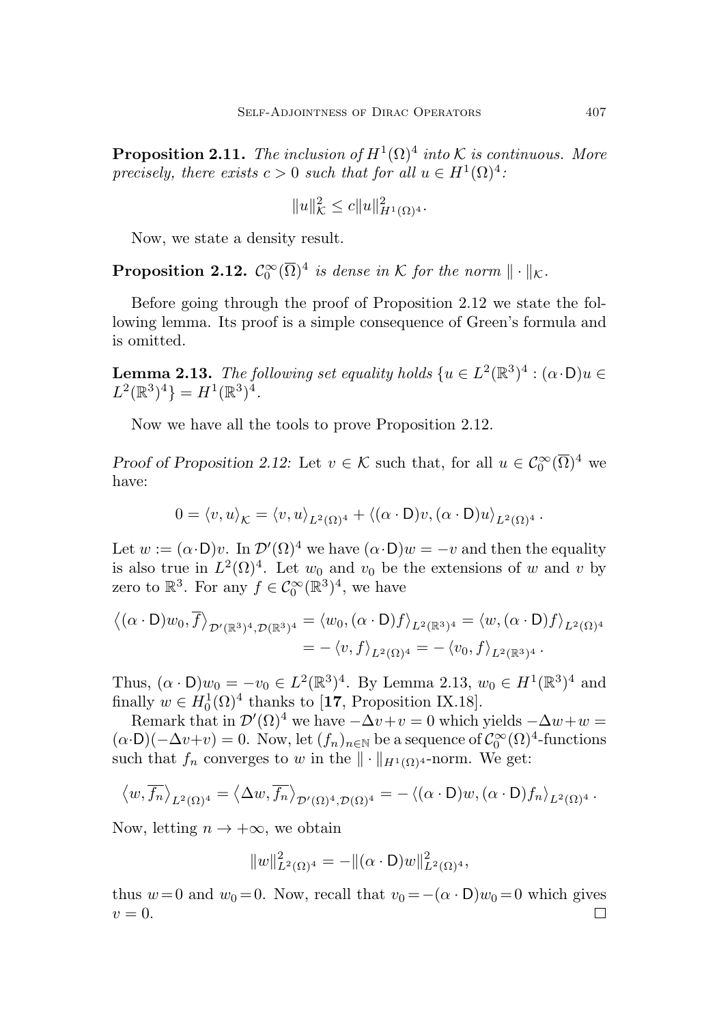<span id="page-10-2"></span>**Proposition 2.11.** The inclusion of  $H^1(\Omega)^4$  into K is continuous. More precisely, there exists  $c > 0$  such that for all  $u \in H^1(\Omega)^4$ :

$$
||u||_{\mathcal{K}}^2 \le c||u||_{H^1(\Omega)^4}^2.
$$

Now, we state a density result.

<span id="page-10-0"></span>**Proposition 2.12.**  $C_0^{\infty}(\overline{\Omega})^4$  is dense in K for the norm  $\|\cdot\|_{\mathcal{K}}$ .

Before going through the proof of Proposition [2.12](#page-10-0) we state the following lemma. Its proof is a simple consequence of Green's formula and is omitted.

<span id="page-10-1"></span>**Lemma 2.13.** The following set equality holds  $\{u \in L^2(\mathbb{R}^3)^4 : (\alpha \cdot \mathsf{D})u \in$  $L^2(\mathbb{R}^3)^4$  =  $H^1(\mathbb{R}^3)^4$ .

Now we have all the tools to prove Proposition [2.12.](#page-10-0)

Proof of Proposition [2.12:](#page-10-0) Let  $v \in \mathcal{K}$  such that, for all  $u \in C_0^{\infty}(\overline{\Omega})^4$  we have:

$$
0 = \langle v, u \rangle_{\mathcal{K}} = \langle v, u \rangle_{L^2(\Omega)^4} + \langle (\alpha \cdot \mathsf{D})v, (\alpha \cdot \mathsf{D})u \rangle_{L^2(\Omega)^4}.
$$

Let  $w := (\alpha \cdot D)v$ . In  $\mathcal{D}'(\Omega)^4$  we have  $(\alpha \cdot D)w = -v$  and then the equality is also true in  $L^2(\Omega)^4$ . Let  $w_0$  and  $v_0$  be the extensions of w and v by zero to  $\mathbb{R}^3$ . For any  $f \in C_0^{\infty}(\mathbb{R}^3)^4$ , we have

$$
\langle (\alpha \cdot \mathsf{D})w_0, \overline{f} \rangle_{\mathcal{D}'(\mathbb{R}^3)^4, \mathcal{D}(\mathbb{R}^3)^4} = \langle w_0, (\alpha \cdot \mathsf{D})f \rangle_{L^2(\mathbb{R}^3)^4} = \langle w, (\alpha \cdot \mathsf{D})f \rangle_{L^2(\Omega)^4}
$$
  
=  $-\langle v, f \rangle_{L^2(\Omega)^4} = -\langle v_0, f \rangle_{L^2(\mathbb{R}^3)^4}.$ 

Thus,  $(\alpha \cdot D)w_0 = -v_0 \in L^2(\mathbb{R}^3)^4$ . By Lemma [2.13,](#page-10-1)  $w_0 \in H^1(\mathbb{R}^3)^4$  and finally  $w \in H_0^1(\Omega)^4$  thanks to [[17](#page-38-8), Proposition IX.18].

Remark that in  $\mathcal{D}'(\Omega)^4$  we have  $-\Delta v+v=0$  which yields  $-\Delta w+w=0$  $(\alpha \cdot \mathsf{D})(-\Delta v+v) = 0$ . Now, let  $(f_n)_{n \in \mathbb{N}}$  be a sequence of  $\mathcal{C}_0^{\infty}(\Omega)^4$ -functions such that  $f_n$  converges to w in the  $\|\cdot\|_{H^1(\Omega)^4}$ -norm. We get:

$$
\langle w, \overline{f_n} \rangle_{L^2(\Omega)^4} = \langle \Delta w, \overline{f_n} \rangle_{\mathcal{D}'(\Omega)^4, \mathcal{D}(\Omega)^4} = - \langle (\alpha \cdot D)w, (\alpha \cdot D)f_n \rangle_{L^2(\Omega)^4}.
$$

Now, letting  $n \to +\infty$ , we obtain

$$
||w||_{L^2(\Omega)^4}^2 = -||(\alpha \cdot \mathsf{D})w||_{L^2(\Omega)^4}^2,
$$

thus  $w=0$  and  $w_0=0$ . Now, recall that  $v_0 = -(\alpha \cdot D)w_0 = 0$  which gives  $v=0.$ □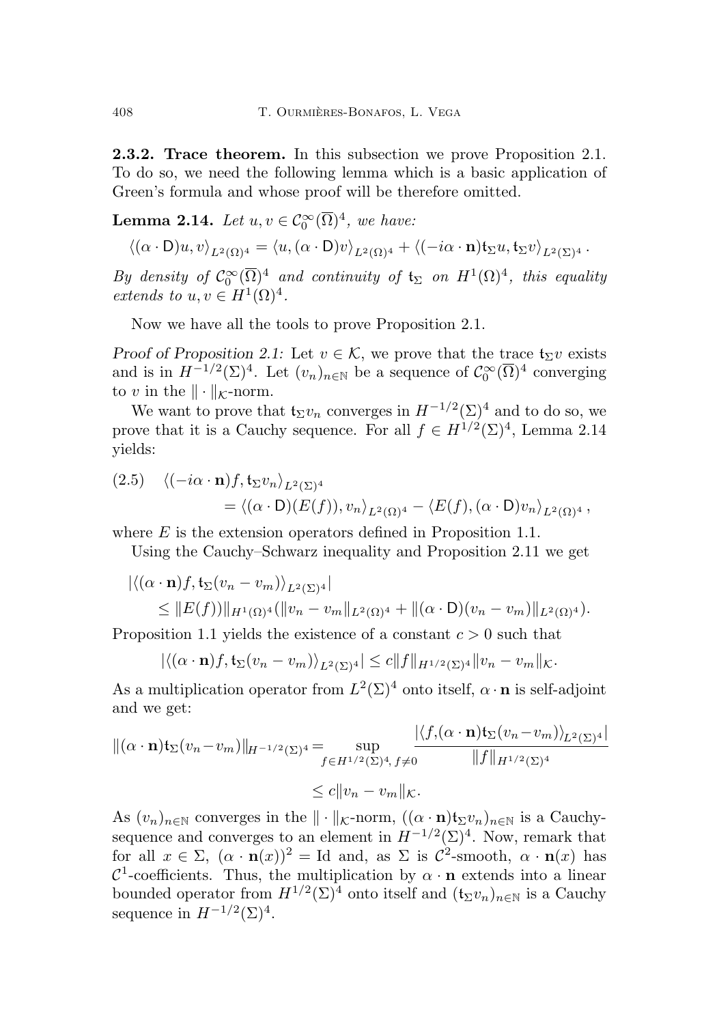<span id="page-11-0"></span>2.3.2. Trace theorem. In this subsection we prove Proposition [2.1.](#page-7-4) To do so, we need the following lemma which is a basic application of Green's formula and whose proof will be therefore omitted.

<span id="page-11-1"></span>**Lemma 2.14.** Let  $u, v \in C_0^{\infty}(\overline{\Omega})^4$ , we have:

$$
\left\langle (\alpha \cdot \mathsf{D}) u, v \right\rangle_{L^2(\Omega)^4} = \left\langle u, (\alpha \cdot \mathsf{D}) v \right\rangle_{L^2(\Omega)^4} + \left\langle (-i\alpha \cdot \mathbf{n}) \mathfrak{t}_{\Sigma} u, \mathfrak{t}_{\Sigma} v \right\rangle_{L^2(\Sigma)^4}.
$$

By density of  $C_0^{\infty}(\overline{\Omega})^4$  and continuity of  $\mathfrak{t}_{\Sigma}$  on  $H^1(\Omega)^4$ , this equality extends to  $u, v \in H^1(\Omega)^4$ .

Now we have all the tools to prove Proposition [2.1.](#page-7-4)

Proof of Proposition [2.1:](#page-7-4) Let  $v \in \mathcal{K}$ , we prove that the trace  $\mathfrak{t}_{\Sigma}v$  exists and is in  $H^{-1/2}(\Sigma)^4$ . Let  $(v_n)_{n\in\mathbb{N}}$  be a sequence of  $\mathcal{C}_0^{\infty}(\overline{\Omega})^4$  converging to v in the  $\|\cdot\|_{\mathcal{K}}$ -norm.

We want to prove that  $\mathfrak{t}_{\Sigma}v_n$  converges in  $H^{-1/2}(\Sigma)^4$  and to do so, we prove that it is a Cauchy sequence. For all  $f \in H^{1/2}(\Sigma)^4$ , Lemma [2.14](#page-11-1) yields:

<span id="page-11-2"></span>(2.5) 
$$
\langle (-i\alpha \cdot \mathbf{n})f, \mathbf{t}_{\Sigma}v_{n} \rangle_{L^{2}(\Sigma)^{4}} = \langle (\alpha \cdot \mathbf{D})(E(f)), v_{n} \rangle_{L^{2}(\Omega)^{4}} - \langle E(f), (\alpha \cdot \mathbf{D})v_{n} \rangle_{L^{2}(\Omega)^{4}},
$$

where  $E$  is the extension operators defined in Proposition [1.1.](#page-5-0)

Using the Cauchy–Schwarz inequality and Proposition [2.11](#page-10-2) we get

$$
\left| \langle (\alpha \cdot \mathbf{n})f, \mathfrak{t}_{\Sigma}(v_n - v_m) \rangle_{L^2(\Sigma)^4} \right|
$$
  
\n
$$
\leq \|E(f))\|_{H^1(\Omega)^4} (\|v_n - v_m\|_{L^2(\Omega)^4} + \|(\alpha \cdot \mathsf{D})(v_n - v_m)\|_{L^2(\Omega)^4}).
$$

Proposition [1.1](#page-5-0) yields the existence of a constant  $c > 0$  such that

$$
|\langle (\alpha \cdot \mathbf{n})f, \mathfrak{t}_{\Sigma}(v_n - v_m) \rangle_{L^2(\Sigma)^4}| \leq c \|f\|_{H^{1/2}(\Sigma)^4} \|v_n - v_m\|_{\mathcal{K}}.
$$

As a multiplication operator from  $L^2(\Sigma)^4$  onto itself,  $\alpha \cdot \mathbf{n}$  is self-adjoint and we get:

$$
\begin{aligned} ||(\alpha \cdot \mathbf{n}) \mathfrak{t}_{\Sigma}(v_n - v_m)||_{H^{-1/2}(\Sigma)^4} &= \sup_{f \in H^{1/2}(\Sigma)^4, \, f \neq 0} \frac{|\langle f, (\alpha \cdot \mathbf{n}) \mathfrak{t}_{\Sigma}(v_n - v_m) \rangle_{L^2(\Sigma)^4}|}{||f||_{H^{1/2}(\Sigma)^4}} \\ &\leq c||v_n - v_m||_{\mathcal{K}}. \end{aligned}
$$

As  $(v_n)_{n\in\mathbb{N}}$  converges in the  $\|\cdot\|_{\mathcal{K}}$ -norm,  $((\alpha \cdot \mathbf{n})\mathfrak{t}_{\Sigma}v_n)_{n\in\mathbb{N}}$  is a Cauchysequence and converges to an element in  $H^{-1/2}(\Sigma)^4$ . Now, remark that for all  $x \in \Sigma$ ,  $(\alpha \cdot \mathbf{n}(x))^2 = \text{Id}$  and, as  $\Sigma$  is  $\mathcal{C}^2$ -smooth,  $\alpha \cdot \mathbf{n}(x)$  has  $\mathcal{C}^1$ -coefficients. Thus, the multiplication by  $\alpha \cdot \mathbf{n}$  extends into a linear bounded operator from  $H^{1/2}(\Sigma)^4$  onto itself and  $(\mathfrak{t}_{\Sigma}v_n)_{n\in\mathbb{N}}$  is a Cauchy sequence in  $H^{-1/2}(\Sigma)^4$ .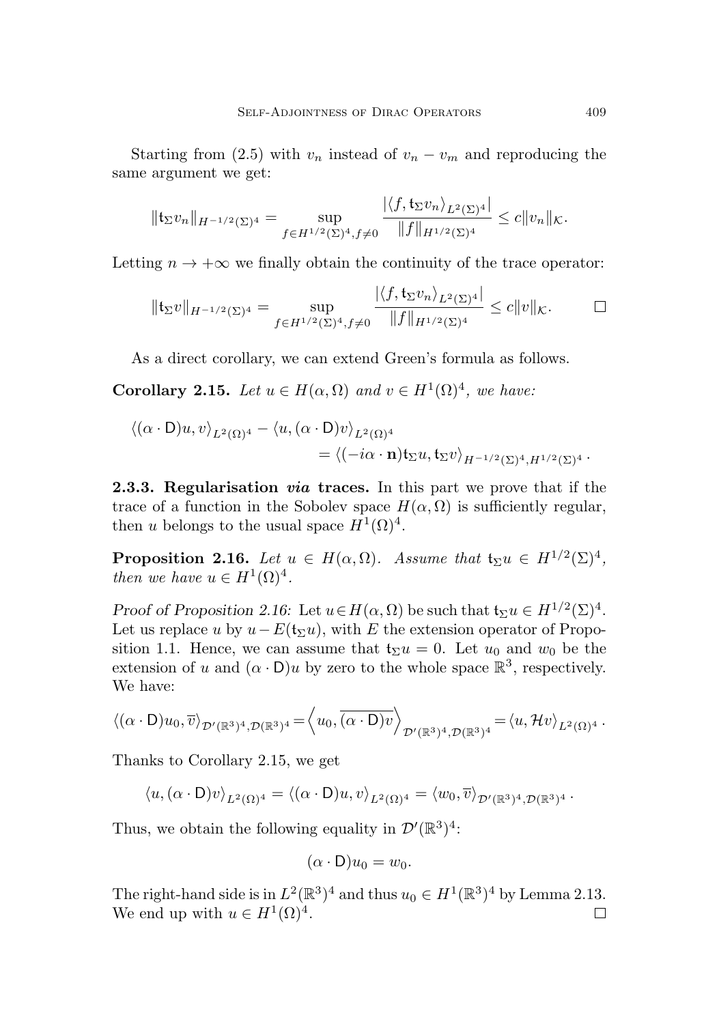Starting from [\(2.5\)](#page-11-2) with  $v_n$  instead of  $v_n - v_m$  and reproducing the same argument we get:

$$
\|\mathfrak{t}_{\Sigma}v_{n}\|_{H^{-1/2}(\Sigma)^{4}}=\sup_{f\in H^{1/2}(\Sigma)^{4},f\neq 0}\frac{|\langle f,\mathfrak{t}_{\Sigma}v_{n}\rangle_{L^{2}(\Sigma)^{4}}|}{\|f\|_{H^{1/2}(\Sigma)^{4}}}\leq c\|v_{n}\|_{\mathcal{K}}.
$$

Letting  $n \to +\infty$  we finally obtain the continuity of the trace operator:

$$
\|\mathfrak{t}_{\Sigma}v\|_{H^{-1/2}(\Sigma)^4} = \sup_{f \in H^{1/2}(\Sigma)^4, f \neq 0} \frac{|\langle f, \mathfrak{t}_{\Sigma}v_n \rangle_{L^2(\Sigma)^4}|}{\|f\|_{H^{1/2}(\Sigma)^4}} \leq c\|v\|_{\mathcal{K}}.\quad \Box
$$

As a direct corollary, we can extend Green's formula as follows.

<span id="page-12-1"></span>**Corollary 2.15.** Let  $u \in H(\alpha, \Omega)$  and  $v \in H^1(\Omega)^4$ , we have:

$$
\langle (\alpha \cdot \mathsf{D})u, v \rangle_{L^2(\Omega)^4} - \langle u, (\alpha \cdot \mathsf{D})v \rangle_{L^2(\Omega)^4}
$$
  
= 
$$
\langle (-i\alpha \cdot \mathbf{n}) \mathfrak{t}_{\Sigma}u, \mathfrak{t}_{\Sigma}v \rangle_{H^{-1/2}(\Sigma)^4, H^{1/2}(\Sigma)^4}.
$$

2.3.3. Regularisation via traces. In this part we prove that if the trace of a function in the Sobolev space  $H(\alpha, \Omega)$  is sufficiently regular, then u belongs to the usual space  $H^1(\Omega)^4$ .

<span id="page-12-0"></span>**Proposition 2.16.** Let  $u \in H(\alpha, \Omega)$ . Assume that  $\mathfrak{t}_{\Sigma}u \in H^{1/2}(\Sigma)^4$ , then we have  $u \in H^1(\Omega)^4$ .

Proof of Proposition [2.16:](#page-12-0) Let  $u \in H(\alpha, \Omega)$  be such that  $\mathfrak{t}_{\Sigma} u \in H^{1/2}(\Sigma)^4$ . Let us replace u by  $u-E(t_{\Sigma}u)$ , with E the extension operator of Propo-sition [1.1.](#page-5-0) Hence, we can assume that  $t_{\Sigma}u = 0$ . Let  $u_0$  and  $w_0$  be the extension of u and  $(\alpha \cdot D)u$  by zero to the whole space  $\mathbb{R}^3$ , respectively. We have:

$$
\langle (\alpha \cdot D)u_0, \overline{v} \rangle_{\mathcal{D}'(\mathbb{R}^3)^4, \mathcal{D}(\mathbb{R}^3)^4} = \langle u_0, \overline{(\alpha \cdot D)v} \rangle_{\mathcal{D}'(\mathbb{R}^3)^4, \mathcal{D}(\mathbb{R}^3)^4} = \langle u, \mathcal{H}v \rangle_{L^2(\Omega)^4}.
$$

Thanks to Corollary [2.15,](#page-12-1) we get

 $\langle u, (\alpha \cdot D)v \rangle_{L^2(\Omega)^4} = \langle (\alpha \cdot D)u, v \rangle_{L^2(\Omega)^4} = \langle w_0, \overline{v} \rangle_{\mathcal{D}'(\mathbb{R}^3)^4, \mathcal{D}(\mathbb{R}^3)^4}.$ 

Thus, we obtain the following equality in  $\mathcal{D}'(\mathbb{R}^3)^4$ :

$$
(\alpha \cdot \mathsf{D})u_0 = w_0.
$$

The right-hand side is in  $L^2(\mathbb{R}^3)^4$  and thus  $u_0 \in H^1(\mathbb{R}^3)^4$  by Lemma [2.13.](#page-10-1) We end up with  $u \in H^1(\Omega)^4$ . □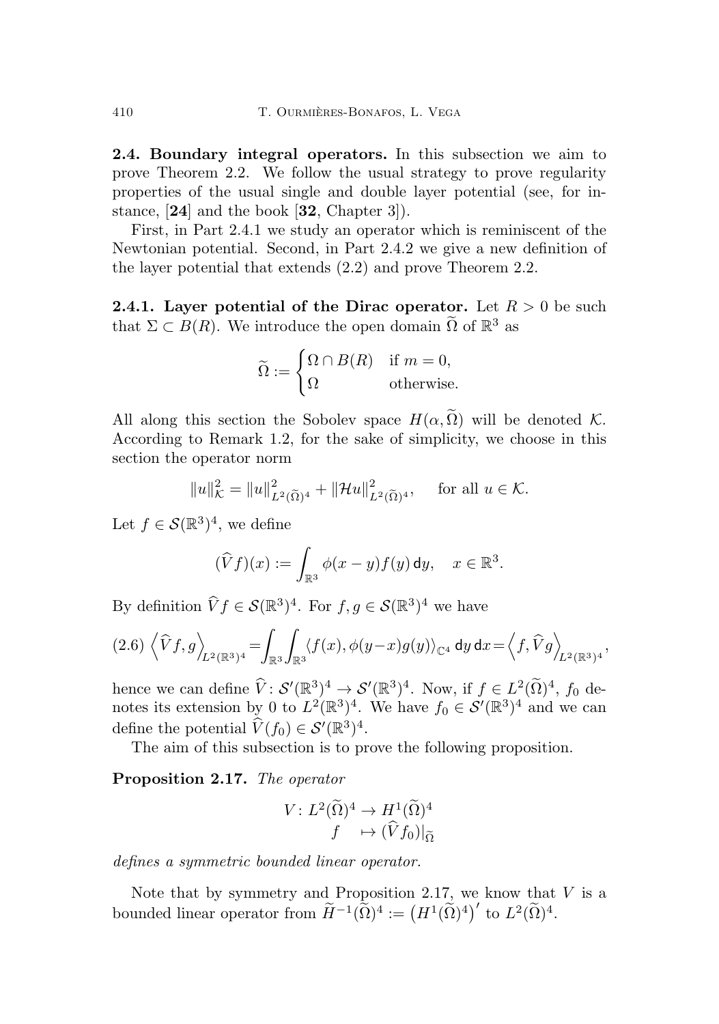<span id="page-13-0"></span>2.4. Boundary integral operators. In this subsection we aim to prove Theorem [2.2.](#page-7-3) We follow the usual strategy to prove regularity properties of the usual single and double layer potential (see, for instance, [[24](#page-39-6)] and the book [[32](#page-40-0), Chapter 3]).

First, in Part [2.4.1](#page-13-1) we study an operator which is reminiscent of the Newtonian potential. Second, in Part [2.4.2](#page-15-0) we give a new definition of the layer potential that extends [\(2.2\)](#page-7-5) and prove Theorem [2.2.](#page-7-3)

<span id="page-13-1"></span>**2.4.1.** Layer potential of the Dirac operator. Let  $R > 0$  be such that  $\Sigma \subset B(R)$ . We introduce the open domain  $\tilde{\Omega}$  of  $\mathbb{R}^3$  as

$$
\widetilde{\Omega} := \begin{cases} \Omega \cap B(R) & \text{if } m = 0, \\ \Omega & \text{otherwise.} \end{cases}
$$

All along this section the Sobolev space  $H(\alpha, \tilde{\Omega})$  will be denoted K. According to Remark [1.2,](#page-6-1) for the sake of simplicity, we choose in this section the operator norm

$$
||u||_{\mathcal{K}}^2 = ||u||_{L^2(\widetilde{\Omega})^4}^2 + ||\mathcal{H}u||_{L^2(\widetilde{\Omega})^4}^2
$$
, for all  $u \in \mathcal{K}$ .

Let  $f \in \mathcal{S}(\mathbb{R}^3)^4$ , we define

$$
(\widehat{V}f)(x) := \int_{\mathbb{R}^3} \phi(x-y)f(y) \, \mathrm{d}y, \quad x \in \mathbb{R}^3.
$$

By definition  $\widehat{V}f \in \mathcal{S}(\mathbb{R}^3)^4$ . For  $f, g \in \mathcal{S}(\mathbb{R}^3)^4$  we have

$$
(2.6)\left\langle \widehat{V}f,g\right\rangle_{\mathcal{L}^2(\mathbb{R}^3)^4}=\int_{\mathbb{R}^3}\int_{\mathbb{R}^3}\langle f(x),\phi(y-x)g(y)\rangle_{\mathbb{C}^4} \,dy\,dx=\left\langle f,\widehat{V}g\right\rangle_{\mathcal{L}^2(\mathbb{R}^3)^4},
$$

hence we can define  $\hat{V}: S'(\mathbb{R}^3)^4 \to S'(\mathbb{R}^3)^4$ . Now, if  $f \in L^2(\tilde{\Omega})^4$ ,  $f_0$  denotes its extension by 0 to  $L^2(\mathbb{R}^3)^4$ . We have  $f_0 \in \mathcal{S}'(\mathbb{R}^3)^4$  and we can define the potential  $\widehat{V}(f_0) \in \mathcal{S}'(\mathbb{R}^3)^4$ .

The aim of this subsection is to prove the following proposition.

<span id="page-13-2"></span>Proposition 2.17. The operator

$$
V: L^2(\widetilde{\Omega})^4 \to H^1(\widetilde{\Omega})^4
$$

$$
f \mapsto (\widehat{V}f_0)|_{\widetilde{\Omega}}
$$

defines a symmetric bounded linear operator.

Note that by symmetry and Proposition [2.17,](#page-13-2) we know that  $V$  is a bounded linear operator from  $\widetilde{H}^{-1}(\widetilde{\Omega})^4 := (H^1(\widetilde{\Omega})^4)'$  to  $L^2(\widetilde{\Omega})^4$ .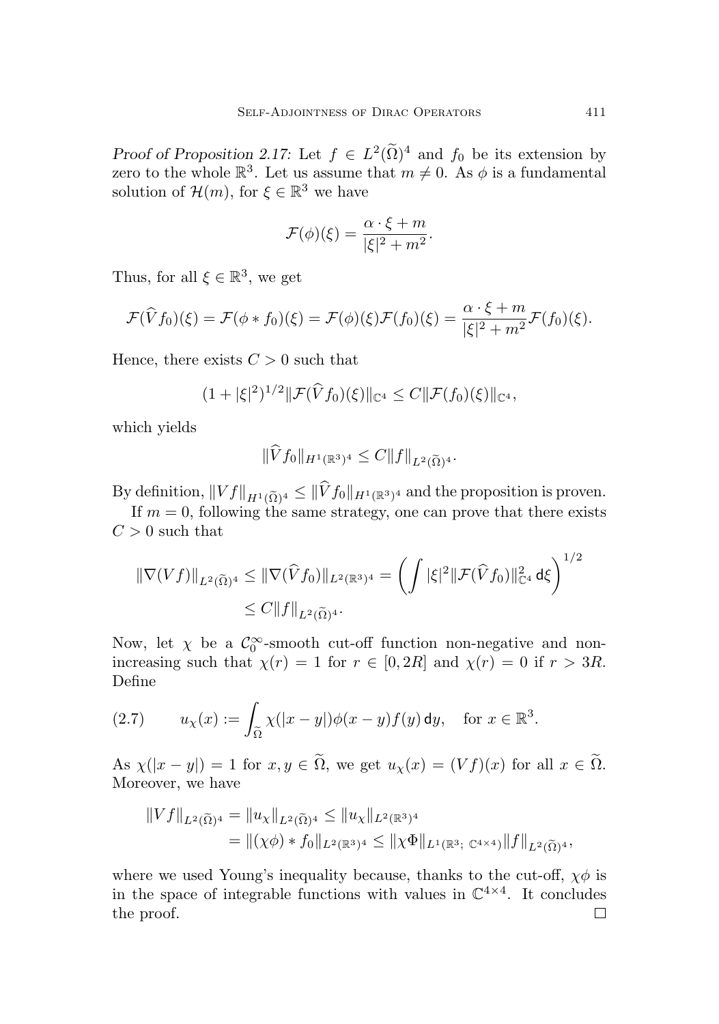Proof of Proposition [2.17:](#page-13-2) Let  $f \in L^2(\Omega)^4$  and  $f_0$  be its extension by zero to the whole  $\mathbb{R}^3$ . Let us assume that  $m \neq 0$ . As  $\phi$  is a fundamental solution of  $\mathcal{H}(m)$ , for  $\xi \in \mathbb{R}^3$  we have

$$
\mathcal{F}(\phi)(\xi) = \frac{\alpha \cdot \xi + m}{|\xi|^2 + m^2}.
$$

Thus, for all  $\xi \in \mathbb{R}^3$ , we get

$$
\mathcal{F}(\widehat{V}f_0)(\xi) = \mathcal{F}(\phi * f_0)(\xi) = \mathcal{F}(\phi)(\xi)\mathcal{F}(f_0)(\xi) = \frac{\alpha \cdot \xi + m}{|\xi|^2 + m^2}\mathcal{F}(f_0)(\xi).
$$

Hence, there exists  $C > 0$  such that

$$
(1+|\xi|^2)^{1/2} \|\mathcal{F}(\widehat{V}f_0)(\xi)\|_{\mathbb{C}^4} \leq C \|\mathcal{F}(f_0)(\xi)\|_{\mathbb{C}^4},
$$

which yields

$$
\|Vf_0\|_{H^1(\mathbb{R}^3)^4} \leq C \|f\|_{L^2(\widetilde{\Omega})^4}.
$$

By definition,  $||Vf||_{H^1(\tilde{\Omega})^4} \le ||Vf_0||_{H^1(\mathbb{R}^3)^4}$  and the proposition is proven.

If  $m = 0$ , following the same strategy, one can prove that there exists  $C > 0$  such that

$$
\|\nabla(Vf)\|_{L^2(\widetilde{\Omega})^4} \le \|\nabla(\widehat{V}f_0)\|_{L^2(\mathbb{R}^3)^4} = \left(\int |\xi|^2 \|\mathcal{F}(\widehat{V}f_0)\|_{\mathbb{C}^4}^2 d\xi\right)^{1/2} \le C\|f\|_{L^2(\widetilde{\Omega})^4}.
$$

Now, let  $\chi$  be a  $\mathcal{C}_0^{\infty}$ -smooth cut-off function non-negative and nonincreasing such that  $\chi(r) = 1$  for  $r \in [0, 2R]$  and  $\chi(r) = 0$  if  $r > 3R$ . Define

(2.7) 
$$
u_{\chi}(x) := \int_{\widetilde{\Omega}} \chi(|x-y|) \phi(x-y) f(y) \, \mathrm{d}y, \quad \text{for } x \in \mathbb{R}^3.
$$

As  $\chi(|x-y|) = 1$  for  $x, y \in \tilde{\Omega}$ , we get  $u_{\chi}(x) = (Vf)(x)$  for all  $x \in \tilde{\Omega}$ . Moreover, we have

$$
||Vf||_{L^{2}(\widetilde{\Omega})^{4}} = ||u_{\chi}||_{L^{2}(\widetilde{\Omega})^{4}} \leq ||u_{\chi}||_{L^{2}(\mathbb{R}^{3})^{4}}
$$
  
= 
$$
||(\chi\phi) * f_{0}||_{L^{2}(\mathbb{R}^{3})^{4}} \leq ||\chi\Phi||_{L^{1}(\mathbb{R}^{3}; \mathbb{C}^{4\times4})} ||f||_{L^{2}(\widetilde{\Omega})^{4}},
$$

where we used Young's inequality because, thanks to the cut-off,  $\chi\phi$  is in the space of integrable functions with values in  $\mathbb{C}^{4 \times 4}$ . It concludes the proof.□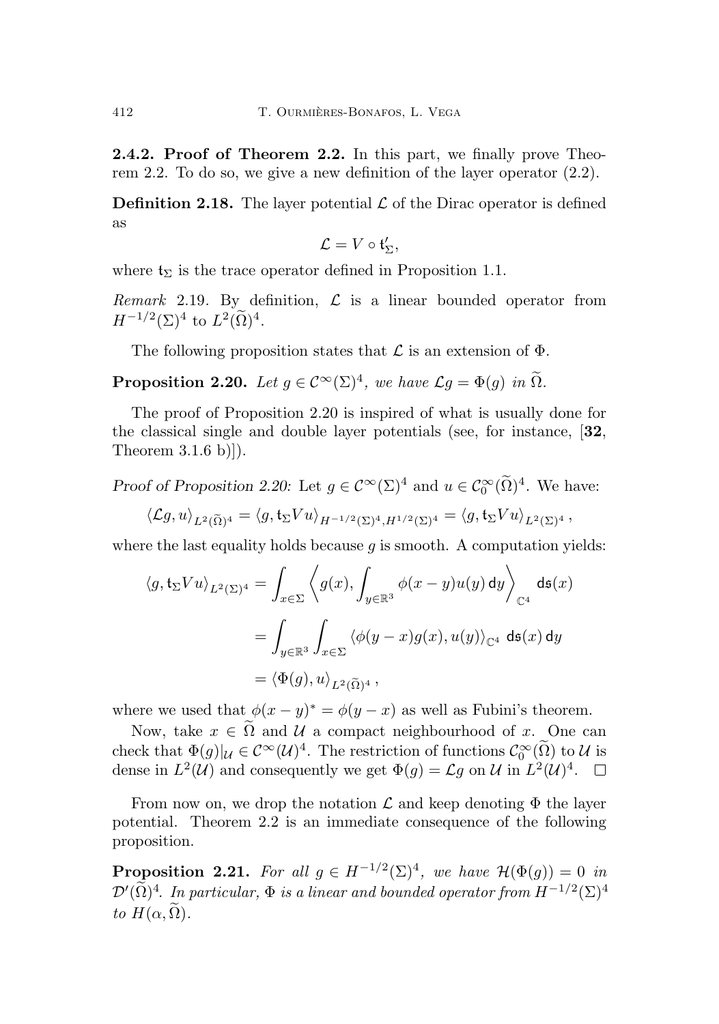<span id="page-15-0"></span>2.4.2. Proof of Theorem [2.2.](#page-7-3) In this part, we finally prove Theorem [2.2.](#page-7-3) To do so, we give a new definition of the layer operator [\(2.2\)](#page-7-5).

**Definition 2.18.** The layer potential  $\mathcal{L}$  of the Dirac operator is defined as

$$
\mathcal{L}=V\circ\mathfrak{t}'_\Sigma,
$$

where  $t_{\Sigma}$  is the trace operator defined in Proposition [1.1.](#page-5-0)

Remark 2.19. By definition,  $\mathcal{L}$  is a linear bounded operator from  $H^{-1/2}(\Sigma)^4$  to  $L^2(\Omega)^4$ .

The following proposition states that  $\mathcal L$  is an extension of  $\Phi$ .

<span id="page-15-1"></span>**Proposition 2.20.** Let  $g \in C^{\infty}(\Sigma)^4$ , we have  $\mathcal{L}g = \Phi(g)$  in  $\Omega$ .

The proof of Proposition [2.20](#page-15-1) is inspired of what is usually done for the classical single and double layer potentials (see, for instance, [[32](#page-40-0), Theorem 3.1.6 b)]).

Proof of Proposition [2.20:](#page-15-1) Let  $g \in C^{\infty}(\Sigma)^{4}$  and  $u \in C_0^{\infty}(\Omega)^{4}$ . We have:

$$
\langle \mathcal{L}g, u \rangle_{L^2(\widetilde{\Omega})^4} = \langle g, \mathfrak{t}_{\Sigma} V u \rangle_{H^{-1/2}(\Sigma)^4, H^{1/2}(\Sigma)^4} = \langle g, \mathfrak{t}_{\Sigma} V u \rangle_{L^2(\Sigma)^4},
$$

where the last equality holds because  $q$  is smooth. A computation yields:

$$
\langle g, \mathfrak{t}_{\Sigma} V u \rangle_{L^2(\Sigma)^4} = \int_{x \in \Sigma} \left\langle g(x), \int_{y \in \mathbb{R}^3} \phi(x - y) u(y) \, \mathrm{d}y \right\rangle_{\mathbb{C}^4} \, \mathrm{d}\mathfrak{s}(x)
$$

$$
= \int_{y \in \mathbb{R}^3} \int_{x \in \Sigma} \left\langle \phi(y - x) g(x), u(y) \right\rangle_{\mathbb{C}^4} \, \mathrm{d}\mathfrak{s}(x) \, \mathrm{d}y
$$

$$
= \left\langle \Phi(g), u \right\rangle_{L^2(\widetilde{\Omega})^4},
$$

where we used that  $\phi(x-y)^* = \phi(y-x)$  as well as Fubini's theorem.

Now, take  $x \in \tilde{\Omega}$  and  $\mathcal U$  a compact neighbourhood of x. One can check that  $\Phi(g)|_{\mathcal{U}} \in C^{\infty}(\mathcal{U})^4$ . The restriction of functions  $C^{\infty}_{0}(\Omega)$  to  $\mathcal{U}$  is dense in  $L^2(\mathcal{U})$  and consequently we get  $\Phi(g) = \mathcal{L}g$  on  $\mathcal{U}$  in  $L^2(\mathcal{U})^4$ .

From now on, we drop the notation  $\mathcal L$  and keep denoting  $\Phi$  the layer potential. Theorem [2.2](#page-7-3) is an immediate consequence of the following proposition.

<span id="page-15-2"></span>**Proposition 2.21.** For all  $g \in H^{-1/2}(\Sigma)^4$ , we have  $\mathcal{H}(\Phi(g)) = 0$  in  $\mathcal{D}'(\tilde{\Omega})^4$ . In particular,  $\Phi$  is a linear and bounded operator from  $H^{-1/2}(\Sigma)^4$ to  $H(\alpha, \tilde{\Omega})$ .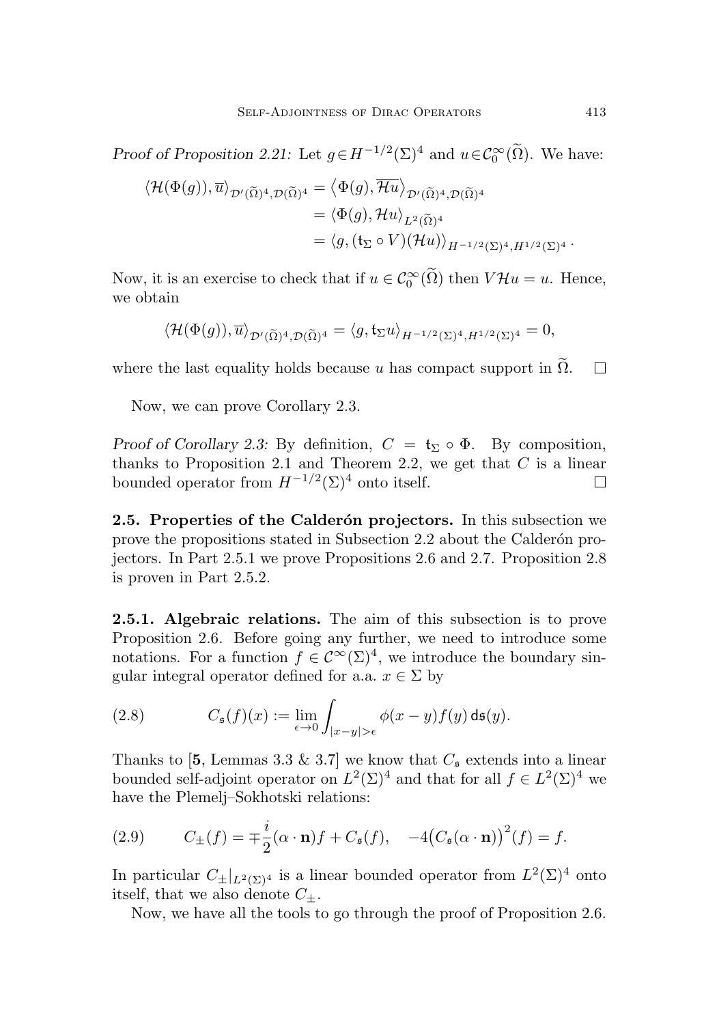Proof of Proposition [2.21:](#page-15-2) Let  $g \in H^{-1/2}(\Sigma)^4$  and  $u \in C_0^{\infty}(\Omega)$ . We have:

$$
\langle \mathcal{H}(\Phi(g)), \overline{u} \rangle_{\mathcal{D}'(\widetilde{\Omega})^4, \mathcal{D}(\widetilde{\Omega})^4} = \langle \Phi(g), \overline{\mathcal{H}u} \rangle_{\mathcal{D}'(\widetilde{\Omega})^4, \mathcal{D}(\widetilde{\Omega})^4}
$$
  

$$
= \langle \Phi(g), \mathcal{H}u \rangle_{L^2(\widetilde{\Omega})^4}
$$
  

$$
= \langle g, (\mathfrak{t}_{\Sigma} \circ V)(\mathcal{H}u) \rangle_{H^{-1/2}(\Sigma)^4, H^{1/2}(\Sigma)^4}.
$$

Now, it is an exercise to check that if  $u \in C_0^{\infty}(\overline{\Omega})$  then  $V\mathcal{H}u = u$ . Hence, we obtain

$$
\langle \mathcal{H}(\Phi(g)),\overline{u}\rangle_{\mathcal{D}'(\widetilde{\Omega})^4,\mathcal{D}(\widetilde{\Omega})^4} = \langle g,\mathfrak{t}_{\Sigma}u\rangle_{H^{-1/2}(\Sigma)^4,H^{1/2}(\Sigma)^4} = 0,
$$

where the last equality holds because  $u$  has compact support in  $\widetilde{\Omega}$ .  $\Box$ 

Now, we can prove Corollary [2.3.](#page-8-1)

Proof of Corollary [2.3:](#page-8-1) By definition,  $C = \mathfrak{t}_{\Sigma} \circ \Phi$ . By composition, thanks to Proposition [2.1](#page-7-4) and Theorem [2.2,](#page-7-3) we get that  $C$  is a linear bounded operator from  $H^{-1/2}(\Sigma)^4$  onto itself.  $\Box$ 

<span id="page-16-0"></span>2.5. Properties of the Calderón projectors. In this subsection we prove the propositions stated in Subsection [2.2](#page-8-0) about the Calderon projectors. In Part [2.5.1](#page-16-1) we prove Propositions [2.6](#page-8-2) and [2.7.](#page-9-3) Proposition [2.8](#page-9-1) is proven in Part [2.5.2.](#page-19-0)

<span id="page-16-1"></span>2.5.1. Algebraic relations. The aim of this subsection is to prove Proposition [2.6.](#page-8-2) Before going any further, we need to introduce some notations. For a function  $f \in C^{\infty}(\Sigma)^4$ , we introduce the boundary singular integral operator defined for a.a.  $x \in \Sigma$  by

(2.8) 
$$
C_{\mathfrak{s}}(f)(x) := \lim_{\epsilon \to 0} \int_{|x-y| > \epsilon} \phi(x-y) f(y) \, \mathrm{d} \mathfrak{s}(y).
$$

Thanks to [[5](#page-37-3), Lemmas 3.3 & 3.7] we know that  $C_{\mathfrak{s}}$  extends into a linear bounded self-adjoint operator on  $L^2(\Sigma)^4$  and that for all  $f \in L^2(\Sigma)^4$  we have the Plemelj–Sokhotski relations:

<span id="page-16-2"></span>(2.9) 
$$
C_{\pm}(f) = \mp \frac{i}{2}(\alpha \cdot \mathbf{n})f + C_{\mathfrak{s}}(f), \quad -4\big(C_{\mathfrak{s}}(\alpha \cdot \mathbf{n})\big)^2(f) = f.
$$

In particular  $C_{\pm}|_{L^2(\Sigma)^4}$  is a linear bounded operator from  $L^2(\Sigma)^4$  onto itself, that we also denote  $C_{+}$ .

Now, we have all the tools to go through the proof of Proposition [2.6.](#page-8-2)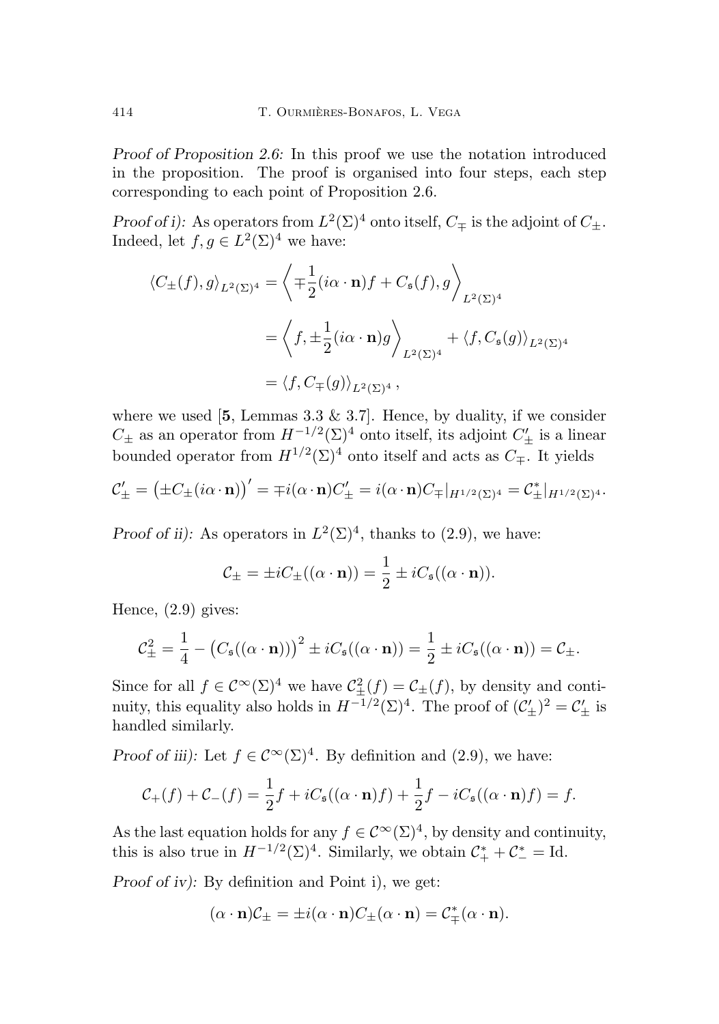Proof of Proposition [2.6:](#page-8-2) In this proof we use the notation introduced in the proposition. The proof is organised into four steps, each step corresponding to each point of Proposition [2.6.](#page-8-2)

Proof of i): As operators from  $L^2(\Sigma)^4$  onto itself,  $C_{\pm}$  is the adjoint of  $C_{\pm}$ . Indeed, let  $f, g \in L^2(\Sigma)^4$  we have:

$$
\langle C_{\pm}(f), g \rangle_{L^2(\Sigma)^4} = \left\langle \mp \frac{1}{2} (i\alpha \cdot \mathbf{n}) f + C_{\mathfrak{s}}(f), g \right\rangle_{L^2(\Sigma)^4}
$$

$$
= \left\langle f, \pm \frac{1}{2} (i\alpha \cdot \mathbf{n}) g \right\rangle_{L^2(\Sigma)^4} + \left\langle f, C_{\mathfrak{s}}(g) \right\rangle_{L^2(\Sigma)^4}
$$

$$
= \left\langle f, C_{\mp}(g) \right\rangle_{L^2(\Sigma)^4},
$$

where we used  $[5,$  $[5,$  $[5,$  Lemmas 3.3 & 3.7. Hence, by duality, if we consider  $C_{\pm}$  as an operator from  $H^{-1/2}(\Sigma)^4$  onto itself, its adjoint  $C'_{\pm}$  is a linear bounded operator from  $H^{1/2}(\Sigma)^4$  onto itself and acts as  $C_{\pm}$ . It yields

$$
\mathcal{C}'_{\pm} = \big(\pm C_{\pm} (i\alpha \cdot \mathbf{n})\big)' = \mp i(\alpha \cdot \mathbf{n})C'_{\pm} = i(\alpha \cdot \mathbf{n})C_{\mp}|_{H^{1/2}(\Sigma)^4} = \mathcal{C}_{\pm}^*|_{H^{1/2}(\Sigma)^4}.
$$

Proof of ii): As operators in  $L^2(\Sigma)^4$ , thanks to [\(2.9\)](#page-16-2), we have:

$$
C_{\pm} = \pm i C_{\pm}((\alpha \cdot \mathbf{n})) = \frac{1}{2} \pm i C_{\mathfrak{s}}((\alpha \cdot \mathbf{n})).
$$

Hence, [\(2.9\)](#page-16-2) gives:

$$
\mathcal{C}_{\pm}^2 = \frac{1}{4} - (C_{\mathfrak{s}}((\alpha \cdot \mathbf{n})))^2 \pm iC_{\mathfrak{s}}((\alpha \cdot \mathbf{n})) = \frac{1}{2} \pm iC_{\mathfrak{s}}((\alpha \cdot \mathbf{n})) = \mathcal{C}_{\pm}.
$$

Since for all  $f \in C^{\infty}(\Sigma)^4$  we have  $C^2_{\pm}(f) = C_{\pm}(f)$ , by density and continuity, this equality also holds in  $H^{-1/2}(\Sigma)^4$ . The proof of  $(\mathcal{C}'_{\pm})^2 = \mathcal{C}'_{\pm}$  is handled similarly.

Proof of iii): Let  $f \in C^{\infty}(\Sigma)^4$ . By definition and [\(2.9\)](#page-16-2), we have:

$$
\mathcal{C}_+(f) + \mathcal{C}_-(f) = \frac{1}{2}f + iC_{\mathfrak{s}}((\alpha \cdot \mathbf{n})f) + \frac{1}{2}f - iC_{\mathfrak{s}}((\alpha \cdot \mathbf{n})f) = f.
$$

As the last equation holds for any  $f \in C^{\infty}(\Sigma)^4$ , by density and continuity, this is also true in  $H^{-1/2}(\Sigma)^4$ . Similarly, we obtain  $\mathcal{C}_+^* + \mathcal{C}_-^* = \mathrm{Id}$ .

Proof of iv): By definition and Point i), we get:

$$
(\alpha \cdot \mathbf{n})\mathcal{C}_{\pm} = \pm i(\alpha \cdot \mathbf{n})C_{\pm}(\alpha \cdot \mathbf{n}) = \mathcal{C}_{\mp}^*(\alpha \cdot \mathbf{n}).
$$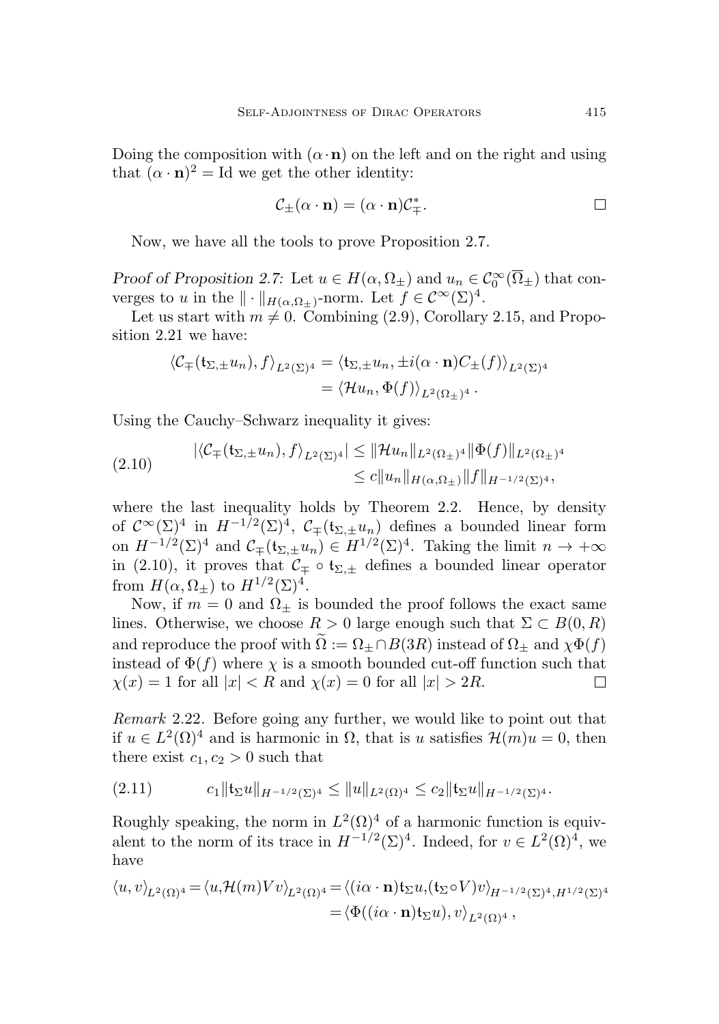Doing the composition with  $(\alpha \cdot n)$  on the left and on the right and using that  $(\alpha \cdot \mathbf{n})^2 = \text{Id}$  we get the other identity:

$$
\mathcal{C}_{\pm}(\alpha \cdot \mathbf{n}) = (\alpha \cdot \mathbf{n})\mathcal{C}_{\mp}^*.
$$

Now, we have all the tools to prove Proposition [2.7.](#page-9-3)

Proof of Proposition [2.7:](#page-9-3) Let  $u \in H(\alpha, \Omega_{\pm})$  and  $u_n \in C_0^{\infty}(\overline{\Omega}_{\pm})$  that converges to u in the  $\| \cdot \|_{H(\alpha,\Omega_\pm)}$ -norm. Let  $f \in C^\infty(\Sigma)^4$ .

Let us start with  $m \neq 0$ . Combining [\(2.9\)](#page-16-2), Corollary [2.15,](#page-12-1) and Proposition [2.21](#page-15-2) we have:

$$
\langle \mathcal{C}_{\mp}(\mathfrak{t}_{\Sigma,\pm}u_n), f \rangle_{L^2(\Sigma)^4} = \langle \mathfrak{t}_{\Sigma,\pm}u_n, \pm i(\alpha \cdot \mathbf{n})C_{\pm}(f) \rangle_{L^2(\Sigma)^4}
$$
  
=  $\langle \mathcal{H}u_n, \Phi(f) \rangle_{L^2(\Omega_{\pm})^4}.$ 

Using the Cauchy–Schwarz inequality it gives:

<span id="page-18-0"></span>
$$
(2.10) \quad |\langle \mathcal{C}_{\mp}(\mathfrak{t}_{\Sigma,\pm}u_n), f \rangle_{L^2(\Sigma)^4}| \leq ||\mathcal{H}u_n||_{L^2(\Omega_{\pm})^4} ||\Phi(f)||_{L^2(\Omega_{\pm})^4} \leq c||u_n||_{H(\alpha,\Omega_{\pm})} ||f||_{H^{-1/2}(\Sigma)^4},
$$

where the last inequality holds by Theorem [2.2.](#page-7-3) Hence, by density of  $\mathcal{C}^{\infty}(\Sigma)^4$  in  $H^{-1/2}(\Sigma)^4$ ,  $\mathcal{C}_{\mp}(\mathfrak{t}_{\Sigma,\pm}u_n)$  defines a bounded linear form on  $H^{-1/2}(\Sigma)^4$  and  $\mathcal{C}_{\mp}(\mathfrak{t}_{\Sigma,\pm}u_n) \in H^{1/2}(\Sigma)^4$ . Taking the limit  $n \to +\infty$ in [\(2.10\)](#page-18-0), it proves that  $\mathcal{C}_{\mp} \circ \mathfrak{t}_{\Sigma,\pm}$  defines a bounded linear operator from  $H(\alpha, \Omega_{\pm})$  to  $H^{1/2}(\Sigma)^4$ .

Now, if  $m = 0$  and  $\Omega_{\pm}$  is bounded the proof follows the exact same lines. Otherwise, we choose  $R > 0$  large enough such that  $\Sigma \subset B(0, R)$ and reproduce the proof with  $\Omega := \Omega_+ \cap B(3R)$  instead of  $\Omega_+$  and  $\chi \Phi(f)$ instead of  $\Phi(f)$  where  $\chi$  is a smooth bounded cut-off function such that  $\chi(x) = 1$  for all  $|x| < R$  and  $\chi(x) = 0$  for all  $|x| > 2R$ .  $\Box$ 

Remark 2.22. Before going any further, we would like to point out that if  $u \in L^2(\Omega)^4$  and is harmonic in  $\Omega$ , that is u satisfies  $\mathcal{H}(m)u = 0$ , then there exist  $c_1, c_2 > 0$  such that

<span id="page-18-1"></span>
$$
(2.11) \t\t c_1 \|\mathbf{t}_{\Sigma} u\|_{H^{-1/2}(\Sigma)^4} \leq \|u\|_{L^2(\Omega)^4} \leq c_2 \|\mathbf{t}_{\Sigma} u\|_{H^{-1/2}(\Sigma)^4}.
$$

Roughly speaking, the norm in  $L^2(\Omega)^4$  of a harmonic function is equivalent to the norm of its trace in  $H^{-1/2}(\Sigma)^4$ . Indeed, for  $v \in L^2(\Omega)^4$ , we have

$$
\langle u, v \rangle_{L^2(\Omega)^4} = \langle u, \mathcal{H}(m) V v \rangle_{L^2(\Omega)^4} = \langle (i\alpha \cdot \mathbf{n}) \mathfrak{t}_{\Sigma} u, (\mathfrak{t}_{\Sigma} \circ V) v \rangle_{H^{-1/2}(\Sigma)^4, H^{1/2}(\Sigma)^4}
$$
  
=  $\langle \Phi((i\alpha \cdot \mathbf{n}) \mathfrak{t}_{\Sigma} u), v \rangle_{L^2(\Omega)^4},$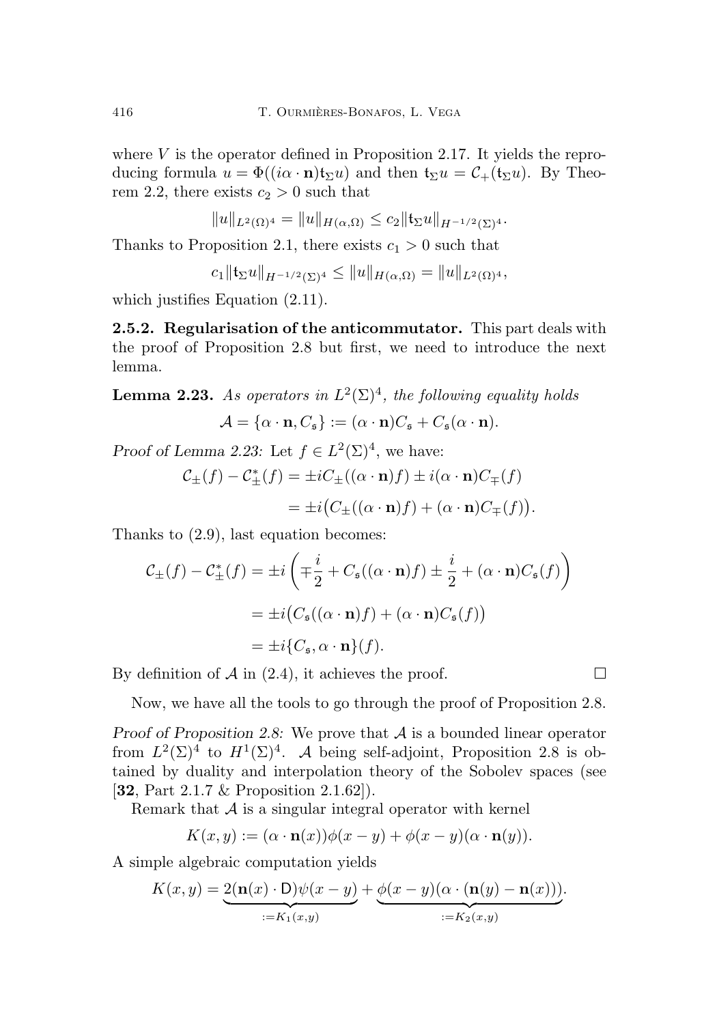where  $V$  is the operator defined in Proposition [2.17.](#page-13-2) It yields the reproducing formula  $u = \Phi((i\alpha \cdot n)t_{\Sigma}u)$  and then  $t_{\Sigma}u = C_{+}(t_{\Sigma}u)$ . By Theo-rem [2.2,](#page-7-3) there exists  $c_2 > 0$  such that

$$
||u||_{L^{2}(\Omega)^{4}} = ||u||_{H(\alpha,\Omega)} \leq c_{2}||\mathfrak{t}_{\Sigma}u||_{H^{-1/2}(\Sigma)^{4}}.
$$

Thanks to Proposition [2.1,](#page-7-4) there exists  $c_1 > 0$  such that

 $c_1\|\mathfrak{t}_{\Sigma}u\|_{H^{-1/2}(\Sigma)^4}\leq \|u\|_{H(\alpha,\Omega)}=\|u\|_{L^2(\Omega)^4},$ 

which justifies Equation  $(2.11)$ .

<span id="page-19-0"></span>2.5.2. Regularisation of the anticommutator. This part deals with the proof of Proposition [2.8](#page-9-1) but first, we need to introduce the next lemma.

<span id="page-19-1"></span>**Lemma 2.23.** As operators in  $L^2(\Sigma)^4$ , the following equality holds

$$
\mathcal{A} = {\alpha \cdot \mathbf{n}, C_{\mathfrak{s}}} := {\alpha \cdot \mathbf{n}})C_{\mathfrak{s}} + C_{\mathfrak{s}}(\alpha \cdot \mathbf{n}).
$$

Proof of Lemma [2.23:](#page-19-1) Let  $f \in L^2(\Sigma)^4$ , we have:

$$
\mathcal{C}_{\pm}(f) - \mathcal{C}_{\pm}^*(f) = \pm i C_{\pm}((\alpha \cdot \mathbf{n})f) \pm i(\alpha \cdot \mathbf{n})C_{\mp}(f)
$$

$$
= \pm i (C_{\pm}((\alpha \cdot \mathbf{n})f) + (\alpha \cdot \mathbf{n})C_{\mp}(f)).
$$

Thanks to [\(2.9\)](#page-16-2), last equation becomes:

$$
\mathcal{C}_{\pm}(f) - \mathcal{C}_{\pm}^{*}(f) = \pm i \left( \mp \frac{i}{2} + C_{\mathfrak{s}}((\alpha \cdot \mathbf{n})f) \pm \frac{i}{2} + (\alpha \cdot \mathbf{n})C_{\mathfrak{s}}(f) \right)
$$
  
=  $\pm i \left( C_{\mathfrak{s}}((\alpha \cdot \mathbf{n})f) + (\alpha \cdot \mathbf{n})C_{\mathfrak{s}}(f) \right)$   
=  $\pm i \left\{ C_{\mathfrak{s}}, \alpha \cdot \mathbf{n} \right\}(f).$ 

By definition of  $A$  in [\(2.4\)](#page-9-4), it achieves the proof.

 $\Box$ 

Now, we have all the tools to go through the proof of Proposition [2.8.](#page-9-1)

Proof of Proposition [2.8:](#page-9-1) We prove that  $A$  is a bounded linear operator from  $L^2(\Sigma)^4$  to  $H^1(\Sigma)^4$ . A being self-adjoint, Proposition [2.8](#page-9-1) is obtained by duality and interpolation theory of the Sobolev spaces (see [[32](#page-40-0), Part 2.1.7 & Proposition 2.1.62]).

Remark that  $A$  is a singular integral operator with kernel

$$
K(x, y) := (\alpha \cdot \mathbf{n}(x))\phi(x - y) + \phi(x - y)(\alpha \cdot \mathbf{n}(y)).
$$

A simple algebraic computation yields

$$
K(x,y) = \underbrace{2(\mathbf{n}(x)\cdot\mathbf{D})\psi(x-y)}_{:=K_1(x,y)} + \underbrace{\phi(x-y)(\alpha\cdot(\mathbf{n}(y)-\mathbf{n}(x)))}_{:=K_2(x,y)}.
$$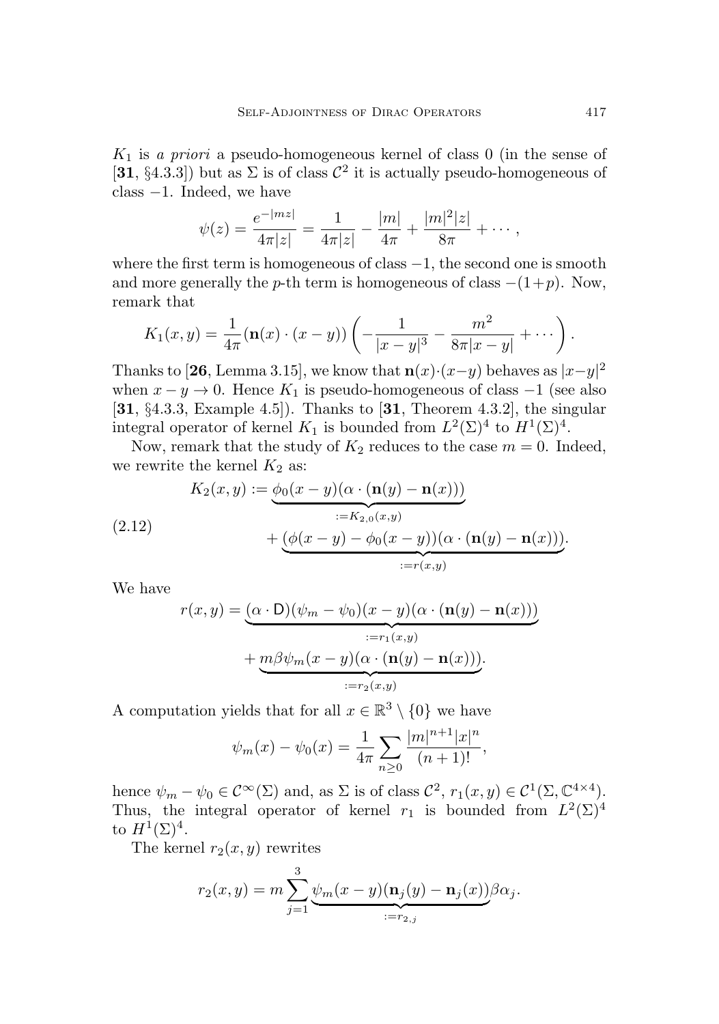$K_1$  is a priori a pseudo-homogeneous kernel of class 0 (in the sense of  $[31, §4.3.3]$  $[31, §4.3.3]$  $[31, §4.3.3]$  but as  $\Sigma$  is of class  $\mathcal{C}^2$  it is actually pseudo-homogeneous of class −1. Indeed, we have

$$
\psi(z) = \frac{e^{-|mz|}}{4\pi|z|} = \frac{1}{4\pi|z|} - \frac{|m|}{4\pi} + \frac{|m|^2|z|}{8\pi} + \cdots,
$$

where the first term is homogeneous of class  $-1$ , the second one is smooth and more generally the p-th term is homogeneous of class  $-(1+p)$ . Now, remark that

$$
K_1(x,y) = \frac{1}{4\pi}(\mathbf{n}(x)\cdot(x-y))\left(-\frac{1}{|x-y|^3}-\frac{m^2}{8\pi|x-y|}+\cdots\right).
$$

Thanks to [[26](#page-39-10), Lemma 3.15], we know that  $\mathbf{n}(x) \cdot (x-y)$  behaves as  $|x-y|^2$ when  $x - y \to 0$ . Hence  $K_1$  is pseudo-homogeneous of class  $-1$  (see also [[31](#page-39-9), §4.3.3, Example 4.5]). Thanks to [[31](#page-39-9), Theorem 4.3.2], the singular integral operator of kernel  $K_1$  is bounded from  $L^2(\Sigma)^4$  to  $H^1(\Sigma)^4$ .

Now, remark that the study of  $K_2$  reduces to the case  $m = 0$ . Indeed, we rewrite the kernel  $K_2$  as:

<span id="page-20-0"></span>(2.12)  
\n
$$
K_2(x, y) := \underbrace{\phi_0(x - y)(\alpha \cdot (\mathbf{n}(y) - \mathbf{n}(x)))}_{:= K_{2,0}(x, y)} + \underbrace{(\phi(x - y) - \phi_0(x - y))(\alpha \cdot (\mathbf{n}(y) - \mathbf{n}(x)))}_{:= r(x, y)}.
$$

We have

$$
r(x,y) = \underbrace{(\alpha \cdot D)(\psi_m - \psi_0)(x - y)(\alpha \cdot (\mathbf{n}(y) - \mathbf{n}(x)))}_{:=r_1(x,y)} + \underbrace{m\beta\psi_m(x - y)(\alpha \cdot (\mathbf{n}(y) - \mathbf{n}(x)))}_{:=r_2(x,y)}.
$$

A computation yields that for all  $x \in \mathbb{R}^3 \setminus \{0\}$  we have

$$
\psi_m(x) - \psi_0(x) = \frac{1}{4\pi} \sum_{n \ge 0} \frac{|m|^{n+1} |x|^n}{(n+1)!},
$$

hence  $\psi_m - \psi_0 \in C^{\infty}(\Sigma)$  and, as  $\Sigma$  is of class  $C^2$ ,  $r_1(x, y) \in C^1(\Sigma, \mathbb{C}^{4 \times 4})$ . Thus, the integral operator of kernel  $r_1$  is bounded from  $L^2(\Sigma)^4$ to  $H^1(\Sigma)^4$ .

The kernel  $r_2(x, y)$  rewrites

$$
r_2(x,y) = m \sum_{j=1}^3 \underbrace{\psi_m(x-y)(\mathbf{n}_j(y) - \mathbf{n}_j(x))}_{:=r_{2,j}} \beta \alpha_j.
$$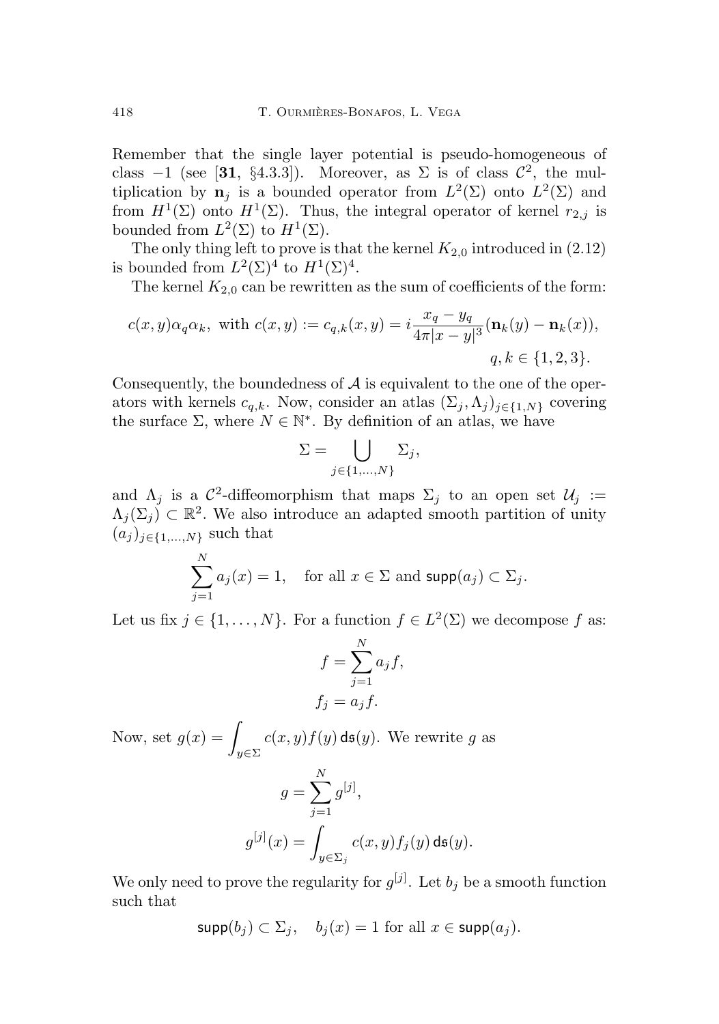Remember that the single layer potential is pseudo-homogeneous of class  $-1$  (see [[31](#page-39-9), §4.3.3]). Moreover, as  $\Sigma$  is of class  $\mathcal{C}^2$ , the multiplication by  $\mathbf{n}_j$  is a bounded operator from  $L^2(\Sigma)$  onto  $L^2(\Sigma)$  and from  $H^1(\Sigma)$  onto  $H^1(\Sigma)$ . Thus, the integral operator of kernel  $r_{2,j}$  is bounded from  $L^2(\Sigma)$  to  $H^1(\Sigma)$ .

The only thing left to prove is that the kernel  $K_{2,0}$  introduced in  $(2.12)$ is bounded from  $L^2(\Sigma)^4$  to  $H^1(\Sigma)^4$ .

The kernel  $K_{2,0}$  can be rewritten as the sum of coefficients of the form:

$$
c(x,y)\alpha_q \alpha_k, \text{ with } c(x,y) := c_{q,k}(x,y) = i\frac{x_q - y_q}{4\pi|x - y|^3} (\mathbf{n}_k(y) - \mathbf{n}_k(x)),
$$
  
 
$$
q, k \in \{1, 2, 3\}.
$$

Consequently, the boundedness of  $A$  is equivalent to the one of the operators with kernels  $c_{q,k}$ . Now, consider an atlas  $(\Sigma_j, \Lambda_j)_{i \in \{1, N\}}$  covering the surface  $\Sigma$ , where  $N \in \mathbb{N}^*$ . By definition of an atlas, we have

$$
\Sigma = \bigcup_{j \in \{1, ..., N\}} \Sigma_j,
$$

and  $\Lambda_j$  is a  $\mathcal{C}^2$ -diffeomorphism that maps  $\Sigma_j$  to an open set  $\mathcal{U}_j :=$  $\Lambda_j(\Sigma_j) \subset \mathbb{R}^2$ . We also introduce an adapted smooth partition of unity  $(a_j)_{j\in\{1,\ldots,N\}}$  such that

$$
\sum_{j=1}^{N} a_j(x) = 1, \text{ for all } x \in \Sigma \text{ and } \text{supp}(a_j) \subset \Sigma_j.
$$

Let us fix  $j \in \{1, ..., N\}$ . For a function  $f \in L^2(\Sigma)$  we decompose f as:

$$
f = \sum_{j=1}^{N} a_j f,
$$
  

$$
f_j = a_j f.
$$

Now, set  $g(x) = \frac{1}{2}$  $y \in \Sigma$  $c(x, y) f(y)$  ds(y). We rewrite g as  $g = \sum_{n=1}^{N}$  $j=1$  $g^{[j]},$  $g^{[j]}(x) =$  $c(x,y)f_j(y)$  ds $(y).$ 

We only need to prove the regularity for  $g^{[j]}$ . Let  $b_j$  be a smooth function such that

 $y \in \Sigma_j$ 

$$
\text{supp}(b_j) \subset \Sigma_j, \quad b_j(x) = 1 \text{ for all } x \in \text{supp}(a_j).
$$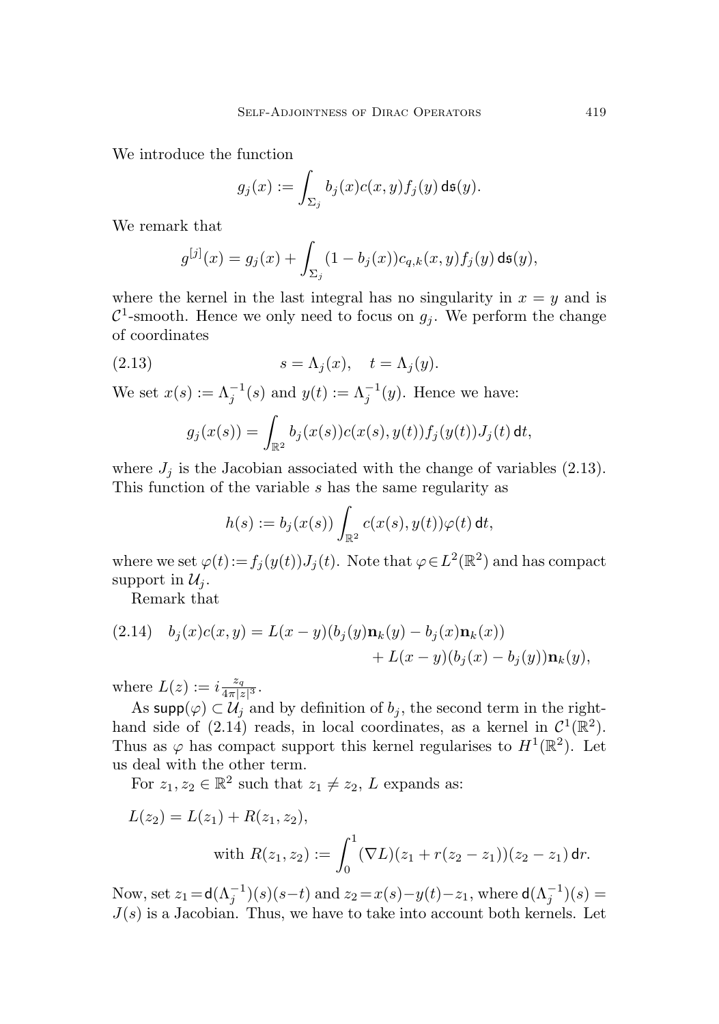We introduce the function

$$
g_j(x) := \int_{\Sigma_j} b_j(x) c(x, y) f_j(y) \, \mathrm{d} \mathfrak{s}(y).
$$

We remark that

$$
g^{[j]}(x) = g_j(x) + \int_{\Sigma_j} (1 - b_j(x)) c_{q,k}(x, y) f_j(y) \, \mathrm{d} \mathfrak{s}(y),
$$

where the kernel in the last integral has no singularity in  $x = y$  and is  $\mathcal{C}^1$ -smooth. Hence we only need to focus on  $g_j$ . We perform the change of coordinates

(2.13) 
$$
s = \Lambda_j(x), \quad t = \Lambda_j(y).
$$

We set  $x(s) := \Lambda_j^{-1}(s)$  and  $y(t) := \Lambda_j^{-1}(y)$ . Hence we have:

<span id="page-22-0"></span>
$$
g_j(x(s)) = \int_{\mathbb{R}^2} b_j(x(s))c(x(s),y(t))f_j(y(t))J_j(t) dt,
$$

where  $J_j$  is the Jacobian associated with the change of variables [\(2.13\)](#page-22-0). This function of the variable s has the same regularity as

$$
h(s) := b_j(x(s)) \int_{\mathbb{R}^2} c(x(s), y(t)) \varphi(t) dt,
$$

where we set  $\varphi(t) := f_j(y(t))J_j(t)$ . Note that  $\varphi \in L^2(\mathbb{R}^2)$  and has compact support in  $\mathcal{U}_i$ .

Remark that

<span id="page-22-1"></span>(2.14) 
$$
b_j(x)c(x,y) = L(x-y)(b_j(y)\mathbf{n}_k(y) - b_j(x)\mathbf{n}_k(x)) + L(x-y)(b_j(x) - b_j(y))\mathbf{n}_k(y),
$$

where  $L(z) := i \frac{z_q}{4 \pi |z|^3}$ .

As supp $(\varphi) \subset \mathcal{U}_j$  and by definition of  $b_j$ , the second term in the right-hand side of [\(2.14\)](#page-22-1) reads, in local coordinates, as a kernel in  $\mathcal{C}^1(\mathbb{R}^2)$ . Thus as  $\varphi$  has compact support this kernel regularises to  $H^1(\mathbb{R}^2)$ . Let us deal with the other term.

For  $z_1, z_2 \in \mathbb{R}^2$  such that  $z_1 \neq z_2$ , L expands as:

$$
L(z_2) = L(z_1) + R(z_1, z_2),
$$
  
with 
$$
R(z_1, z_2) := \int_0^1 (\nabla L)(z_1 + r(z_2 - z_1))(z_2 - z_1) dr.
$$

Now, set  $z_1 = d(\Lambda_j^{-1})(s)(s-t)$  and  $z_2 = x(s) - y(t) - z_1$ , where  $d(\Lambda_j^{-1})(s) =$  $J(s)$  is a Jacobian. Thus, we have to take into account both kernels. Let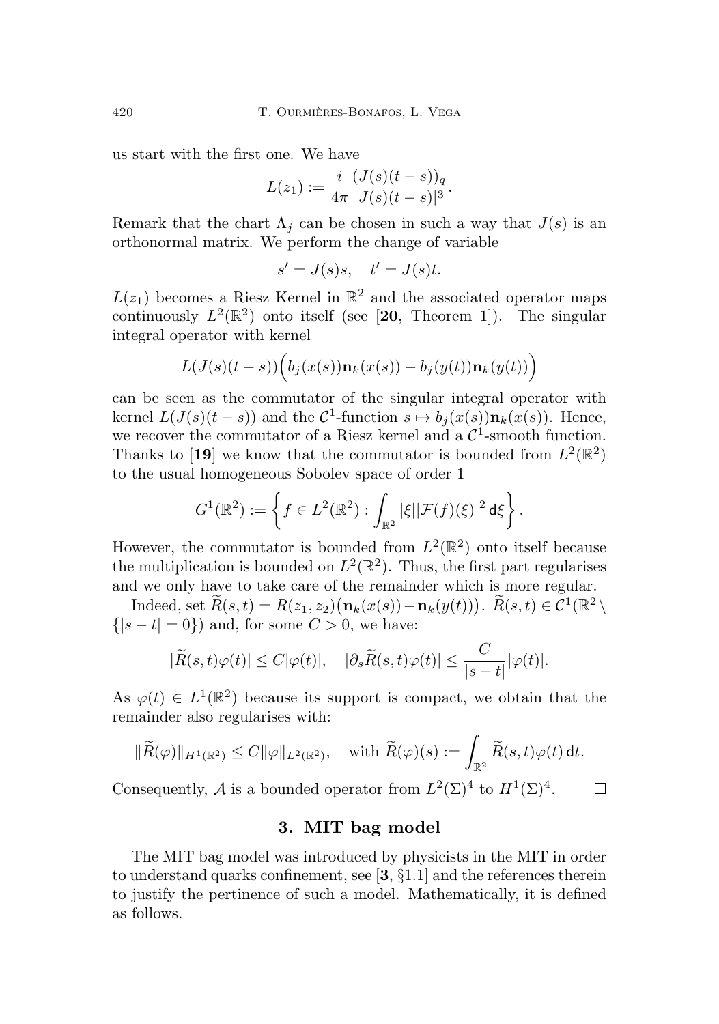us start with the first one. We have

$$
L(z_1) := \frac{i}{4\pi} \frac{(J(s)(t-s))_q}{|J(s)(t-s)|^3}.
$$

Remark that the chart  $\Lambda_i$  can be chosen in such a way that  $J(s)$  is an orthonormal matrix. We perform the change of variable

$$
s' = J(s)s, \quad t' = J(s)t.
$$

 $L(z_1)$  becomes a Riesz Kernel in  $\mathbb{R}^2$  and the associated operator maps continuously  $L^2(\mathbb{R}^2)$  onto itself (see [[20](#page-39-11), Theorem 1]). The singular integral operator with kernel

$$
L(J(s)(t-s))\Big(b_j(x(s))\mathbf{n}_k(x(s)) - b_j(y(t))\mathbf{n}_k(y(t))\Big)
$$

can be seen as the commutator of the singular integral operator with kernel  $L(J(s)(t-s))$  and the  $C^1$ -function  $s \mapsto b_j(x(s))\mathbf{n}_k(x(s))$ . Hence, we recover the commutator of a Riesz kernel and a  $C^1$ -smooth function. Thanks to [[19](#page-39-12)] we know that the commutator is bounded from  $L^2(\mathbb{R}^2)$ to the usual homogeneous Sobolev space of order 1

$$
G^1(\mathbb{R}^2) := \left\{ f \in L^2(\mathbb{R}^2) : \int_{\mathbb{R}^2} |\xi| |\mathcal{F}(f)(\xi)|^2 d\xi \right\}.
$$

However, the commutator is bounded from  $L^2(\mathbb{R}^2)$  onto itself because the multiplication is bounded on  $L^2(\mathbb{R}^2)$ . Thus, the first part regularises and we only have to take care of the remainder which is more regular.

Indeed, set  $\widetilde{R}(s,t) = R(z_1, z_2) (\mathbf{n}_k(x(s)) - \mathbf{n}_k(y(t)))$ .  $\widetilde{R}(s,t) \in \mathcal{C}^1(\mathbb{R}^2)$  $\{|s-t|=0\}\)$  and, for some  $C>0$ , we have:

$$
|\widetilde{R}(s,t)\varphi(t)| \leq C|\varphi(t)|, \quad |\partial_s \widetilde{R}(s,t)\varphi(t)| \leq \frac{C}{|s-t|}|\varphi(t)|.
$$

As  $\varphi(t) \in L^1(\mathbb{R}^2)$  because its support is compact, we obtain that the remainder also regularises with:

$$
\|\widetilde{R}(\varphi)\|_{H^1(\mathbb{R}^2)} \leq C \|\varphi\|_{L^2(\mathbb{R}^2)}, \quad \text{with } \widetilde{R}(\varphi)(s) := \int_{\mathbb{R}^2} \widetilde{R}(s,t)\varphi(t) \,\mathrm{d}t.
$$

Consequently, A is a bounded operator from  $L^2(\Sigma)^4$  to  $H^1(\Sigma)^4$ .  $\Box$ 

### 3. MIT bag model

<span id="page-23-0"></span>The MIT bag model was introduced by physicists in the MIT in order to understand quarks confinement, see  $\left[3, \S1.1\right]$  $\left[3, \S1.1\right]$  $\left[3, \S1.1\right]$  and the references therein to justify the pertinence of such a model. Mathematically, it is defined as follows.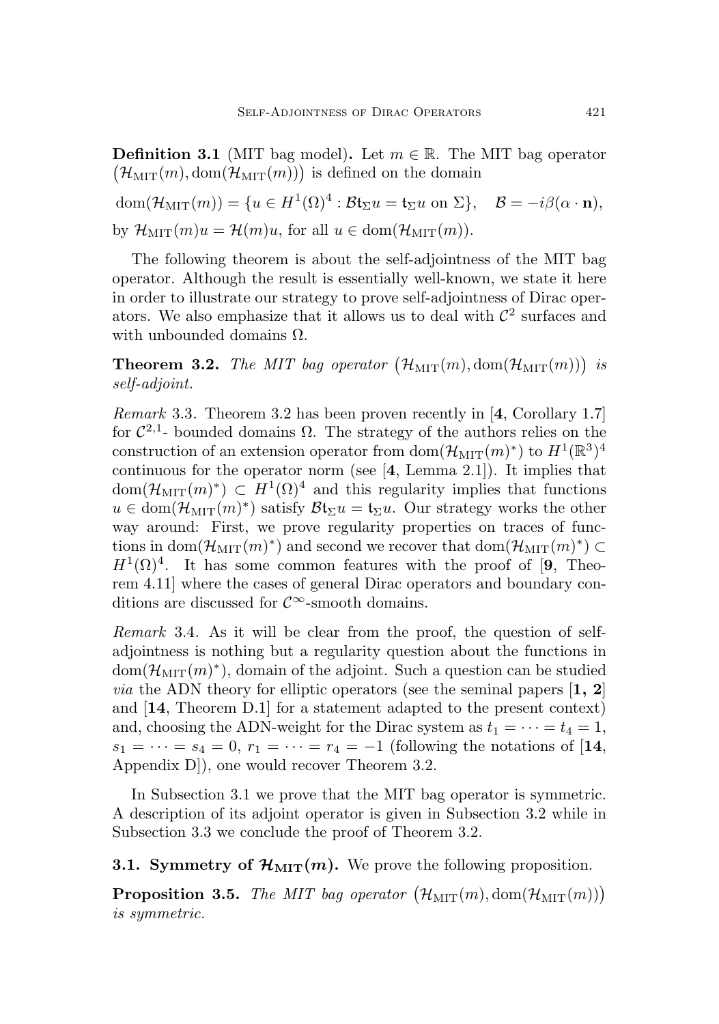**Definition 3.1** (MIT bag model). Let  $m \in \mathbb{R}$ . The MIT bag operator  $(\mathcal{H}_{\text{MIT}}(m), \text{dom}(\mathcal{H}_{\text{MIT}}(m)))$  is defined on the domain

 $dom(\mathcal{H}_{\text{MIT}}(m)) = \{u \in H^{1}(\Omega)^{4} : \mathcal{B} \mathfrak{t}_{\Sigma} u = \mathfrak{t}_{\Sigma} u \text{ on } \Sigma\}, \quad \mathcal{B} = -i\beta(\alpha \cdot \mathbf{n}),$ by  $\mathcal{H}_{\text{MIT}}(m)u = \mathcal{H}(m)u$ , for all  $u \in \text{dom}(\mathcal{H}_{\text{MIT}}(m))$ .

The following theorem is about the self-adjointness of the MIT bag operator. Although the result is essentially well-known, we state it here in order to illustrate our strategy to prove self-adjointness of Dirac operators. We also emphasize that it allows us to deal with  $\mathcal{C}^2$  surfaces and with unbounded domains  $\Omega$ .

<span id="page-24-1"></span>**Theorem 3.2.** The MIT bag operator  $(\mathcal{H}_{\text{MIT}}(m), \text{dom}(\mathcal{H}_{\text{MIT}}(m)))$  is self-adjoint.

Remark 3.3. Theorem [3.2](#page-24-1) has been proven recently in [[4](#page-37-2), Corollary 1.7] for  $\mathcal{C}^{2,1}$ - bounded domains  $\Omega$ . The strategy of the authors relies on the construction of an extension operator from  $dom(\mathcal{H}_{\text{MIT}}(m)^*)$  to  $H^1(\mathbb{R}^3)^4$ continuous for the operator norm (see  $[4, \text{ Lemma } 2.1]$  $[4, \text{ Lemma } 2.1]$  $[4, \text{ Lemma } 2.1]$ ). It implies that  $dom(\mathcal{H}_{\text{MIT}}(m)^*) \subset H^1(\Omega)^4$  and this regularity implies that functions  $u \in \text{dom}(\mathcal{H}_{\text{MIT}}(m)^*)$  satisfy  $\mathcal{B}t_{\Sigma}u = t_{\Sigma}u$ . Our strategy works the other way around: First, we prove regularity properties on traces of functions in  $dom(\mathcal{H}_{\text{MIT}}(m)^*)$  and second we recover that  $dom(\mathcal{H}_{\text{MIT}}(m)^*) \subset$  $H^1(\Omega)^4$ . It has some common features with the proof of [[9](#page-38-9), Theorem 4.11] where the cases of general Dirac operators and boundary conditions are discussed for  $\mathcal{C}^{\infty}$ -smooth domains.

<span id="page-24-3"></span>Remark 3.4. As it will be clear from the proof, the question of selfadjointness is nothing but a regularity question about the functions in  $dom(\mathcal{H}_{\text{MIT}}(m)^*)$ , domain of the adjoint. Such a question can be studied *via* the ADN theory for elliptic operators (see the seminal papers  $\left[1, 2\right]$  $\left[1, 2\right]$  $\left[1, 2\right]$  $\left[1, 2\right]$  $\left[1, 2\right]$ ) and [[14](#page-38-10), Theorem D.1] for a statement adapted to the present context) and, choosing the ADN-weight for the Dirac system as  $t_1 = \cdots = t_4 = 1$ ,  $s_1 = \cdots = s_4 = 0, r_1 = \cdots = r_4 = -1$  (following the notations of [[14](#page-38-10), Appendix D]), one would recover Theorem [3.2.](#page-24-1)

In Subsection [3.1](#page-24-0) we prove that the MIT bag operator is symmetric. A description of its adjoint operator is given in Subsection [3.2](#page-25-0) while in Subsection [3.3](#page-27-0) we conclude the proof of Theorem [3.2.](#page-24-1)

<span id="page-24-0"></span>3.1. Symmetry of  $\mathcal{H}_{\text{MIT}}(m)$ . We prove the following proposition.

<span id="page-24-2"></span>**Proposition 3.5.** The MIT bag operator  $(\mathcal{H}_{\text{MIT}}(m), \text{dom}(\mathcal{H}_{\text{MIT}}(m)))$ is symmetric.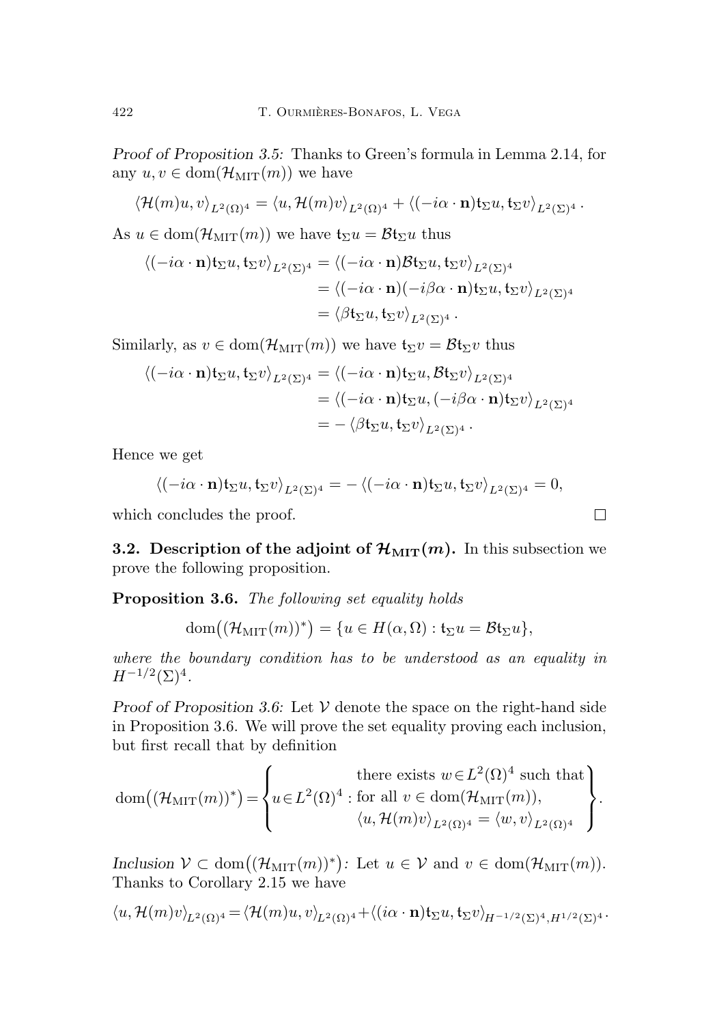Proof of Proposition [3.5:](#page-24-2) Thanks to Green's formula in Lemma [2.14,](#page-11-1) for any  $u, v \in \text{dom}(\mathcal{H}_{\text{MIT}}(m))$  we have

$$
\langle \mathcal{H}(m)u, v \rangle_{L^2(\Omega)^4} = \langle u, \mathcal{H}(m)v \rangle_{L^2(\Omega)^4} + \langle (-i\alpha \cdot \mathbf{n}) \mathfrak{t}_{\Sigma} u, \mathfrak{t}_{\Sigma} v \rangle_{L^2(\Sigma)^4}.
$$

As  $u \in \text{dom}(\mathcal{H}_{\text{MIT}}(m))$  we have  $\mathfrak{t}_{\Sigma}u = \mathcal{B}\mathfrak{t}_{\Sigma}u$  thus

$$
\langle (-i\alpha \cdot \mathbf{n}) \mathbf{t}_{\Sigma} u, \mathbf{t}_{\Sigma} v \rangle_{L^2(\Sigma)^4} = \langle (-i\alpha \cdot \mathbf{n}) \mathcal{B} \mathbf{t}_{\Sigma} u, \mathbf{t}_{\Sigma} v \rangle_{L^2(\Sigma)^4}
$$
  
=  $\langle (-i\alpha \cdot \mathbf{n}) (-i\beta \alpha \cdot \mathbf{n}) \mathbf{t}_{\Sigma} u, \mathbf{t}_{\Sigma} v \rangle_{L^2(\Sigma)^4}$   
=  $\langle \beta \mathbf{t}_{\Sigma} u, \mathbf{t}_{\Sigma} v \rangle_{L^2(\Sigma)^4}.$ 

Similarly, as  $v \in \text{dom}(\mathcal{H}_{\text{MIT}}(m))$  we have  $\mathfrak{t}_{\Sigma}v = \mathcal{B}\mathfrak{t}_{\Sigma}v$  thus

$$
\langle (-i\alpha \cdot \mathbf{n}) \mathfrak{t}_{\Sigma} u, \mathfrak{t}_{\Sigma} v \rangle_{L^2(\Sigma)^4} = \langle (-i\alpha \cdot \mathbf{n}) \mathfrak{t}_{\Sigma} u, \mathcal{B} \mathfrak{t}_{\Sigma} v \rangle_{L^2(\Sigma)^4}
$$
  
=  $\langle (-i\alpha \cdot \mathbf{n}) \mathfrak{t}_{\Sigma} u, (-i\beta \alpha \cdot \mathbf{n}) \mathfrak{t}_{\Sigma} v \rangle_{L^2(\Sigma)^4}$   
=  $-\langle \beta \mathfrak{t}_{\Sigma} u, \mathfrak{t}_{\Sigma} v \rangle_{L^2(\Sigma)^4}.$ 

Hence we get

$$
\langle (-i\alpha \cdot \mathbf{n}) \mathfrak{t}_{\Sigma} u, \mathfrak{t}_{\Sigma} v \rangle_{L^2(\Sigma)^4} = - \langle (-i\alpha \cdot \mathbf{n}) \mathfrak{t}_{\Sigma} u, \mathfrak{t}_{\Sigma} v \rangle_{L^2(\Sigma)^4} = 0,
$$

which concludes the proof.

<span id="page-25-0"></span>**3.2.** Description of the adjoint of  $\mathcal{H}_{\text{MIT}}(m)$ . In this subsection we prove the following proposition.

<span id="page-25-1"></span>Proposition 3.6. The following set equality holds

dom
$$
(\mathcal{H}_{\text{MIT}}(m))^*) = \{ u \in H(\alpha, \Omega) : \mathfrak{t}_{\Sigma} u = \mathcal{B} \mathfrak{t}_{\Sigma} u \},
$$

where the boundary condition has to be understood as an equality in  $H^{-1/2}(\Sigma)^4$ .

Proof of Proposition [3.6:](#page-25-1) Let  $V$  denote the space on the right-hand side in Proposition [3.6.](#page-25-1) We will prove the set equality proving each inclusion, but first recall that by definition

dom
$$
((\mathcal{H}_{\text{MIT}}(m))^*)
$$
 =  $\left\{ u \in L^2(\Omega)^4 \text{ : for all } v \in \text{dom}(\mathcal{H}_{\text{MIT}}(m)),$   
 $\langle u, \mathcal{H}(m)v \rangle_{L^2(\Omega)^4} = \langle w, v \rangle_{L^2(\Omega)^4} \right\}.$ 

Inclusion  $V \subset \text{dom}((\mathcal{H}_{\text{MIT}}(m))^*)$ : Let  $u \in V$  and  $v \in \text{dom}(\mathcal{H}_{\text{MIT}}(m))$ . Thanks to Corollary [2.15](#page-12-1) we have

$$
\langle u,\mathcal{H}(m)v\rangle_{L^2(\Omega)^4} = \langle \mathcal{H}(m)u,v\rangle_{L^2(\Omega)^4} + \langle (i\alpha\cdot\mathbf{n})\mathfrak{t}_\Sigma u,\mathfrak{t}_\Sigma v\rangle_{H^{-1/2}(\Sigma)^4,H^{1/2}(\Sigma)^4}.
$$

 $\Box$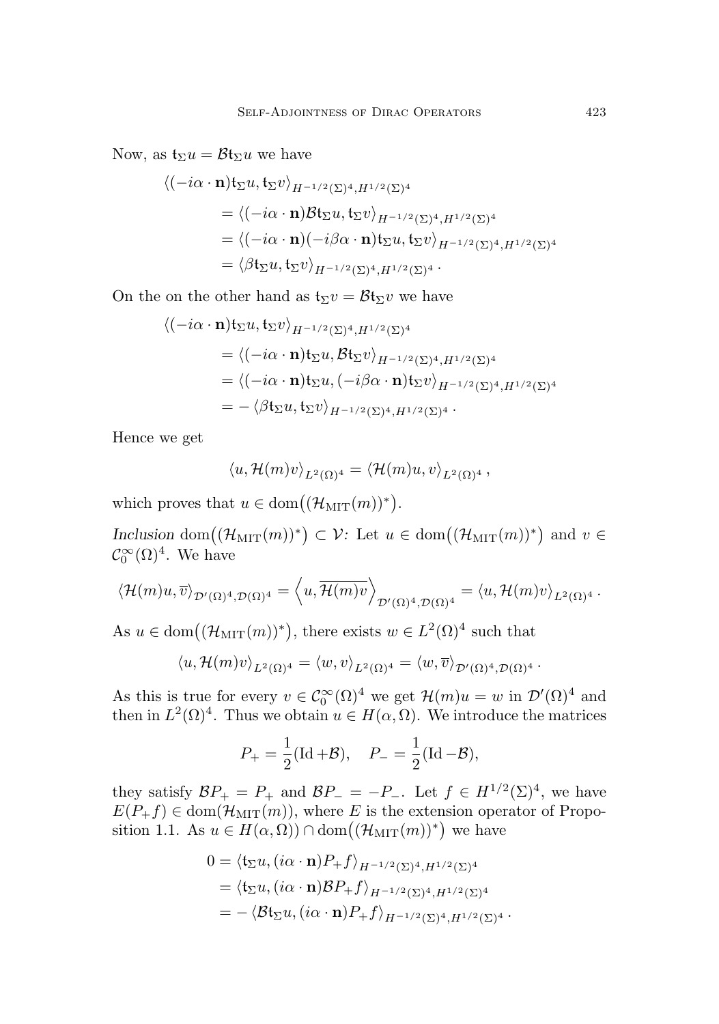Now, as  $t_{\Sigma}u = \mathcal{B}t_{\Sigma}u$  we have

$$
\langle (-i\alpha \cdot \mathbf{n}) \mathbf{t}_{\Sigma} u, \mathbf{t}_{\Sigma} v \rangle_{H^{-1/2}(\Sigma)^4, H^{1/2}(\Sigma)^4}
$$
  
=\langle (-i\alpha \cdot \mathbf{n}) \mathcal{B} \mathbf{t}\_{\Sigma} u, \mathbf{t}\_{\Sigma} v \rangle\_{H^{-1/2}(\Sigma)^4, H^{1/2}(\Sigma)^4}  
=\langle (-i\alpha \cdot \mathbf{n}) (-i\beta \alpha \cdot \mathbf{n}) \mathbf{t}\_{\Sigma} u, \mathbf{t}\_{\Sigma} v \rangle\_{H^{-1/2}(\Sigma)^4, H^{1/2}(\Sigma)^4}  
=\langle \beta \mathbf{t}\_{\Sigma} u, \mathbf{t}\_{\Sigma} v \rangle\_{H^{-1/2}(\Sigma)^4, H^{1/2}(\Sigma)^4}.

On the on the other hand as  $t_{\Sigma}v = \mathcal{B}t_{\Sigma}v$  we have

$$
\langle (-i\alpha \cdot \mathbf{n}) \mathfrak{t}_{\Sigma} u, \mathfrak{t}_{\Sigma} v \rangle_{H^{-1/2}(\Sigma)^4, H^{1/2}(\Sigma)^4}
$$
  
=  $\langle (-i\alpha \cdot \mathbf{n}) \mathfrak{t}_{\Sigma} u, \mathcal{B} \mathfrak{t}_{\Sigma} v \rangle_{H^{-1/2}(\Sigma)^4, H^{1/2}(\Sigma)^4}$   
=  $\langle (-i\alpha \cdot \mathbf{n}) \mathfrak{t}_{\Sigma} u, (-i\beta \alpha \cdot \mathbf{n}) \mathfrak{t}_{\Sigma} v \rangle_{H^{-1/2}(\Sigma)^4, H^{1/2}(\Sigma)^4}$   
=  $-\langle \beta \mathfrak{t}_{\Sigma} u, \mathfrak{t}_{\Sigma} v \rangle_{H^{-1/2}(\Sigma)^4, H^{1/2}(\Sigma)^4}.$ 

Hence we get

$$
\langle u, \mathcal{H}(m)v \rangle_{L^2(\Omega)^4} = \langle \mathcal{H}(m)u, v \rangle_{L^2(\Omega)^4},
$$

which proves that  $u \in \text{dom}((\mathcal{H}_{\text{MIT}}(m))^*)$ .

Inclusion dom $((\mathcal{H}_{\text{MIT}}(m))^*) \subset \mathcal{V}$ : Let  $u \in \text{dom}((\mathcal{H}_{\text{MIT}}(m))^*)$  and  $v \in$  $\mathcal{C}_0^{\infty}(\Omega)^4$ . We have

$$
\langle \mathcal{H}(m)u,\overline{v}\rangle_{\mathcal{D}'(\Omega)^4,\mathcal{D}(\Omega)^4} = \langle u,\overline{\mathcal{H}(m)v}\rangle_{\mathcal{D}'(\Omega)^4,\mathcal{D}(\Omega)^4} = \langle u,\mathcal{H}(m)v\rangle_{L^2(\Omega)^4}.
$$

As  $u \in \text{dom}((\mathcal{H}_{\text{MIT}}(m))^*)$ , there exists  $w \in L^2(\Omega)^4$  such that

$$
\langle u,\mathcal{H}(m)v\rangle_{L^2(\Omega)^4}=\langle w,v\rangle_{L^2(\Omega)^4}=\langle w,\overline{v}\rangle_{\mathcal{D}'(\Omega)^4,\mathcal{D}(\Omega)^4}.
$$

As this is true for every  $v \in C_0^{\infty}(\Omega)^4$  we get  $\mathcal{H}(m)u = w$  in  $\mathcal{D}'(\Omega)^4$  and then in  $L^2(\Omega)^4$ . Thus we obtain  $u \in H(\alpha, \Omega)$ . We introduce the matrices

$$
P_{+} = \frac{1}{2}(\text{Id} + \mathcal{B}), \quad P_{-} = \frac{1}{2}(\text{Id} - \mathcal{B}),
$$

they satisfy  $BP_+ = P_+$  and  $BP_- = -P_-$ . Let  $f \in H^{1/2}(\Sigma)^4$ , we have  $E(P_{+}f) \in \text{dom}(\mathcal{H}_{\text{MIT}}(m))$ , where E is the extension operator of Propo-sition [1.1.](#page-5-0) As  $u \in H(\alpha, \Omega)$ ) ∩ dom $((\mathcal{H}_{\text{MIT}}(m))^*)$  we have

$$
0 = \langle \mathbf{t}_{\Sigma} u, (i\alpha \cdot \mathbf{n}) P_+ f \rangle_{H^{-1/2}(\Sigma)^4, H^{1/2}(\Sigma)^4}
$$
  
=  $\langle \mathbf{t}_{\Sigma} u, (i\alpha \cdot \mathbf{n}) \mathcal{B} P_+ f \rangle_{H^{-1/2}(\Sigma)^4, H^{1/2}(\Sigma)^4}$   
=  $-\langle \mathcal{B} \mathbf{t}_{\Sigma} u, (i\alpha \cdot \mathbf{n}) P_+ f \rangle_{H^{-1/2}(\Sigma)^4, H^{1/2}(\Sigma)^4}.$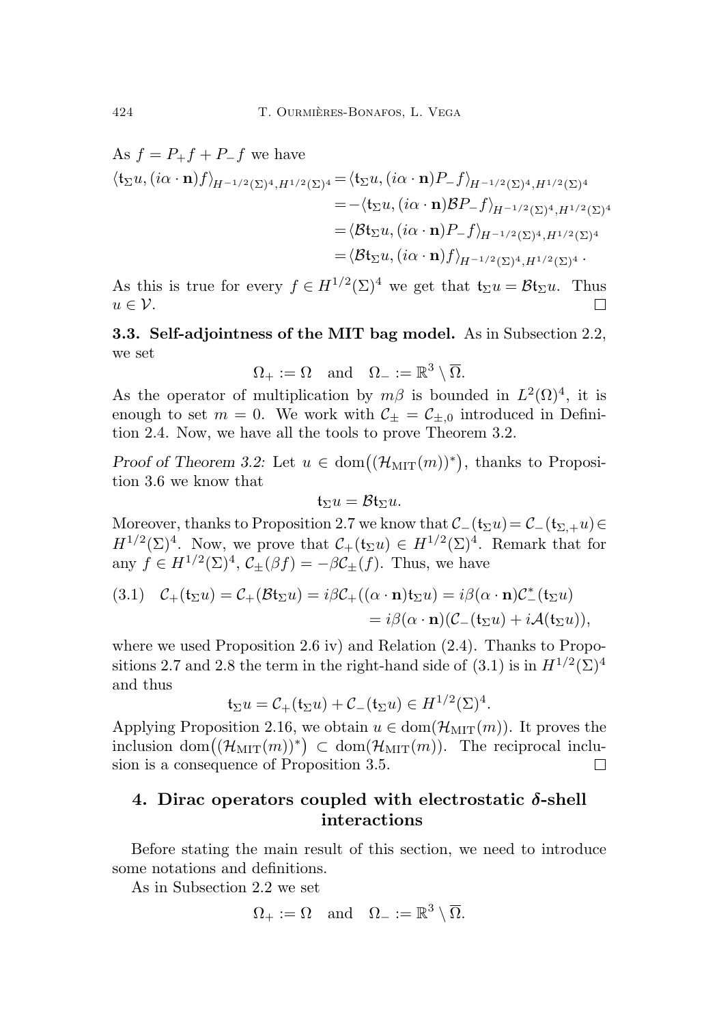As 
$$
f = P_+ f + P_- f
$$
 we have  
\n
$$
\langle \mathbf{t}_{\Sigma} u, (i\alpha \cdot \mathbf{n}) f \rangle_{H^{-1/2}(\Sigma)^4, H^{1/2}(\Sigma)^4} = \langle \mathbf{t}_{\Sigma} u, (i\alpha \cdot \mathbf{n}) P_- f \rangle_{H^{-1/2}(\Sigma)^4, H^{1/2}(\Sigma)^4}
$$
\n
$$
= -\langle \mathbf{t}_{\Sigma} u, (i\alpha \cdot \mathbf{n}) \mathcal{B} P_- f \rangle_{H^{-1/2}(\Sigma)^4, H^{1/2}(\Sigma)^4}
$$
\n
$$
= \langle \mathcal{B} \mathbf{t}_{\Sigma} u, (i\alpha \cdot \mathbf{n}) P_- f \rangle_{H^{-1/2}(\Sigma)^4, H^{1/2}(\Sigma)^4}
$$
\n
$$
= \langle \mathcal{B} \mathbf{t}_{\Sigma} u, (i\alpha \cdot \mathbf{n}) f \rangle_{H^{-1/2}(\Sigma)^4, H^{1/2}(\Sigma)^4}.
$$

As this is true for every  $f \in H^{1/2}(\Sigma)^4$  we get that  $\mathfrak{t}_{\Sigma}u = \mathcal{B}\mathfrak{t}_{\Sigma}u$ . Thus  $u \in \mathcal{V}$ .  $\Box$ 

<span id="page-27-0"></span>3.3. Self-adjointness of the MIT bag model. As in Subsection [2.2,](#page-8-0) we set

$$
\Omega_+ := \Omega \quad \text{and} \quad \Omega_- := \mathbb{R}^3 \setminus \overline{\Omega}.
$$

As the operator of multiplication by  $m\beta$  is bounded in  $L^2(\Omega)^4$ , it is enough to set  $m = 0$ . We work with  $C_{\pm} = C_{\pm,0}$  introduced in Definition [2.4.](#page-8-3) Now, we have all the tools to prove Theorem [3.2.](#page-24-1)

Proof of Theorem [3.2:](#page-24-1) Let  $u \in \text{dom}((\mathcal{H}_{\text{MIT}}(m))^*)$ , thanks to Proposition [3.6](#page-25-1) we know that

$$
\mathfrak{t}_{\Sigma}u=\mathcal{B}\mathfrak{t}_{\Sigma}u.
$$

Moreover, thanks to Proposition [2.7](#page-9-3) we know that  $\mathcal{C}_-(\mathfrak{t}_{\Sigma}u)=\mathcal{C}_-(\mathfrak{t}_{\Sigma,+}u)\in$  $H^{1/2}(\Sigma)^4$ . Now, we prove that  $C_+(\mathfrak{t}_{\Sigma} u) \in H^{1/2}(\Sigma)^4$ . Remark that for any  $f \in H^{1/2}(\Sigma)^4$ ,  $\mathcal{C}_{\pm}(\beta f) = -\beta \mathcal{C}_{\pm}(f)$ . Thus, we have

<span id="page-27-2"></span>(3.1) 
$$
\mathcal{C}_{+}(\mathfrak{t}_{\Sigma} u) = \mathcal{C}_{+}(\mathcal{B}\mathfrak{t}_{\Sigma} u) = i\beta \mathcal{C}_{+}((\alpha \cdot \mathbf{n})\mathfrak{t}_{\Sigma} u) = i\beta (\alpha \cdot \mathbf{n}) \mathcal{C}_{-}^{*}(\mathfrak{t}_{\Sigma} u)
$$

$$
= i\beta (\alpha \cdot \mathbf{n})(\mathcal{C}_{-}(\mathfrak{t}_{\Sigma} u) + i\mathcal{A}(\mathfrak{t}_{\Sigma} u)),
$$

where we used Proposition [2.6](#page-8-2) iv) and Relation  $(2.4)$ . Thanks to Propo-sitions [2.7](#page-9-3) and [2.8](#page-9-1) the term in the right-hand side of  $(3.1)$  is in  $H^{1/2}(\Sigma)^4$ and thus

$$
\mathfrak{t}_{\Sigma}u=\mathcal{C}_{+}(\mathfrak{t}_{\Sigma}u)+\mathcal{C}_{-}(\mathfrak{t}_{\Sigma}u)\in H^{1/2}(\Sigma)^{4}.
$$

Applying Proposition [2.16,](#page-12-0) we obtain  $u \in \text{dom}(\mathcal{H}_{\text{MIT}}(m))$ . It proves the inclusion  $dom((\mathcal{H}_{\text{MIT}}(m))^*) \subset dom(\mathcal{H}_{\text{MIT}}(m))$ . The reciprocal inclusion is a consequence of Proposition [3.5.](#page-24-2)  $\Box$ 

# <span id="page-27-1"></span>4. Dirac operators coupled with electrostatic  $\delta$ -shell interactions

Before stating the main result of this section, we need to introduce some notations and definitions.

As in Subsection [2.2](#page-8-0) we set

$$
\Omega_+ := \Omega \quad \text{and} \quad \Omega_- := \mathbb{R}^3 \setminus \overline{\Omega}.
$$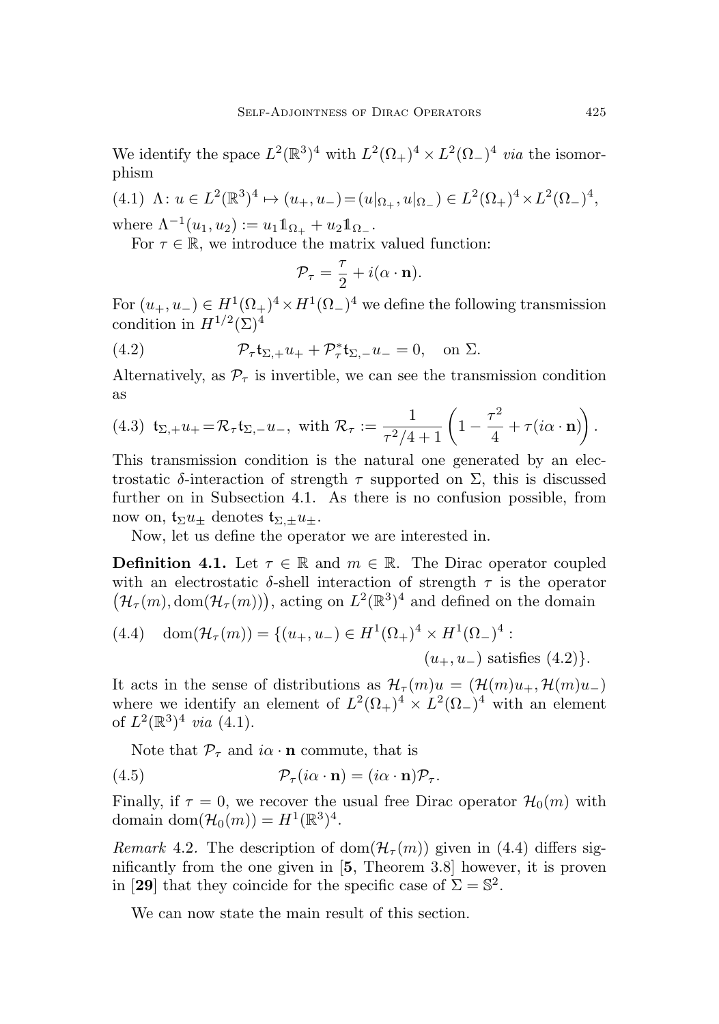We identify the space  $L^2(\mathbb{R}^3)^4$  with  $L^2(\Omega_+)^4 \times L^2(\Omega_-)^4$  via the isomorphism

<span id="page-28-1"></span>(4.1)  $\Lambda: u \in L^2(\mathbb{R}^3)^4 \mapsto (u_+, u_-) = (u|_{\Omega_+}, u|_{\Omega_-}) \in L^2(\Omega_+)^4 \times L^2(\Omega_-)^4,$ 

where  $\Lambda^{-1}(u_1, u_2) := u_1 \mathbb{1}_{\Omega_+} + u_2 \mathbb{1}_{\Omega_-}.$ 

For  $\tau \in \mathbb{R}$ , we introduce the matrix valued function:

<span id="page-28-0"></span>
$$
\mathcal{P}_{\tau} = \frac{\tau}{2} + i(\alpha \cdot \mathbf{n}).
$$

For  $(u_+, u_-) \in H^1(\Omega_+)^4 \times H^1(\Omega_-)^4$  we define the following transmission condition in  $H^{1/2}(\Sigma)^4$ 

(4.2) 
$$
\mathcal{P}_{\tau}\mathfrak{t}_{\Sigma,+}u_{+} + \mathcal{P}_{\tau}^{*}\mathfrak{t}_{\Sigma,-}u_{-} = 0, \text{ on } \Sigma.
$$

Alternatively, as  $\mathcal{P}_{\tau}$  is invertible, we can see the transmission condition as

<span id="page-28-3"></span>(4.3) 
$$
\mathbf{t}_{\Sigma,+}u_{+} = \mathcal{R}_{\tau}\mathbf{t}_{\Sigma,-}u_{-}
$$
, with  $\mathcal{R}_{\tau} := \frac{1}{\tau^2/4+1} \left(1 - \frac{\tau^2}{4} + \tau(i\alpha \cdot \mathbf{n})\right)$ .

This transmission condition is the natural one generated by an electrostatic  $\delta$ -interaction of strength  $\tau$  supported on  $\Sigma$ , this is discussed further on in Subsection [4.1.](#page-29-0) As there is no confusion possible, from now on,  $t_{\Sigma}u_{+}$  denotes  $t_{\Sigma,+}u_{+}$ .

Now, let us define the operator we are interested in.

**Definition 4.1.** Let  $\tau \in \mathbb{R}$  and  $m \in \mathbb{R}$ . The Dirac operator coupled with an electrostatic  $\delta$ -shell interaction of strength  $\tau$  is the operator  $(\mathcal{H}_{\tau}(m), \text{dom}(\mathcal{H}_{\tau}(m)))$ , acting on  $L^2(\mathbb{R}^3)^4$  and defined on the domain

<span id="page-28-2"></span>(4.4) 
$$
\text{dom}(\mathcal{H}_{\tau}(m)) = \{ (u_+, u_-) \in H^1(\Omega_+)^4 \times H^1(\Omega_-)^4 : (u_+, u_-) \text{ satisfies (4.2)} \}.
$$

It acts in the sense of distributions as  $\mathcal{H}_{\tau}(m)u = (\mathcal{H}(m)u_+, \mathcal{H}(m)u_-)$ where we identify an element of  $L^2(\Omega_+)^4 \times L^2(\Omega_-)^4$  with an element of  $L^2(\mathbb{R}^3)^4$  via [\(4.1\)](#page-28-1).

Note that  $\mathcal{P}_{\tau}$  and  $i\alpha \cdot \mathbf{n}$  commute, that is

(4.5) 
$$
\mathcal{P}_{\tau}(i\alpha \cdot \mathbf{n}) = (i\alpha \cdot \mathbf{n})\mathcal{P}_{\tau}.
$$

Finally, if  $\tau = 0$ , we recover the usual free Dirac operator  $\mathcal{H}_0(m)$  with domain dom $(\mathcal{H}_0(m)) = H^1(\mathbb{R}^3)^4$ .

*Remark* 4.2. The description of dom $(\mathcal{H}_{\tau}(m))$  given in [\(4.4\)](#page-28-2) differs significantly from the one given in [[5](#page-37-3), Theorem 3.8] however, it is proven in [[29](#page-39-13)] that they coincide for the specific case of  $\Sigma = \mathbb{S}^2$ .

We can now state the main result of this section.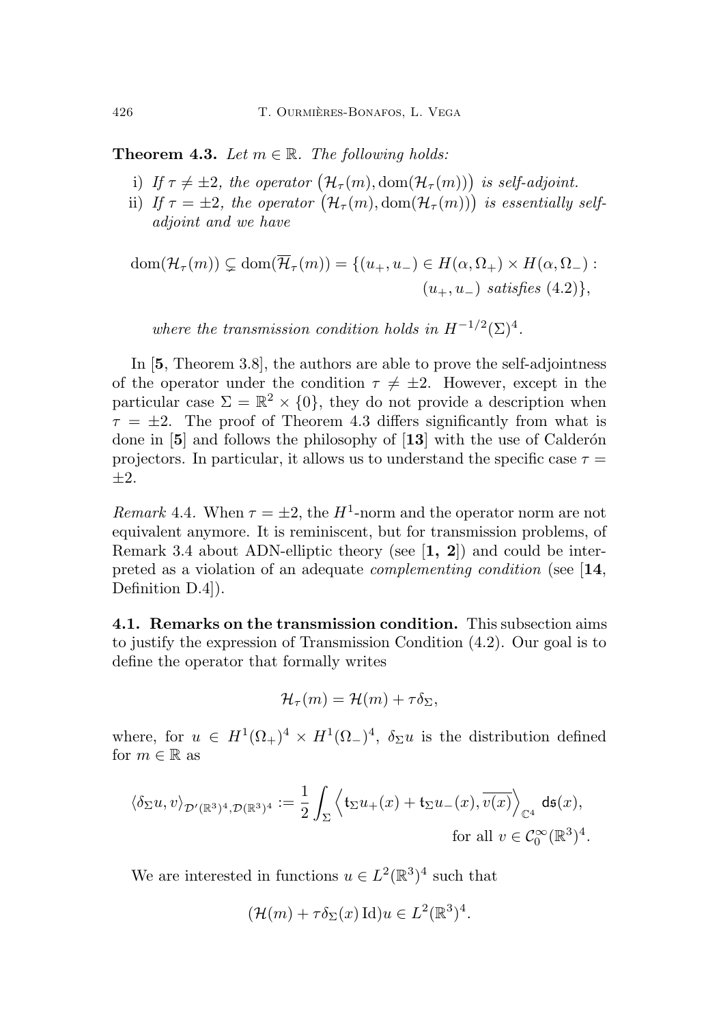<span id="page-29-1"></span>**Theorem 4.3.** Let  $m \in \mathbb{R}$ . The following holds:

- i) If  $\tau \neq \pm 2$ , the operator  $\big(\mathcal{H}_{\tau}(m),\text{dom}(\mathcal{H}_{\tau}(m))\big)$  is self-adjoint.
- ii) If  $\tau = \pm 2$ , the operator  $(\mathcal{H}_{\tau}(m), \text{dom}(\mathcal{H}_{\tau}(m)))$  is essentially selfadjoint and we have

$$
dom(\mathcal{H}_{\tau}(m)) \subsetneq dom(\overline{\mathcal{H}}_{\tau}(m)) = \{ (u_+, u_-) \in H(\alpha, \Omega_+) \times H(\alpha, \Omega_-) :
$$
  

$$
(u_+, u_-) \ satisfies (4.2) \},
$$

where the transmission condition holds in  $H^{-1/2}(\Sigma)^4$ .

In [[5](#page-37-3), Theorem 3.8], the authors are able to prove the self-adjointness of the operator under the condition  $\tau \neq \pm 2$ . However, except in the particular case  $\Sigma = \mathbb{R}^2 \times \{0\}$ , they do not provide a description when  $\tau = \pm 2$ . The proof of Theorem [4.3](#page-29-1) differs significantly from what is done in  $[5]$  $[5]$  $[5]$  and follows the philosophy of  $[13]$  $[13]$  $[13]$  with the use of Calderón projectors. In particular, it allows us to understand the specific case  $\tau =$  $+2.$ 

Remark 4.4. When  $\tau = \pm 2$ , the H<sup>1</sup>-norm and the operator norm are not equivalent anymore. It is reminiscent, but for transmission problems, of Remark [3.4](#page-24-3) about ADN-elliptic theory (see  $\left[1, 2\right]$  $\left[1, 2\right]$  $\left[1, 2\right]$  $\left[1, 2\right]$  $\left[1, 2\right]$ ) and could be interpreted as a violation of an adequate complementing condition (see [[14](#page-38-10), Definition D.4]).

<span id="page-29-0"></span>4.1. Remarks on the transmission condition. This subsection aims to justify the expression of Transmission Condition [\(4.2\)](#page-28-0). Our goal is to define the operator that formally writes

$$
\mathcal{H}_{\tau}(m) = \mathcal{H}(m) + \tau \delta_{\Sigma},
$$

where, for  $u \in H^1(\Omega_+)^4 \times H^1(\Omega_-)^4$ ,  $\delta_{\Sigma} u$  is the distribution defined for  $m \in \mathbb{R}$  as

$$
\langle \delta_{\Sigma} u, v \rangle_{\mathcal{D}'(\mathbb{R}^3)^4, \mathcal{D}(\mathbb{R}^3)^4} := \frac{1}{2} \int_{\Sigma} \left\langle \mathfrak{t}_{\Sigma} u_+(x) + \mathfrak{t}_{\Sigma} u_-(x), \overline{v(x)} \right\rangle_{\mathbb{C}^4} \mathrm{d}\mathfrak{s}(x),
$$
  
for all  $v \in \mathcal{C}_0^{\infty}(\mathbb{R}^3)^4$ .

We are interested in functions  $u \in L^2(\mathbb{R}^3)^4$  such that

$$
(\mathcal{H}(m) + \tau \delta_{\Sigma}(x) \operatorname{Id}) u \in L^{2}(\mathbb{R}^{3})^{4}.
$$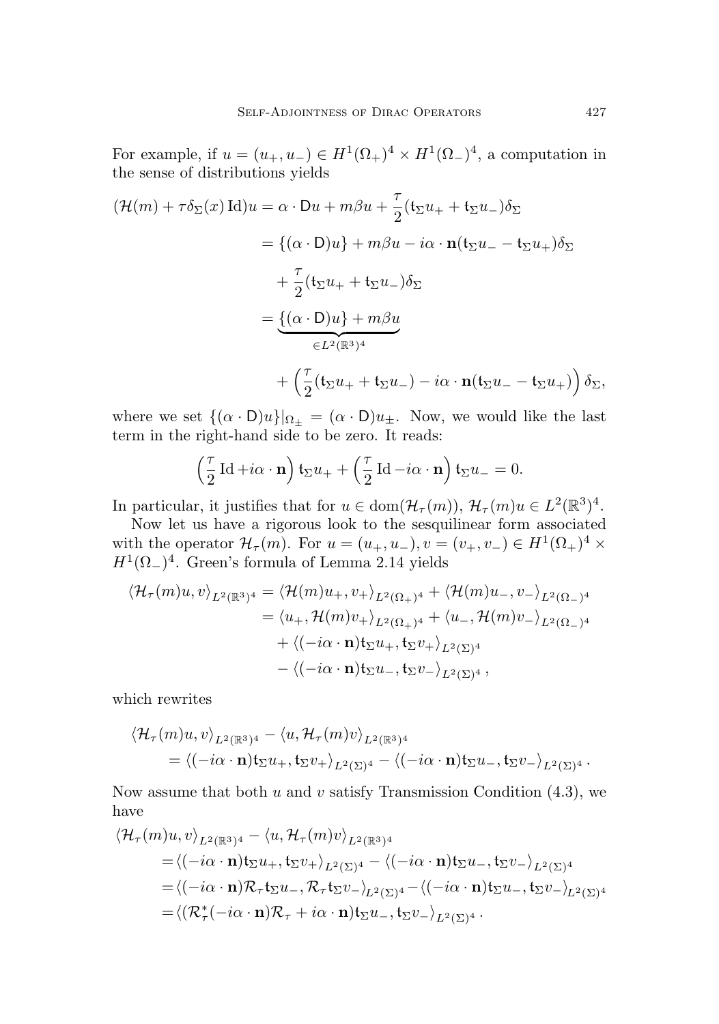For example, if  $u = (u_+, u_-) \in H^1(\Omega_+)^4 \times H^1(\Omega_-)^4$ , a computation in the sense of distributions yields

$$
(\mathcal{H}(m) + \tau \delta_{\Sigma}(x) \operatorname{Id})u = \alpha \cdot Du + m\beta u + \frac{\tau}{2} (\mathbf{t}_{\Sigma} u_{+} + \mathbf{t}_{\Sigma} u_{-}) \delta_{\Sigma}
$$
  

$$
= \{ (\alpha \cdot D)u \} + m\beta u - i\alpha \cdot \mathbf{n} (\mathbf{t}_{\Sigma} u_{-} - \mathbf{t}_{\Sigma} u_{+}) \delta_{\Sigma}
$$
  

$$
+ \frac{\tau}{2} (\mathbf{t}_{\Sigma} u_{+} + \mathbf{t}_{\Sigma} u_{-}) \delta_{\Sigma}
$$
  

$$
= \underbrace{\{ (\alpha \cdot D)u \} + m\beta u}_{\in L^{2}(\mathbb{R}^{3})^{4}}
$$
  

$$
+ \left( \frac{\tau}{2} (\mathbf{t}_{\Sigma} u_{+} + \mathbf{t}_{\Sigma} u_{-}) - i\alpha \cdot \mathbf{n} (\mathbf{t}_{\Sigma} u_{-} - \mathbf{t}_{\Sigma} u_{+}) \right) \delta_{\Sigma},
$$

where we set  $\{(\alpha \cdot D)u\}\vert_{\Omega_{\pm}} = (\alpha \cdot D)u_{\pm}$ . Now, we would like the last term in the right-hand side to be zero. It reads:

$$
\left(\frac{\tau}{2}\operatorname{Id} + i\alpha \cdot \mathbf{n}\right) \mathfrak{t}_{\Sigma} u_{+} + \left(\frac{\tau}{2}\operatorname{Id} - i\alpha \cdot \mathbf{n}\right) \mathfrak{t}_{\Sigma} u_{-} = 0.
$$

In particular, it justifies that for  $u \in \text{dom}(\mathcal{H}_\tau(m))$ ,  $\mathcal{H}_\tau(m)u \in L^2(\mathbb{R}^3)^4$ .

Now let us have a rigorous look to the sesquilinear form associated with the operator  $\mathcal{H}_{\tau}(m)$ . For  $u = (u_+, u_-), v = (v_+, v_-) \in H^1(\Omega_+)^4$  $H^1(\Omega_-)^4$ . Green's formula of Lemma [2.14](#page-11-1) yields

$$
\langle \mathcal{H}_{\tau}(m)u, v \rangle_{L^{2}(\mathbb{R}^{3})^{4}} = \langle \mathcal{H}(m)u_{+}, v_{+} \rangle_{L^{2}(\Omega_{+})^{4}} + \langle \mathcal{H}(m)u_{-}, v_{-} \rangle_{L^{2}(\Omega_{-})^{4}}
$$
  
\n
$$
= \langle u_{+}, \mathcal{H}(m)v_{+} \rangle_{L^{2}(\Omega_{+})^{4}} + \langle u_{-}, \mathcal{H}(m)v_{-} \rangle_{L^{2}(\Omega_{-})^{4}}
$$
  
\n
$$
+ \langle (-i\alpha \cdot \mathbf{n})\mathbf{t}_{\Sigma}u_{+}, \mathbf{t}_{\Sigma}v_{+} \rangle_{L^{2}(\Sigma)^{4}}
$$
  
\n
$$
- \langle (-i\alpha \cdot \mathbf{n})\mathbf{t}_{\Sigma}u_{-}, \mathbf{t}_{\Sigma}v_{-} \rangle_{L^{2}(\Sigma)^{4}},
$$

which rewrites

$$
\langle \mathcal{H}_{\tau}(m)u, v \rangle_{L^2(\mathbb{R}^3)^4} - \langle u, \mathcal{H}_{\tau}(m)v \rangle_{L^2(\mathbb{R}^3)^4}
$$
  
=  $\langle (-i\alpha \cdot \mathbf{n}) \mathbf{t}_{\Sigma} u_+, \mathbf{t}_{\Sigma} v_+ \rangle_{L^2(\Sigma)^4} - \langle (-i\alpha \cdot \mathbf{n}) \mathbf{t}_{\Sigma} u_-, \mathbf{t}_{\Sigma} v_- \rangle_{L^2(\Sigma)^4}.$ 

Now assume that both  $u$  and  $v$  satisfy Transmission Condition  $(4.3)$ , we have

$$
\langle \mathcal{H}_{\tau}(m)u, v \rangle_{L^{2}(\mathbb{R}^{3})^{4}} - \langle u, \mathcal{H}_{\tau}(m)v \rangle_{L^{2}(\mathbb{R}^{3})^{4}}
$$
\n
$$
= \langle (-i\alpha \cdot \mathbf{n}) \mathbf{t}_{\Sigma} u_{+}, \mathbf{t}_{\Sigma} v_{+} \rangle_{L^{2}(\Sigma)^{4}} - \langle (-i\alpha \cdot \mathbf{n}) \mathbf{t}_{\Sigma} u_{-}, \mathbf{t}_{\Sigma} v_{-} \rangle_{L^{2}(\Sigma)^{4}}
$$
\n
$$
= \langle (-i\alpha \cdot \mathbf{n}) \mathcal{R}_{\tau} \mathbf{t}_{\Sigma} u_{-}, \mathcal{R}_{\tau} \mathbf{t}_{\Sigma} v_{-} \rangle_{L^{2}(\Sigma)^{4}} - \langle (-i\alpha \cdot \mathbf{n}) \mathbf{t}_{\Sigma} u_{-}, \mathbf{t}_{\Sigma} v_{-} \rangle_{L^{2}(\Sigma)^{4}}
$$
\n
$$
= \langle (\mathcal{R}_{\tau}^{*}(-i\alpha \cdot \mathbf{n}) \mathcal{R}_{\tau} + i\alpha \cdot \mathbf{n}) \mathbf{t}_{\Sigma} u_{-}, \mathbf{t}_{\Sigma} v_{-} \rangle_{L^{2}(\Sigma)^{4}}.
$$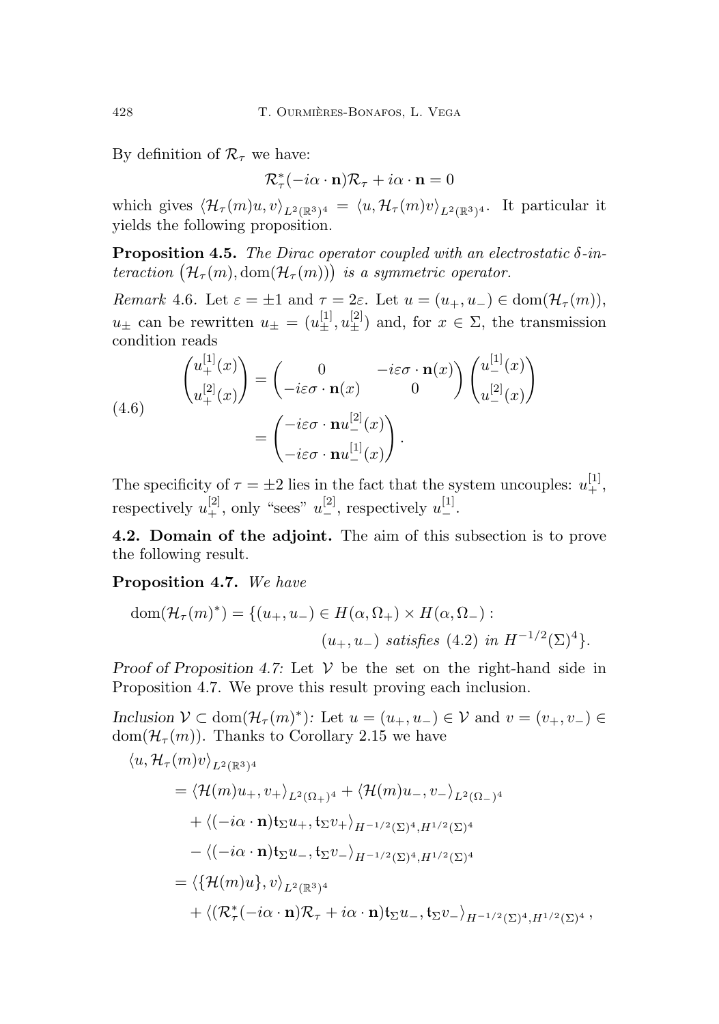By definition of  $\mathcal{R}_{\tau}$  we have:

$$
\mathcal{R}_{\tau}^*(-i\alpha \cdot \mathbf{n})\mathcal{R}_{\tau} + i\alpha \cdot \mathbf{n} = 0
$$

which gives  $\langle \mathcal{H}_{\tau}(m)u, v \rangle_{L^2(\mathbb{R}^3)^4} = \langle u, \mathcal{H}_{\tau}(m)v \rangle_{L^2(\mathbb{R}^3)^4}$ . It particular it yields the following proposition.

<span id="page-31-2"></span>**Proposition 4.5.** The Dirac operator coupled with an electrostatic  $\delta$ -interaction  $(\mathcal{H}_{\tau}(m),\text{dom}(\mathcal{H}_{\tau}(m)))$  is a symmetric operator.

Remark 4.6. Let  $\varepsilon = \pm 1$  and  $\tau = 2\varepsilon$ . Let  $u = (u_+, u_-) \in \text{dom}(\mathcal{H}_\tau(m))$ ,  $u_{\pm}$  can be rewritten  $u_{\pm} = (u_{\pm}^{[1]}, u_{\pm}^{[2]})$  and, for  $x \in \Sigma$ , the transmission condition reads

(4.6)
$$
\begin{pmatrix} u_+^{[1]}(x) \\ u_+^{[2]}(x) \end{pmatrix} = \begin{pmatrix} 0 & -i\varepsilon\sigma \cdot \mathbf{n}(x) \\ -i\varepsilon\sigma \cdot \mathbf{n}(x) & 0 \end{pmatrix} \begin{pmatrix} u_-^{[1]}(x) \\ u_-^{[2]}(x) \end{pmatrix}
$$

$$
= \begin{pmatrix} -i\varepsilon\sigma \cdot \mathbf{n} u_-^{[2]}(x) \\ -i\varepsilon\sigma \cdot \mathbf{n} u_-^{[1]}(x) \end{pmatrix}.
$$

The specificity of  $\tau = \pm 2$  lies in the fact that the system uncouples:  $u_+^{[1]}$ , respectively  $u_+^{[2]}$ , only "sees"  $u_-^{[2]}$ , respectively  $u_-^{[1]}$ .

<span id="page-31-0"></span>4.2. Domain of the adjoint. The aim of this subsection is to prove the following result.

#### <span id="page-31-1"></span>Proposition 4.7. We have

dom
$$
(\mathcal{H}_{\tau}(m)^*)
$$
 = { $(u_+, u_-)$   $\in H(\alpha, \Omega_+) \times H(\alpha, \Omega_-)$  :  
\n $(u_+, u_-)$  satisfies (4.2) in  $H^{-1/2}(\Sigma)^4$  }.

Proof of Proposition [4.7:](#page-31-1) Let  $V$  be the set on the right-hand side in Proposition [4.7.](#page-31-1) We prove this result proving each inclusion.

Inclusion  $V \subset \text{dom}(\mathcal{H}_{\tau}(m)^*)$ : Let  $u = (u_+, u_-) \in V$  and  $v = (v_+, v_-) \in V$ dom $(\mathcal{H}_{\tau}(m))$ . Thanks to Corollary [2.15](#page-12-1) we have

$$
\langle u, \mathcal{H}_{\tau}(m)v \rangle_{L^{2}(\mathbb{R}^{3})^{4}}
$$
\n
$$
= \langle \mathcal{H}(m)u_{+}, v_{+} \rangle_{L^{2}(\Omega_{+})^{4}} + \langle \mathcal{H}(m)u_{-}, v_{-} \rangle_{L^{2}(\Omega_{-})^{4}}
$$
\n
$$
+ \langle (-i\alpha \cdot \mathbf{n}) \mathbf{t}_{\Sigma} u_{+}, \mathbf{t}_{\Sigma} v_{+} \rangle_{H^{-1/2}(\Sigma)^{4}, H^{1/2}(\Sigma)^{4}}
$$
\n
$$
- \langle (-i\alpha \cdot \mathbf{n}) \mathbf{t}_{\Sigma} u_{-}, \mathbf{t}_{\Sigma} v_{-} \rangle_{H^{-1/2}(\Sigma)^{4}, H^{1/2}(\Sigma)^{4}}
$$
\n
$$
= \langle \{ \mathcal{H}(m)u \}, v \rangle_{L^{2}(\mathbb{R}^{3})^{4}}
$$
\n
$$
+ \langle (\mathcal{R}_{\tau}^{*}(-i\alpha \cdot \mathbf{n})\mathcal{R}_{\tau} + i\alpha \cdot \mathbf{n}) \mathbf{t}_{\Sigma} u_{-}, \mathbf{t}_{\Sigma} v_{-} \rangle_{H^{-1/2}(\Sigma)^{4}, H^{1/2}(\Sigma)^{4}},
$$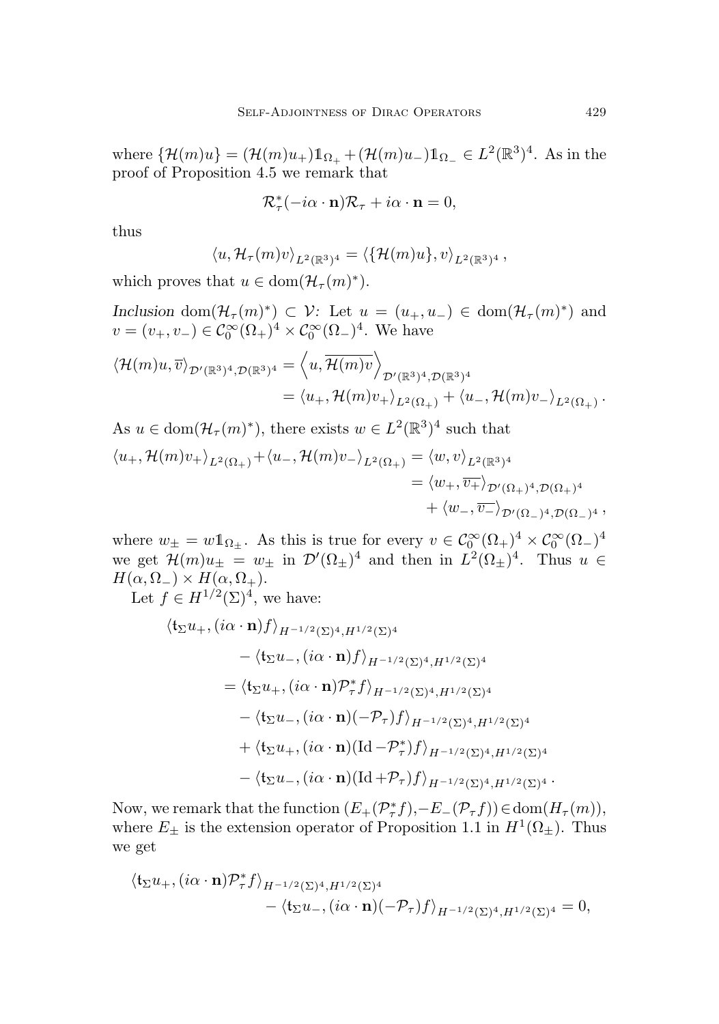where  $\{\mathcal{H}(m)u\} = (\mathcal{H}(m)u_+) \mathbb{1}_{\Omega_+} + (\mathcal{H}(m)u_-) \mathbb{1}_{\Omega_-} \in L^2(\mathbb{R}^3)^4$ . As in the proof of Proposition [4.5](#page-31-2) we remark that

$$
\mathcal{R}_{\tau}^*(-i\alpha \cdot \mathbf{n})\mathcal{R}_{\tau} + i\alpha \cdot \mathbf{n} = 0,
$$

thus

$$
\langle u, \mathcal{H}_{\tau}(m)v \rangle_{L^2(\mathbb{R}^3)^4} = \langle \{\mathcal{H}(m)u\}, v \rangle_{L^2(\mathbb{R}^3)^4},
$$

which proves that  $u \in \text{dom}(\mathcal{H}_{\tau}(m)^*)$ .

Inclusion dom $(\mathcal{H}_{\tau}(m)^*) \subset \mathcal{V}$ : Let  $u = (u_+, u_-) \in \text{dom}(\mathcal{H}_{\tau}(m)^*)$  and  $v = (v_+, v_-) \in C_0^{\infty}(\Omega_+)^4 \times C_0^{\infty}(\Omega_-)^4$ . We have

$$
\langle \mathcal{H}(m)u,\overline{v} \rangle_{\mathcal{D}'(\mathbb{R}^3)^4, \mathcal{D}(\mathbb{R}^3)^4} = \langle u, \overline{\mathcal{H}(m)v} \rangle_{\mathcal{D}'(\mathbb{R}^3)^4, \mathcal{D}(\mathbb{R}^3)^4}
$$
  
=  $\langle u_+, \mathcal{H}(m)v_+ \rangle_{L^2(\Omega_+)} + \langle u_-, \mathcal{H}(m)v_- \rangle_{L^2(\Omega_+)}.$ 

As 
$$
u \in \text{dom}(\mathcal{H}_{\tau}(m)^*)
$$
, there exists  $w \in L^2(\mathbb{R}^3)^4$  such that  
\n
$$
\langle u_+, \mathcal{H}(m)v_+ \rangle_{L^2(\Omega_+)} + \langle u_-, \mathcal{H}(m)v_- \rangle_{L^2(\Omega_+)} = \langle w, v \rangle_{L^2(\mathbb{R}^3)^4}
$$
\n
$$
= \langle w_+, \overline{v_+} \rangle_{\mathcal{D}'(\Omega_+)^4, \mathcal{D}(\Omega_+)^4}
$$
\n
$$
+ \langle w_-, \overline{v_-} \rangle_{\mathcal{D}'(\Omega_-)^4, \mathcal{D}(\Omega_-)^4},
$$

where  $w_{\pm} = w 1_{\Omega_{\pm}}$ . As this is true for every  $v \in C_0^{\infty}(\Omega_{+})^4 \times C_0^{\infty}(\Omega_{-})^4$ we get  $\mathcal{H}(m)u_{\pm} = w_{\pm}$  in  $\mathcal{D}'(\Omega_{\pm})^4$  and then in  $L^2(\Omega_{\pm})^4$ . Thus  $u \in$  $H(\alpha, \Omega_{-}) \times H(\alpha, \Omega_{+}).$ 

Let  $f \in H^{1/2}(\Sigma)^4$ , we have:

$$
\langle \mathbf{t}_{\Sigma} u_{+}, (i\alpha \cdot \mathbf{n}) f \rangle_{H^{-1/2}(\Sigma)^4, H^{1/2}(\Sigma)^4}
$$
  
\n
$$
- \langle \mathbf{t}_{\Sigma} u_{-}, (i\alpha \cdot \mathbf{n}) f \rangle_{H^{-1/2}(\Sigma)^4, H^{1/2}(\Sigma)^4}
$$
  
\n
$$
= \langle \mathbf{t}_{\Sigma} u_{+}, (i\alpha \cdot \mathbf{n}) \mathcal{P}^*_{+} f \rangle_{H^{-1/2}(\Sigma)^4, H^{1/2}(\Sigma)^4}
$$
  
\n
$$
- \langle \mathbf{t}_{\Sigma} u_{-}, (i\alpha \cdot \mathbf{n})(-\mathcal{P}_{\tau}) f \rangle_{H^{-1/2}(\Sigma)^4, H^{1/2}(\Sigma)^4}
$$
  
\n
$$
+ \langle \mathbf{t}_{\Sigma} u_{+}, (i\alpha \cdot \mathbf{n})(\mathrm{Id} - \mathcal{P}^*_{\tau}) f \rangle_{H^{-1/2}(\Sigma)^4, H^{1/2}(\Sigma)^4}
$$
  
\n
$$
- \langle \mathbf{t}_{\Sigma} u_{-}, (i\alpha \cdot \mathbf{n})(\mathrm{Id} + \mathcal{P}_{\tau}) f \rangle_{H^{-1/2}(\Sigma)^4, H^{1/2}(\Sigma)^4}.
$$

Now, we remark that the function  $(E_+(\mathcal{P}_\tau^*f), -E_-(\mathcal{P}_\tau f)) \in \text{dom}(H_\tau(m)),$ where  $E_{\pm}$  is the extension operator of Proposition [1.1](#page-5-0) in  $H^1(\Omega_{\pm})$ . Thus we get

$$
\langle \mathfrak{t}_{\Sigma} u_+, (i\alpha \cdot \mathbf{n}) \mathcal{P}_{\tau}^* f \rangle_{H^{-1/2}(\Sigma)^4, H^{1/2}(\Sigma)^4} - \langle \mathfrak{t}_{\Sigma} u_-, (i\alpha \cdot \mathbf{n}) (-\mathcal{P}_{\tau}) f \rangle_{H^{-1/2}(\Sigma)^4, H^{1/2}(\Sigma)^4} = 0,
$$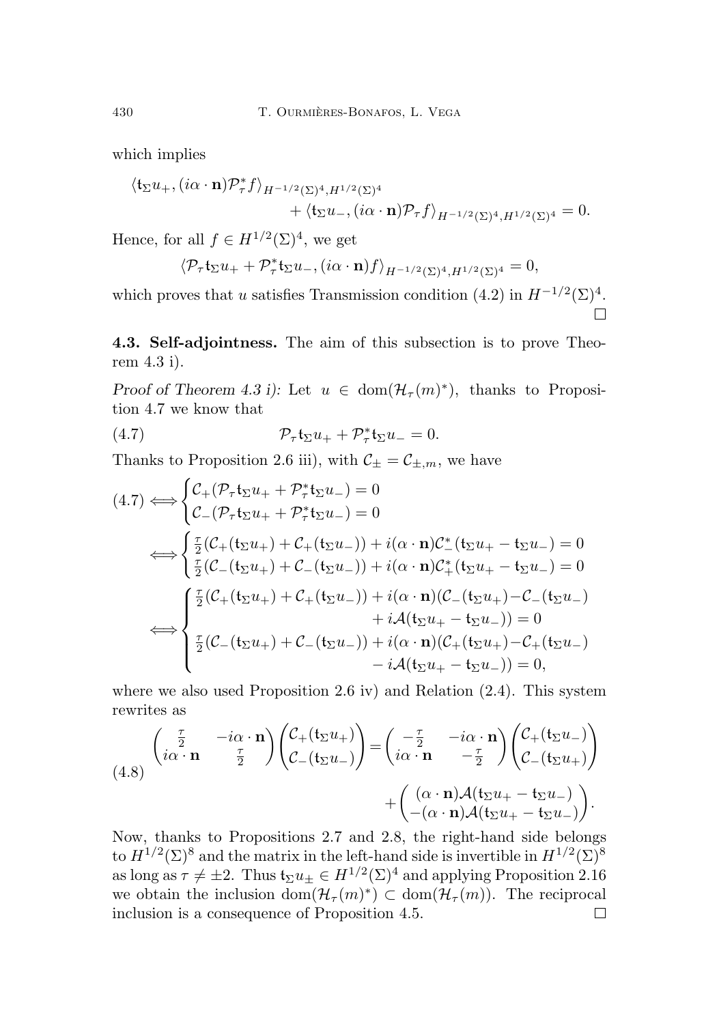which implies

$$
\langle \mathfrak{t}_{\Sigma} u_+, (i\alpha \cdot \mathbf{n}) \mathcal{P}_{\tau}^* f \rangle_{H^{-1/2}(\Sigma)^4, H^{1/2}(\Sigma)^4} + \langle \mathfrak{t}_{\Sigma} u_-, (i\alpha \cdot \mathbf{n}) \mathcal{P}_{\tau} f \rangle_{H^{-1/2}(\Sigma)^4, H^{1/2}(\Sigma)^4} = 0.
$$

Hence, for all  $f \in H^{1/2}(\Sigma)^4$ , we get

$$
\langle \mathcal{P}_{\tau} \mathfrak{t}_{\Sigma} u_{+} + \mathcal{P}_{\tau}^{*} \mathfrak{t}_{\Sigma} u_{-}, (i\alpha \cdot \mathbf{n}) f \rangle_{H^{-1/2}(\Sigma)^{4}, H^{1/2}(\Sigma)^{4}} = 0,
$$

which proves that u satisfies Transmission condition  $(4.2)$  in  $H^{-1/2}(\Sigma)^4$ .

<span id="page-33-0"></span>4.3. Self-adjointness. The aim of this subsection is to prove Theorem [4.3](#page-29-1) i).

Proof of Theorem [4.3](#page-29-1) i): Let  $u \in \text{dom}(\mathcal{H}_{\tau}(m)^*)$ , thanks to Proposition [4.7](#page-31-1) we know that

<span id="page-33-1"></span>(4.7) 
$$
\mathcal{P}_{\tau}\mathfrak{t}_{\Sigma}u_{+} + \mathcal{P}_{\tau}^{*}\mathfrak{t}_{\Sigma}u_{-} = 0.
$$

Thanks to Proposition [2.6](#page-8-2) iii), with  $C_{\pm} = C_{\pm,m}$ , we have

$$
(4.7) \Leftrightarrow \begin{cases} C_{+}(\mathcal{P}_{\tau}t_{\Sigma}u_{+} + \mathcal{P}_{\tau}^{*}t_{\Sigma}u_{-}) = 0 \\ C_{-}(\mathcal{P}_{\tau}t_{\Sigma}u_{+} + \mathcal{P}_{\tau}^{*}t_{\Sigma}u_{-}) = 0 \end{cases}
$$
  
\n
$$
\Leftrightarrow \begin{cases} \frac{\tau}{2}(C_{+}(t_{\Sigma}u_{+}) + C_{+}(t_{\Sigma}u_{-})) + i(\alpha \cdot \mathbf{n})C_{-}^{*}(t_{\Sigma}u_{+} - t_{\Sigma}u_{-}) = 0 \\ \frac{\tau}{2}(C_{-}(t_{\Sigma}u_{+}) + C_{-}(t_{\Sigma}u_{-})) + i(\alpha \cdot \mathbf{n})C_{+}^{*}(t_{\Sigma}u_{+} - t_{\Sigma}u_{-}) = 0 \end{cases}
$$
  
\n
$$
\Leftrightarrow \begin{cases} \frac{\tau}{2}(C_{+}(t_{\Sigma}u_{+}) + C_{+}(t_{\Sigma}u_{-})) + i(\alpha \cdot \mathbf{n})(C_{-}(t_{\Sigma}u_{+}) - C_{-}(t_{\Sigma}u_{-}) \\ \frac{\tau}{2}(C_{-}(t_{\Sigma}u_{+}) + C_{-}(t_{\Sigma}u_{-})) + i(\alpha \cdot \mathbf{n})(C_{+}(t_{\Sigma}u_{+}) - C_{+}(t_{\Sigma}u_{-}) \\ - i\mathcal{A}(t_{\Sigma}u_{+} - t_{\Sigma}u_{-})) = 0, \end{cases}
$$

where we also used Proposition [2.6](#page-8-2) iv) and Relation [\(2.4\)](#page-9-4). This system rewrites as

(4.8) 
$$
\begin{pmatrix}\n\frac{\tau}{2} & -i\alpha \cdot \mathbf{n} \\
i\alpha \cdot \mathbf{n} & \frac{\tau}{2}\n\end{pmatrix}\n\begin{pmatrix}\n\mathcal{C}_{+}(\mathfrak{t}_{\Sigma} u_{+}) \\
\mathcal{C}_{-}(\mathfrak{t}_{\Sigma} u_{-})\n\end{pmatrix} =\n\begin{pmatrix}\n-\frac{\tau}{2} & -i\alpha \cdot \mathbf{n} \\
i\alpha \cdot \mathbf{n} & -\frac{\tau}{2}\n\end{pmatrix}\n\begin{pmatrix}\n\mathcal{C}_{+}(\mathfrak{t}_{\Sigma} u_{-}) \\
\mathcal{C}_{-}(\mathfrak{t}_{\Sigma} u_{+})\n\end{pmatrix} +\n\begin{pmatrix}\n(\alpha \cdot \mathbf{n})\mathcal{A}(\mathfrak{t}_{\Sigma} u_{+} - \mathfrak{t}_{\Sigma} u_{-}) \\
-(\alpha \cdot \mathbf{n})\mathcal{A}(\mathfrak{t}_{\Sigma} u_{+} - \mathfrak{t}_{\Sigma} u_{-})\n\end{pmatrix}.
$$

Now, thanks to Propositions [2.7](#page-9-3) and [2.8,](#page-9-1) the right-hand side belongs to  $H^{1/2}(\Sigma)^8$  and the matrix in the left-hand side is invertible in  $H^{1/2}(\Sigma)^8$ as long as  $\tau \neq \pm 2$ . Thus  $\mathfrak{t}_{\Sigma}u_{\pm} \in H^{1/2}(\Sigma)^4$  and applying Proposition [2.16](#page-12-0) we obtain the inclusion  $\text{dom}(\mathcal{H}_\tau(m))^* \subset \text{dom}(\mathcal{H}_\tau(m))$ . The reciprocal inclusion is a consequence of Proposition [4.5.](#page-31-2)□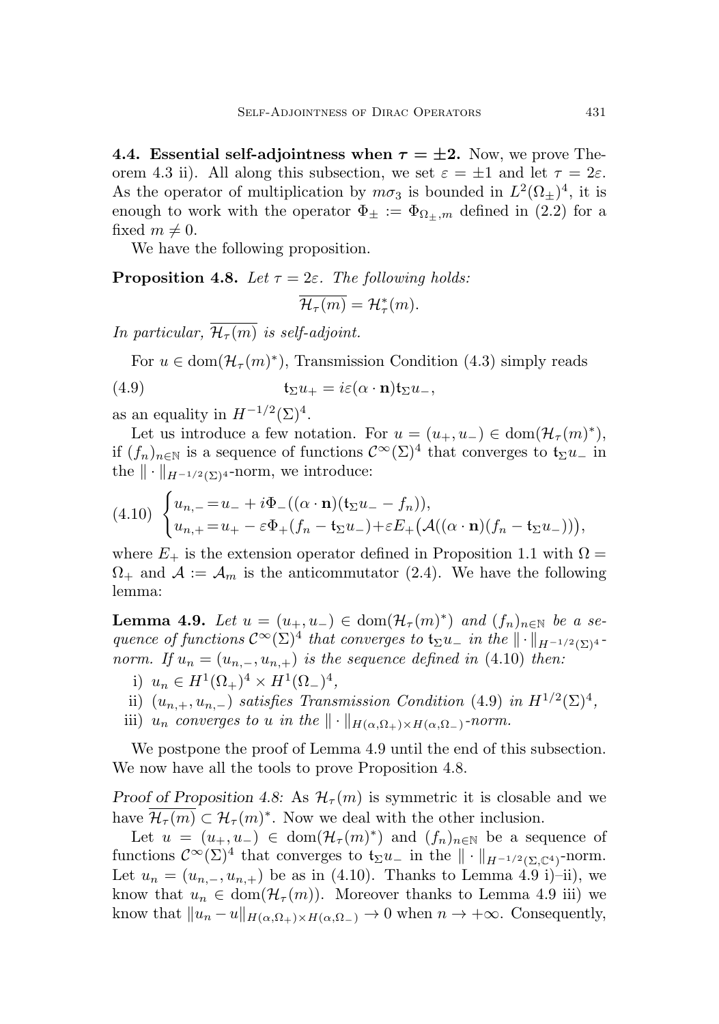<span id="page-34-0"></span>4.4. Essential self-adjointness when  $\tau = \pm 2$ . Now, we prove The-orem [4.3](#page-29-1) ii). All along this subsection, we set  $\varepsilon = \pm 1$  and let  $\tau = 2\varepsilon$ . As the operator of multiplication by  $m\sigma_3$  is bounded in  $L^2(\Omega_{\pm})^4$ , it is enough to work with the operator  $\Phi_{\pm} := \Phi_{\Omega_{+},m}$  defined in [\(2.2\)](#page-7-5) for a fixed  $m \neq 0$ .

We have the following proposition.

<span id="page-34-4"></span>**Proposition 4.8.** Let  $\tau = 2\varepsilon$ . The following holds:  $\overline{\mathcal{H}_\tau(m)} = \mathcal{H}_\tau^*(m).$ 

In particular,  $\overline{\mathcal{H}_{\tau}(m)}$  is self-adjoint.

<span id="page-34-2"></span>For  $u \in \text{dom}(\mathcal{H}_{\tau}(m)^*)$ , Transmission Condition [\(4.3\)](#page-28-3) simply reads

(4.9) 
$$
\mathfrak{t}_{\Sigma}u_{+}=i\varepsilon(\alpha\cdot\mathbf{n})\mathfrak{t}_{\Sigma}u_{-},
$$

as an equality in  $H^{-1/2}(\Sigma)^4$ .

Let us introduce a few notation. For  $u = (u_+, u_-) \in \text{dom}(\mathcal{H}_\tau(m)^*)$ , if  $(f_n)_{n\in\mathbb{N}}$  is a sequence of functions  $\mathcal{C}^{\infty}(\Sigma)^4$  that converges to  $\mathfrak{t}_{\Sigma}u_{-}$  in the  $\|\cdot\|_{H^{-1/2}(\Sigma)^4}$ -norm, we introduce:

<span id="page-34-1"></span>
$$
(4.10) \begin{cases} u_{n,-} = u_- + i\Phi_-((\alpha \cdot \mathbf{n})(\mathfrak{t}_{\Sigma}u_- - f_n)), \\ u_{n,+} = u_+ - \varepsilon \Phi_+(f_n - \mathfrak{t}_{\Sigma}u_-) + \varepsilon E_+\big(\mathcal{A}((\alpha \cdot \mathbf{n})(f_n - \mathfrak{t}_{\Sigma}u_-))\big), \end{cases}
$$

where  $E_{+}$  is the extension operator defined in Proposition [1.1](#page-5-0) with  $\Omega =$  $\Omega_{+}$  and  $\mathcal{A} := \mathcal{A}_{m}$  is the anticommutator [\(2.4\)](#page-9-4). We have the following lemma:

<span id="page-34-3"></span>**Lemma 4.9.** Let  $u = (u_+, u_-) \in \text{dom}(\mathcal{H}_\tau(m)^*)$  and  $(f_n)_{n \in \mathbb{N}}$  be a sequence of functions  $\mathcal{C}^{\infty}(\Sigma)^4$  that converges to  $\mathfrak{t}_{\Sigma}u_{-}$  in the  $\|\cdot\|_{H^{-1/2}(\Sigma)^4}$ . norm. If  $u_n = (u_{n,-}, u_{n,+})$  is the sequence defined in [\(4.10\)](#page-34-1) then:

- i)  $u_n \in H^1(\Omega_+)^4 \times H^1(\Omega_-)^4$ ,
- ii)  $(u_{n,+}, u_{n,-})$  satisfies Transmission Condition [\(4.9\)](#page-34-2) in  $H^{1/2}(\Sigma)^4$ ,
- iii)  $u_n$  converges to u in the  $\|\cdot\|_{H(\alpha,\Omega_+)\times H(\alpha,\Omega_-)}$ -norm.

We postpone the proof of Lemma [4.9](#page-34-3) until the end of this subsection. We now have all the tools to prove Proposition [4.8.](#page-34-4)

Proof of Proposition [4.8:](#page-34-4) As  $\mathcal{H}_{\tau}(m)$  is symmetric it is closable and we have  $\overline{\mathcal{H}_{\tau}(m)} \subset \mathcal{H}_{\tau}(m)^*$ . Now we deal with the other inclusion.

Let  $u = (u_+, u_-) \in \text{dom}(\mathcal{H}_{\tau}(m)^*)$  and  $(f_n)_{n \in \mathbb{N}}$  be a sequence of functions  $\mathcal{C}^{\infty}(\Sigma)^4$  that converges to  $\mathfrak{t}_{\Sigma}u_{-}$  in the  $\|\cdot\|_{H^{-1/2}(\Sigma,\mathbb{C}^4)}$ -norm. Let  $u_n = (u_{n,-}, u_{n,+})$  be as in [\(4.10\)](#page-34-1). Thanks to Lemma [4.9](#page-34-3) i)–ii), we know that  $u_n \in \text{dom}(\mathcal{H}_\tau(m))$ . Moreover thanks to Lemma [4.9](#page-34-3) iii) we know that  $||u_n - u||_{H(\alpha,\Omega_+) \times H(\alpha,\Omega_-)} \to 0$  when  $n \to +\infty$ . Consequently,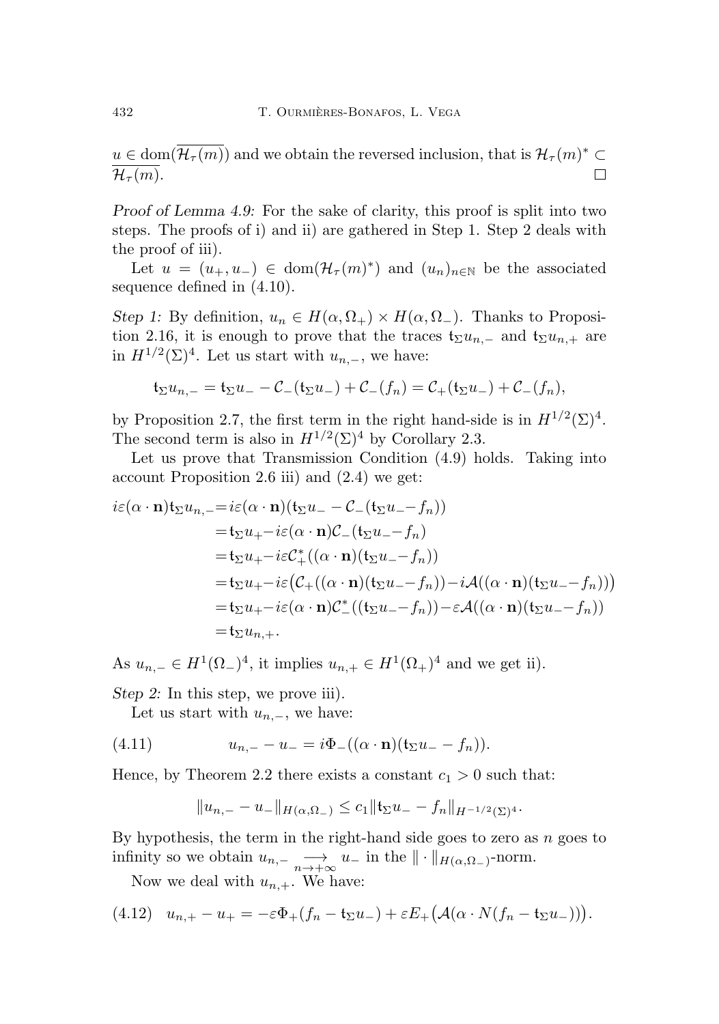$u \in \text{dom}(\mathcal{H}_{\tau}(m))$  and we obtain the reversed inclusion, that is  $\mathcal{H}_{\tau}(m)^* \subset$  $\mathcal{H}_{\tau}(m)$ .  $\Box$ 

Proof of Lemma [4.9:](#page-34-3) For the sake of clarity, this proof is split into two steps. The proofs of i) and ii) are gathered in Step 1. Step 2 deals with the proof of iii).

Let  $u = (u_+, u_-) \in \text{dom}(\mathcal{H}_\tau(m)^*)$  and  $(u_n)_{n \in \mathbb{N}}$  be the associated sequence defined in [\(4.10\)](#page-34-1).

Step 1: By definition,  $u_n \in H(\alpha, \Omega_+) \times H(\alpha, \Omega_-)$ . Thanks to Proposi-tion [2.16,](#page-12-0) it is enough to prove that the traces  $t_{\Sigma}u_{n,-}$  and  $t_{\Sigma}u_{n,+}$  are in  $H^{1/2}(\Sigma)^4$ . Let us start with  $u_{n,-}$ , we have:

$$
\mathfrak{t}_{\Sigma} u_{n,-} = \mathfrak{t}_{\Sigma} u_{-} - \mathcal{C}_{-}(\mathfrak{t}_{\Sigma} u_{-}) + \mathcal{C}_{-}(f_{n}) = \mathcal{C}_{+}(\mathfrak{t}_{\Sigma} u_{-}) + \mathcal{C}_{-}(f_{n}),
$$

by Proposition [2.7,](#page-9-3) the first term in the right hand-side is in  $H^{1/2}(\Sigma)^4$ . The second term is also in  $H^{1/2}(\Sigma)^4$  by Corollary [2.3.](#page-8-1)

Let us prove that Transmission Condition [\(4.9\)](#page-34-2) holds. Taking into account Proposition [2.6](#page-8-2) iii) and [\(2.4\)](#page-9-4) we get:

$$
i\varepsilon(\alpha \cdot \mathbf{n})\mathfrak{t}_{\Sigma}u_{n,-} = i\varepsilon(\alpha \cdot \mathbf{n})(\mathfrak{t}_{\Sigma}u_{-} - \mathcal{C}_{-}(\mathfrak{t}_{\Sigma}u_{-} - f_{n}))
$$
  
\n
$$
= \mathfrak{t}_{\Sigma}u_{+} - i\varepsilon(\alpha \cdot \mathbf{n})\mathcal{C}_{-}(\mathfrak{t}_{\Sigma}u_{-} - f_{n})
$$
  
\n
$$
= \mathfrak{t}_{\Sigma}u_{+} - i\varepsilon\mathcal{C}_{+}^{*}((\alpha \cdot \mathbf{n})(\mathfrak{t}_{\Sigma}u_{-} - f_{n}))
$$
  
\n
$$
= \mathfrak{t}_{\Sigma}u_{+} - i\varepsilon(\mathcal{C}_{+}((\alpha \cdot \mathbf{n})(\mathfrak{t}_{\Sigma}u_{-} - f_{n})) - i\mathcal{A}((\alpha \cdot \mathbf{n})(\mathfrak{t}_{\Sigma}u_{-} - f_{n})))
$$
  
\n
$$
= \mathfrak{t}_{\Sigma}u_{+} - i\varepsilon(\alpha \cdot \mathbf{n})\mathcal{C}_{-}^{*}((\mathfrak{t}_{\Sigma}u_{-} - f_{n})) - \varepsilon\mathcal{A}((\alpha \cdot \mathbf{n})(\mathfrak{t}_{\Sigma}u_{-} - f_{n}))
$$
  
\n
$$
= \mathfrak{t}_{\Sigma}u_{n,+}.
$$

As  $u_{n,-} \in H^1(\Omega_-)^4$ , it implies  $u_{n,+} \in H^1(\Omega_+)^4$  and we get ii).

Step 2: In this step, we prove iii).

Let us start with  $u_{n,-}$ , we have:

(4.11) 
$$
u_{n,-} - u_- = i \Phi_-((\alpha \cdot \mathbf{n})(\mathfrak{t}_{\Sigma} u_- - f_n)).
$$

Hence, by Theorem [2.2](#page-7-3) there exists a constant  $c_1 > 0$  such that:

$$
||u_{n,-} - u_-||_{H(\alpha,\Omega_-)} \leq c_1 ||\mathfrak{t}_{\Sigma} u_- - f_n||_{H^{-1/2}(\Sigma)^4}.
$$

By hypothesis, the term in the right-hand side goes to zero as  $n$  goes to infinity so we obtain  $u_{n,-} \longrightarrow_{n \to +\infty} u_-$  in the  $\|\cdot\|_{H(\alpha,\Omega_-)}$ -norm.

Now we deal with  $u_{n,+}$ . We have:

$$
(4.12) \quad u_{n,+} - u_+ = -\varepsilon \Phi_+(f_n - \mathfrak{t}_{\Sigma} u_-) + \varepsilon E_+\big(\mathcal{A}(\alpha \cdot N(f_n - \mathfrak{t}_{\Sigma} u_-))\big).
$$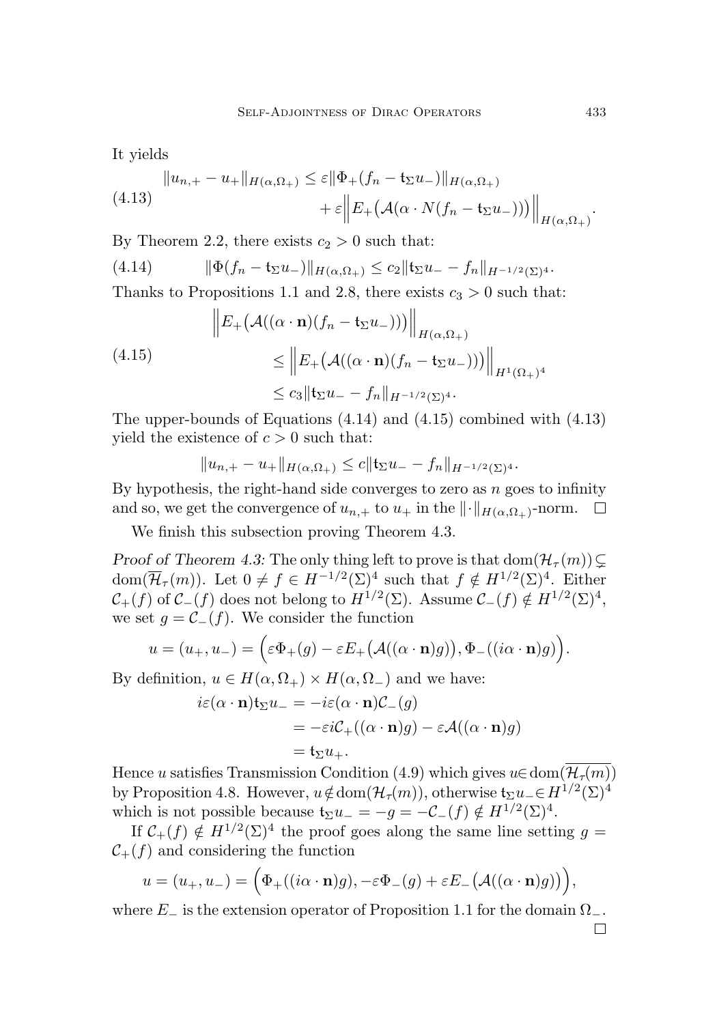It yields

<span id="page-36-2"></span>
$$
\|u_{n,+}-u_{+}\|_{H(\alpha,\Omega_{+})} \leq \varepsilon \|\Phi_{+}(f_{n}-\mathfrak{t}_{\Sigma}u_{-})\|_{H(\alpha,\Omega_{+})}
$$

$$
+\varepsilon \left\|E_{+}\big(\mathcal{A}(\alpha \cdot N(f_{n}-\mathfrak{t}_{\Sigma}u_{-}))\big)\right\|_{H(\alpha,\Omega_{+})}.
$$

By Theorem [2.2,](#page-7-3) there exists  $c_2 > 0$  such that:

<span id="page-36-0"></span>
$$
(4.14) \t ||\Phi(f_n - \mathfrak{t}_{\Sigma} u_-)||_{H(\alpha,\Omega_+)} \leq c_2 ||\mathfrak{t}_{\Sigma} u_- - f_n||_{H^{-1/2}(\Sigma)^4}.
$$

Thanks to Propositions [1.1](#page-5-0) and [2.8,](#page-9-1) there exists  $c_3 > 0$  such that:

<span id="page-36-1"></span>
$$
\|E_{+}(\mathcal{A}((\alpha \cdot \mathbf{n})(f_{n} - \mathbf{t}_{\Sigma}u_{-})))\|_{H(\alpha,\Omega_{+})}
$$
\n
$$
\leq \|E_{+}(\mathcal{A}((\alpha \cdot \mathbf{n})(f_{n} - \mathbf{t}_{\Sigma}u_{-})))\|_{H^{1}(\Omega_{+})^{4}}
$$
\n
$$
\leq c_{3} \|\mathbf{t}_{\Sigma}u_{-} - f_{n}\|_{H^{-1/2}(\Sigma)^{4}}.
$$

The upper-bounds of Equations [\(4.14\)](#page-36-0) and [\(4.15\)](#page-36-1) combined with [\(4.13\)](#page-36-2) yield the existence of  $c > 0$  such that:

$$
||u_{n,+}-u_{+}||_{H(\alpha,\Omega_+)} \leq c||\mathbf{t}_{\Sigma}u_{-}-f_{n}||_{H^{-1/2}(\Sigma)^4}.
$$

By hypothesis, the right-hand side converges to zero as  $n$  goes to infinity and so, we get the convergence of  $u_{n,+}$  to  $u_+$  in the  $\| \cdot \|_{H(\alpha,\Omega_+)}$ -norm.

We finish this subsection proving Theorem [4.3.](#page-29-1)

Proof of Theorem [4.3:](#page-29-1) The only thing left to prove is that  $dom(\mathcal{H}_{\tau}(m))\subset$ dom $(\overline{\mathcal{H}}_{\tau}(m))$ . Let  $0 \neq f \in H^{-1/2}(\Sigma)^4$  such that  $f \notin H^{1/2}(\Sigma)^4$ . Either  $\mathcal{C}_+(f)$  of  $\mathcal{C}_-(f)$  does not belong to  $H^{1/2}(\Sigma)$ . Assume  $\mathcal{C}_-(f) \notin H^{1/2}(\Sigma)^4$ , we set  $g = \mathcal{C}_-(f)$ . We consider the function

$$
u = (u_+, u_-) = \Big(\varepsilon \Phi_+(g) - \varepsilon E_+\big(\mathcal{A}((\alpha \cdot \mathbf{n})g)\big), \Phi_-\big((i\alpha \cdot \mathbf{n})g\big)\Big).
$$

By definition,  $u \in H(\alpha, \Omega_+) \times H(\alpha, \Omega_-)$  and we have:

$$
i\varepsilon(\alpha \cdot \mathbf{n})\mathfrak{t}_{\Sigma}u_{-} = -i\varepsilon(\alpha \cdot \mathbf{n})\mathcal{C}_{-}(g)
$$
  
=  $-\varepsilon i\mathcal{C}_{+}((\alpha \cdot \mathbf{n})g) - \varepsilon \mathcal{A}((\alpha \cdot \mathbf{n})g)$   
=  $\mathfrak{t}_{\Sigma}u_{+}.$ 

Hence u satisfies Transmission Condition [\(4.9\)](#page-34-2) which gives  $u \in \text{dom}(\overline{\mathcal{H}_{\tau}(m)})$ by Proposition [4.8.](#page-34-4) However,  $u \notin \text{dom}(\mathcal{H}_{\tau}(m))$ , otherwise  $\mathfrak{t}_{\Sigma}u_{-} \in H^{1/2}(\Sigma)^{4}$ which is not possible because  $\mathfrak{t}_{\Sigma}u_{-} = -g = -\mathcal{C}_{-}(f) \notin H^{1/2}(\Sigma)^{4}$ .

If  $C_+(f) \notin H^{1/2}(\Sigma)^4$  the proof goes along the same line setting  $g =$  $\mathcal{C}_+(f)$  and considering the function

$$
u = (u_+, u_-) = \Big(\Phi_+((i\alpha \cdot \mathbf{n})g), -\varepsilon \Phi_-(g) + \varepsilon E_-\big(\mathcal{A}((\alpha \cdot \mathbf{n})g)\big)\Big),
$$

where  $E_-\$  is the extension operator of Proposition [1.1](#page-5-0) for the domain  $\Omega_-\$ .  $\Box$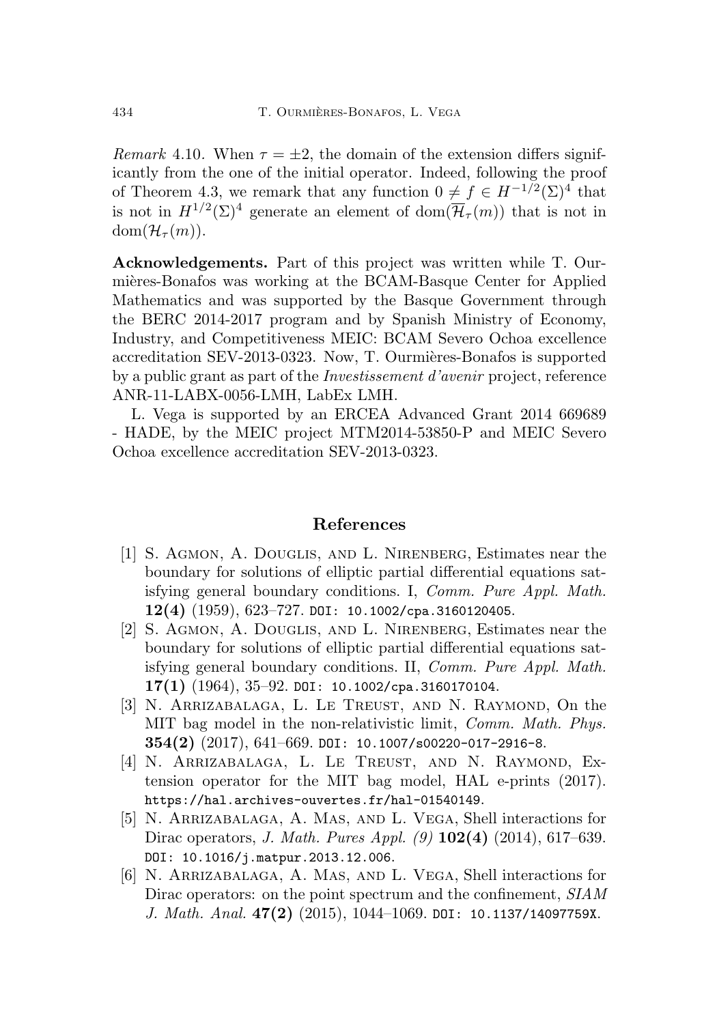Remark 4.10. When  $\tau = \pm 2$ , the domain of the extension differs significantly from the one of the initial operator. Indeed, following the proof of Theorem [4.3,](#page-29-1) we remark that any function  $0 \neq f \in H^{-1/2}(\Sigma)^4$  that is not in  $H^{1/2}(\Sigma)^4$  generate an element of dom $(\overline{\mathcal{H}}_{\tau}(m))$  that is not in  $dom(\mathcal{H}_{\tau}(m)).$ 

Acknowledgements. Part of this project was written while T. Ourmières-Bonafos was working at the BCAM-Basque Center for Applied Mathematics and was supported by the Basque Government through the BERC 2014-2017 program and by Spanish Ministry of Economy, Industry, and Competitiveness MEIC: BCAM Severo Ochoa excellence accreditation SEV-2013-0323. Now, T. Ourmières-Bonafos is supported by a public grant as part of the Investissement d'avenir project, reference ANR-11-LABX-0056-LMH, LabEx LMH.

L. Vega is supported by an ERCEA Advanced Grant 2014 669689 - HADE, by the MEIC project MTM2014-53850-P and MEIC Severo Ochoa excellence accreditation SEV-2013-0323.

### <span id="page-37-0"></span>References

- <span id="page-37-5"></span>[1] S. Agmon, A. Douglis, and L. Nirenberg, Estimates near the boundary for solutions of elliptic partial differential equations satisfying general boundary conditions. I, Comm. Pure Appl. Math.  $12(4)$   $(1959)$ ,  $623-727$ . [DOI: 10.1002/cpa.3160120405](https://doi.org/10.1002/cpa.3160120405).
- <span id="page-37-6"></span>[2] S. Agmon, A. Douglis, and L. Nirenberg, Estimates near the boundary for solutions of elliptic partial differential equations satisfying general boundary conditions. II, Comm. Pure Appl. Math.  $17(1)$   $(1964)$ ,  $35-92$ . [DOI: 10.1002/cpa.3160170104](https://doi.org/10.1002/cpa.3160170104).
- <span id="page-37-1"></span>[3] N. Arrizabalaga, L. Le Treust, and N. Raymond, On the MIT bag model in the non-relativistic limit, *Comm. Math. Phys.*  $354(2)$   $(2017)$ ,  $641-669$ . DOI:  $10.1007$ /s00220-017-2916-8.
- <span id="page-37-2"></span>[4] N. Arrizabalaga, L. Le Treust, and N. Raymond, Extension operator for the MIT bag model, HAL e-prints (2017). <https://hal.archives-ouvertes.fr/hal-01540149>.
- <span id="page-37-3"></span>[5] N. Arrizabalaga, A. Mas, and L. Vega, Shell interactions for Dirac operators, *J. Math. Pures Appl.* (9) **102(4)** (2014), 617–639. [DOI: 10.1016/j.matpur.2013.12.006](https://doi.org/10.1016/j.matpur.2013.12.006).
- <span id="page-37-4"></span>[6] N. Arrizabalaga, A. Mas, and L. Vega, Shell interactions for Dirac operators: on the point spectrum and the confinement,  $SIAM$ J. Math. Anal.  $47(2)$  (2015), 1044-1069. [DOI: 10.1137/14097759X](https://doi.org/10.1137/14097759X).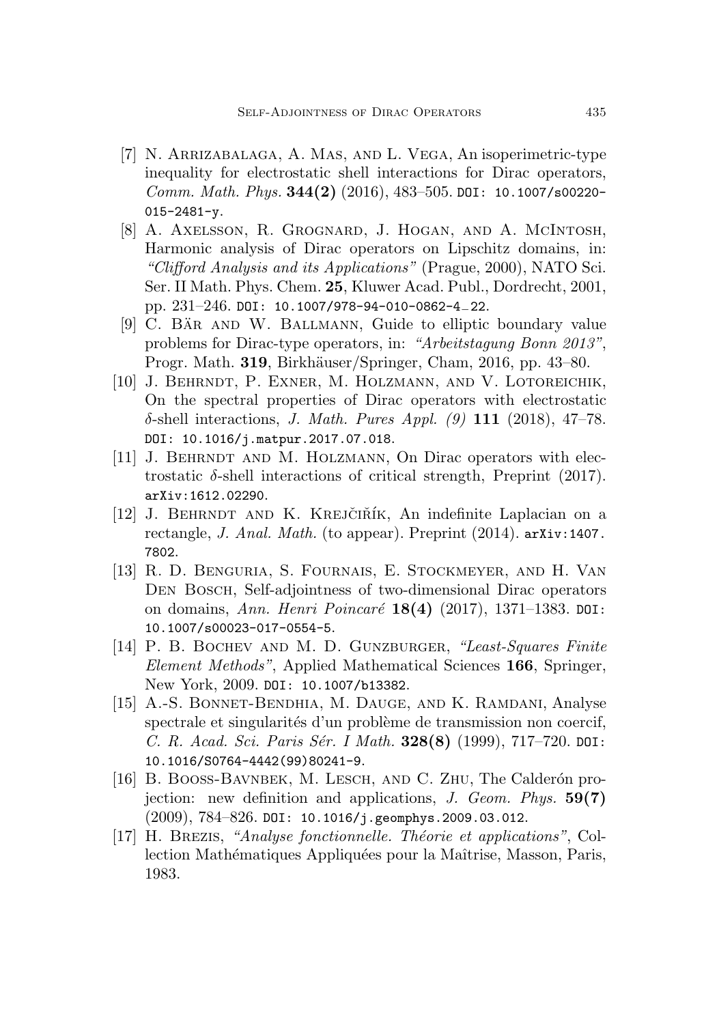- <span id="page-38-0"></span>[7] N. Arrizabalaga, A. Mas, and L. Vega, An isoperimetric-type inequality for electrostatic shell interactions for Dirac operators, *Comm. Math. Phys.*  $344(2)$  (2016), 483-505. [DOI: 10.1007/s00220-](https://doi.org/10.1007/s00220-015-2481-y) [015-2481-y](https://doi.org/10.1007/s00220-015-2481-y).
- <span id="page-38-6"></span>[8] A. Axelsson, R. Grognard, J. Hogan, and A. McIntosh, Harmonic analysis of Dirac operators on Lipschitz domains, in: "Clifford Analysis and its Applications" (Prague, 2000), NATO Sci. Ser. II Math. Phys. Chem. 25, Kluwer Acad. Publ., Dordrecht, 2001, pp. 231–246. [DOI: 10.1007/978-94-010-0862-4](https://doi.org/10.1007/978-94-010-0862-4_22)−22.
- <span id="page-38-9"></span>[9] C. BAR AND W. BALLMANN, Guide to elliptic boundary value problems for Dirac-type operators, in: "Arbeitstagung Bonn 2013", Progr. Math. 319, Birkhäuser/Springer, Cham, 2016, pp. 43–80.
- <span id="page-38-1"></span>[10] J. BEHRNDT, P. EXNER, M. HOLZMANN, AND V. LOTOREICHIK, On the spectral properties of Dirac operators with electrostatic  $\delta$ -shell interactions, *J. Math. Pures Appl.* (9) 111 (2018), 47–78. [DOI: 10.1016/j.matpur.2017.07.018](https://doi.org/10.1016/j.matpur.2017.07.018).
- <span id="page-38-2"></span>[11] J. BEHRNDT AND M. HOLZMANN, On Dirac operators with electrostatic  $\delta$ -shell interactions of critical strength, Preprint (2017). [arXiv:1612.02290](https://arxiv.org/abs/1612.02290).
- <span id="page-38-4"></span> $[12]$  J. BEHRNDT AND K. KREJČIŘÍK, An indefinite Laplacian on a rectangle, J. Anal. Math. (to appear). Preprint (2014). [arXiv:1407.](https://arxiv.org/abs/1407.7802) [7802](https://arxiv.org/abs/1407.7802).
- <span id="page-38-5"></span>[13] R. D. Benguria, S. Fournais, E. Stockmeyer, and H. Van Den Bosch, Self-adjointness of two-dimensional Dirac operators on domains, *Ann. Henri Poincaré* 18(4) (2017), 1371–1383. [DOI:](https://doi.org/10.1007/s00023-017-0554-5) [10.1007/s00023-017-0554-5](https://doi.org/10.1007/s00023-017-0554-5).
- <span id="page-38-10"></span>[14] P. B. BOCHEV AND M. D. GUNZBURGER, "Least-Squares Finite Element Methods", Applied Mathematical Sciences 166, Springer, New York, 2009. [DOI: 10.1007/b13382](https://doi.org/10.1007/b13382).
- <span id="page-38-3"></span>[15] A.-S. Bonnet-Bendhia, M. Dauge, and K. Ramdani, Analyse spectrale et singularités d'un problème de transmission non coercif, C. R. Acad. Sci. Paris Sér. I Math.  $328(8)$  (1999), 717–720. [DOI:](https://doi.org/10.1016/S0764-4442(99)80241-9) [10.1016/S0764-4442\(99\)80241-9](https://doi.org/10.1016/S0764-4442(99)80241-9).
- <span id="page-38-7"></span>[16] B. BOOSS-BAVNBEK, M. LESCH, AND C. ZHU, The Calderón projection: new definition and applications, J. Geom. Phys.  $59(7)$  $(2009)$ ,  $784-826$ . [DOI: 10.1016/j.geomphys.2009.03.012](https://doi.org/10.1016/j.geomphys.2009.03.012).
- <span id="page-38-8"></span>[17] H. BREZIS, "Analyse fonctionnelle. Théorie et applications", Collection Mathématiques Appliquées pour la Maîtrise, Masson, Paris, 1983.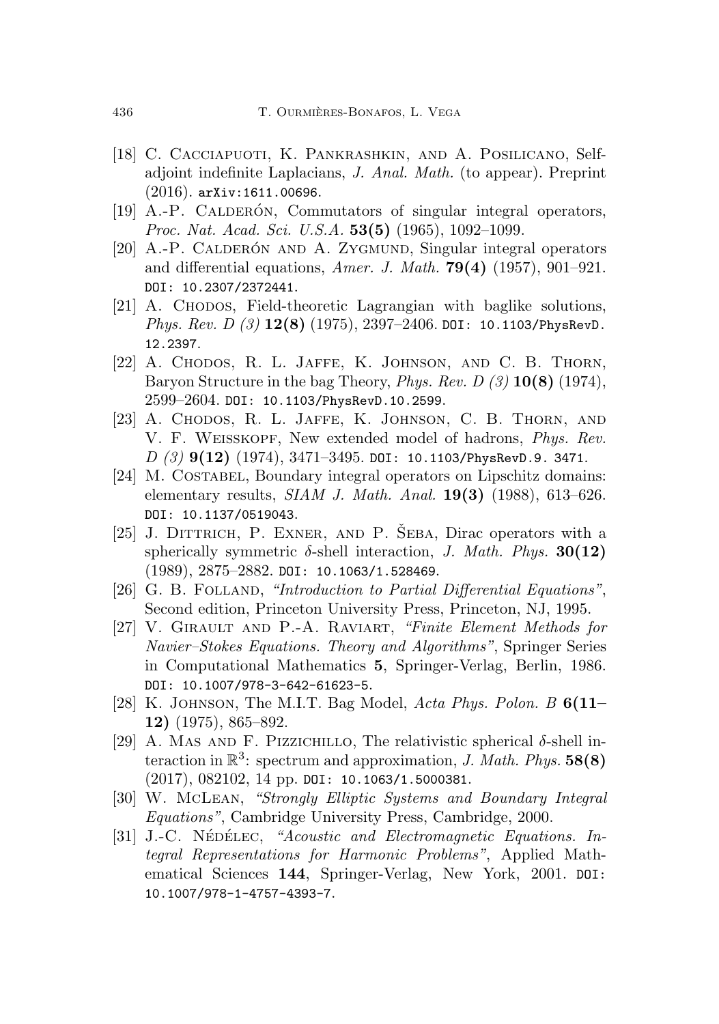- <span id="page-39-5"></span>[18] C. Cacciapuoti, K. Pankrashkin, and A. Posilicano, Selfadjoint indefinite Laplacians, J. Anal. Math. (to appear). Preprint  $(2016)$ . [arXiv:1611.00696](https://arxiv.org/abs/1611.00696).
- <span id="page-39-12"></span> $[19]$  A.-P. CALDERÓN, Commutators of singular integral operators, Proc. Nat. Acad. Sci. U.S.A. 53(5) (1965), 1092-1099.
- <span id="page-39-11"></span>[20] A.-P. CALDERÓN AND A. ZYGMUND, Singular integral operators and differential equations, Amer. J. Math.  $79(4)$  (1957), 901–921. [DOI: 10.2307/2372441](https://doi.org/10.2307/2372441).
- <span id="page-39-0"></span>[21] A. CHODOS, Field-theoretic Lagrangian with baglike solutions, Phys. Rev. D  $(3)$  12(8) (1975), 2397-2406. [DOI: 10.1103/PhysRevD.](https://doi.org/10.1103/PhysRevD.12.2397) [12.2397](https://doi.org/10.1103/PhysRevD.12.2397).
- <span id="page-39-1"></span>[22] A. CHODOS, R. L. JAFFE, K. JOHNSON, AND C. B. THORN, Baryon Structure in the bag Theory, *Phys. Rev. D (3)*  $10(8)$  (1974), 2599–2604. [DOI: 10.1103/PhysRevD.10.2599](https://doi.org/10.1103/PhysRevD.10.2599).
- <span id="page-39-2"></span>[23] A. Chodos, R. L. Jaffe, K. Johnson, C. B. Thorn, and V. F. WEISSKOPF, New extended model of hadrons, *Phys. Rev.*  $D(3)$  9(12) (1974), 3471-3495. [DOI: 10.1103/PhysRevD.9. 3471](https://doi.org/10.1103/PhysRevD.9.3471).
- <span id="page-39-6"></span>[24] M. COSTABEL, Boundary integral operators on Lipschitz domains: elementary results, *SIAM J. Math. Anal.* **19(3)** (1988), 613-626. [DOI: 10.1137/0519043](https://doi.org/10.1137/0519043).
- <span id="page-39-4"></span>[25] J. DITTRICH, P. EXNER, AND P. SEBA, Dirac operators with a spherically symmetric  $\delta$ -shell interaction, *J. Math. Phys.* **30(12)** (1989), 2875–2882. [DOI: 10.1063/1.528469](https://doi.org/10.1063/1.528469).
- <span id="page-39-10"></span>[26] G. B. FOLLAND, "Introduction to Partial Differential Equations", Second edition, Princeton University Press, Princeton, NJ, 1995.
- <span id="page-39-7"></span>[27] V. GIRAULT AND P.-A. RAVIART, "Finite Element Methods for Navier–Stokes Equations. Theory and Algorithms", Springer Series in Computational Mathematics 5, Springer-Verlag, Berlin, 1986. [DOI: 10.1007/978-3-642-61623-5](https://doi.org/10.1007/978-3-642-61623-5).
- <span id="page-39-3"></span>[28] K. JOHNSON, The M.I.T. Bag Model, Acta Phys. Polon. B  $6(11-$ 12) (1975), 865–892.
- <span id="page-39-13"></span>[29] A. MAS AND F. PIZZICHILLO, The relativistic spherical  $\delta$ -shell interaction in  $\mathbb{R}^3$ : spectrum and approximation, *J. Math. Phys.* 58(8) (2017), 082102, 14 pp. [DOI: 10.1063/1.5000381](https://doi.org/10.1063/1.5000381).
- <span id="page-39-8"></span>[30] W. McLean, "Strongly Elliptic Systems and Boundary Integral Equations", Cambridge University Press, Cambridge, 2000.
- <span id="page-39-9"></span>[31] J.-C. NÉDÉLEC, "Acoustic and Electromagnetic Equations. Integral Representations for Harmonic Problems", Applied Mathematical Sciences 144, Springer-Verlag, New York, 2001. [DOI:](https://doi.org/10.1007/978-1-4757-4393-7) [10.1007/978-1-4757-4393-7](https://doi.org/10.1007/978-1-4757-4393-7).